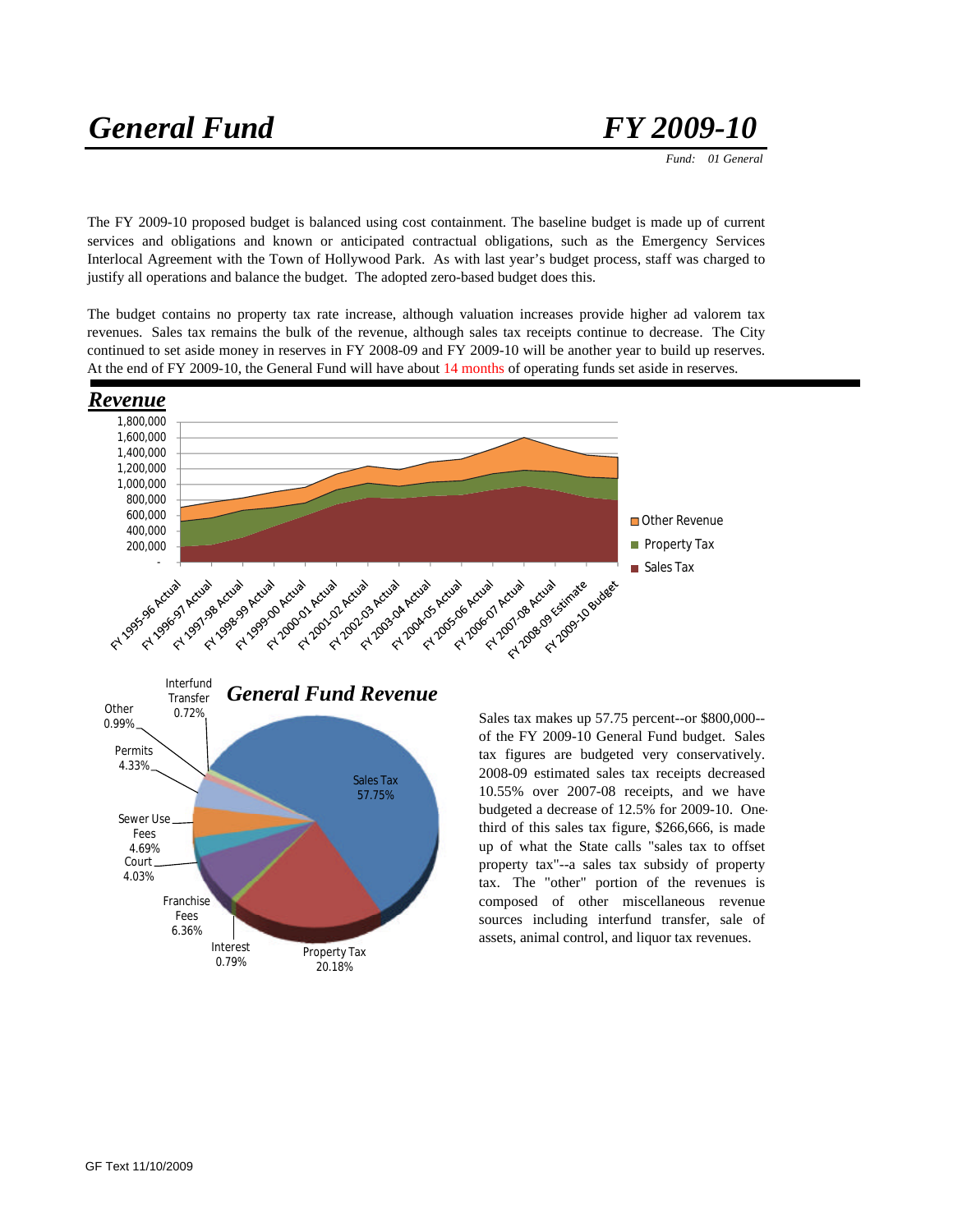# *General Fund FY 2009-10*

 *Fund: 01 General*

The FY 2009-10 proposed budget is balanced using cost containment. The baseline budget is made up of current services and obligations and known or anticipated contractual obligations, such as the Emergency Services Interlocal Agreement with the Town of Hollywood Park. As with last year's budget process, staff was charged to justify all operations and balance the budget. The adopted zero-based budget does this.

The budget contains no property tax rate increase, although valuation increases provide higher ad valorem tax revenues. Sales tax remains the bulk of the revenue, although sales tax receipts continue to decrease. The City continued to set aside money in reserves in FY 2008-09 and FY 2009-10 will be another year to build up reserves. At the end of FY 2009-10, the General Fund will have about 14 months of operating funds set aside in reserves.





Sales tax makes up 57.75 percent--or \$800,000- of the FY 2009-10 General Fund budget. Sales tax figures are budgeted very conservatively. 2008-09 estimated sales tax receipts decreased 10.55% over 2007-08 receipts, and we have budgeted a decrease of 12.5% for 2009-10. Onethird of this sales tax figure, \$266,666, is made up of what the State calls "sales tax to offset property tax"--a sales tax subsidy of property tax. The "other" portion of the revenues is composed of other miscellaneous revenue sources including interfund transfer, sale of assets, animal control, and liquor tax revenues.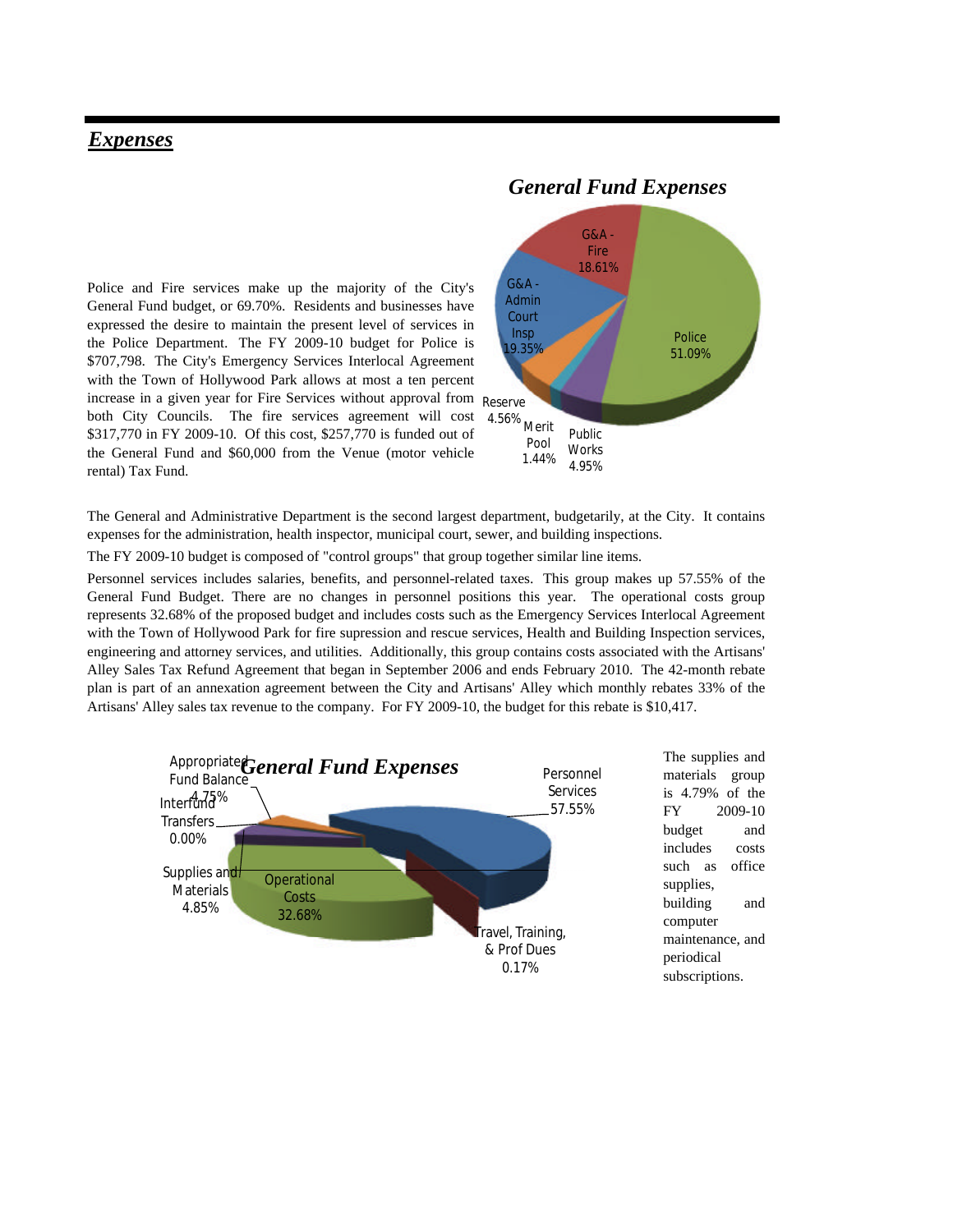## *Expenses*

Police and Fire services make up the majority of the City's General Fund budget, or 69.70%. Residents and businesses have expressed the desire to maintain the present level of services in the Police Department. The FY 2009-10 budget for Police is \$707,798. The City's Emergency Services Interlocal Agreement with the Town of Hollywood Park allows at most a ten percent increase in a given year for Fire Services without approval from Reserve both City Councils. The fire services agreement will cost 4.56% \$317,770 in FY 2009-10. Of this cost, \$257,770 is funded out of the General Fund and \$60,000 from the Venue (motor vehicle rental) Tax Fund.



The General and Administrative Department is the second largest department, budgetarily, at the City. It contains expenses for the administration, health inspector, municipal court, sewer, and building inspections.

The FY 2009-10 budget is composed of "control groups" that group together similar line items.

Personnel services includes salaries, benefits, and personnel-related taxes. This group makes up 57.55% of the General Fund Budget. There are no changes in personnel positions this year. The operational costs group represents 32.68% of the proposed budget and includes costs such as the Emergency Services Interlocal Agreement with the Town of Hollywood Park for fire supression and rescue services, Health and Building Inspection services, engineering and attorney services, and utilities. Additionally, this group contains costs associated with the Artisans' Alley Sales Tax Refund Agreement that began in September 2006 and ends February 2010. The 42-month rebate plan is part of an annexation agreement between the City and Artisans' Alley which monthly rebates 33% of the Artisans' Alley sales tax revenue to the company. For FY 2009-10, the budget for this rebate is \$10,417.



## *General Fund Expenses*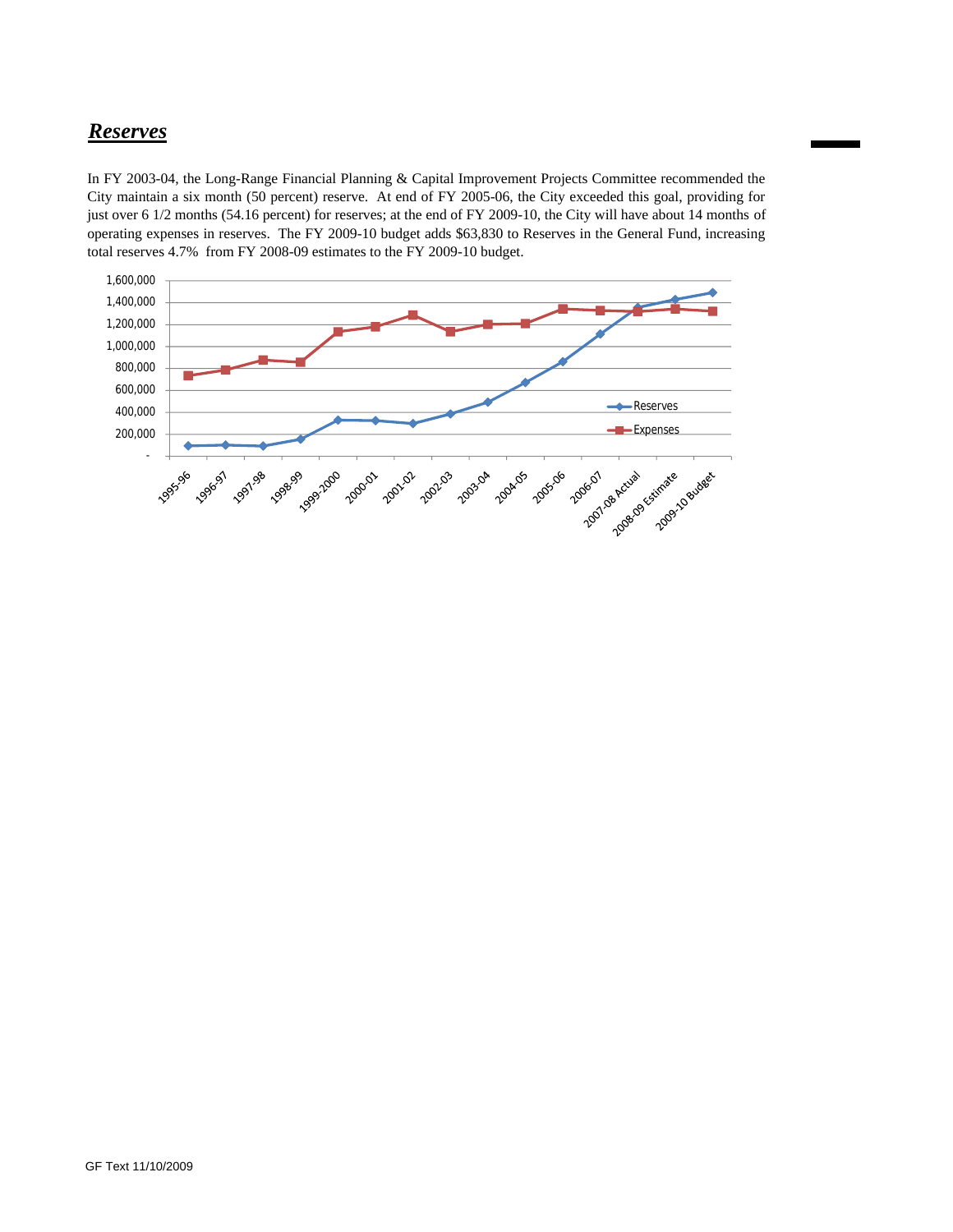## *Reserves*

In FY 2003-04, the Long-Range Financial Planning & Capital Improvement Projects Committee recommended the City maintain a six month (50 percent) reserve. At end of FY 2005-06, the City exceeded this goal, providing for just over 6 1/2 months (54.16 percent) for reserves; at the end of FY 2009-10, the City will have about 14 months of operating expenses in reserves. The FY 2009-10 budget adds \$63,830 to Reserves in the General Fund, increasing total reserves 4.7% from FY 2008-09 estimates to the FY 2009-10 budget.

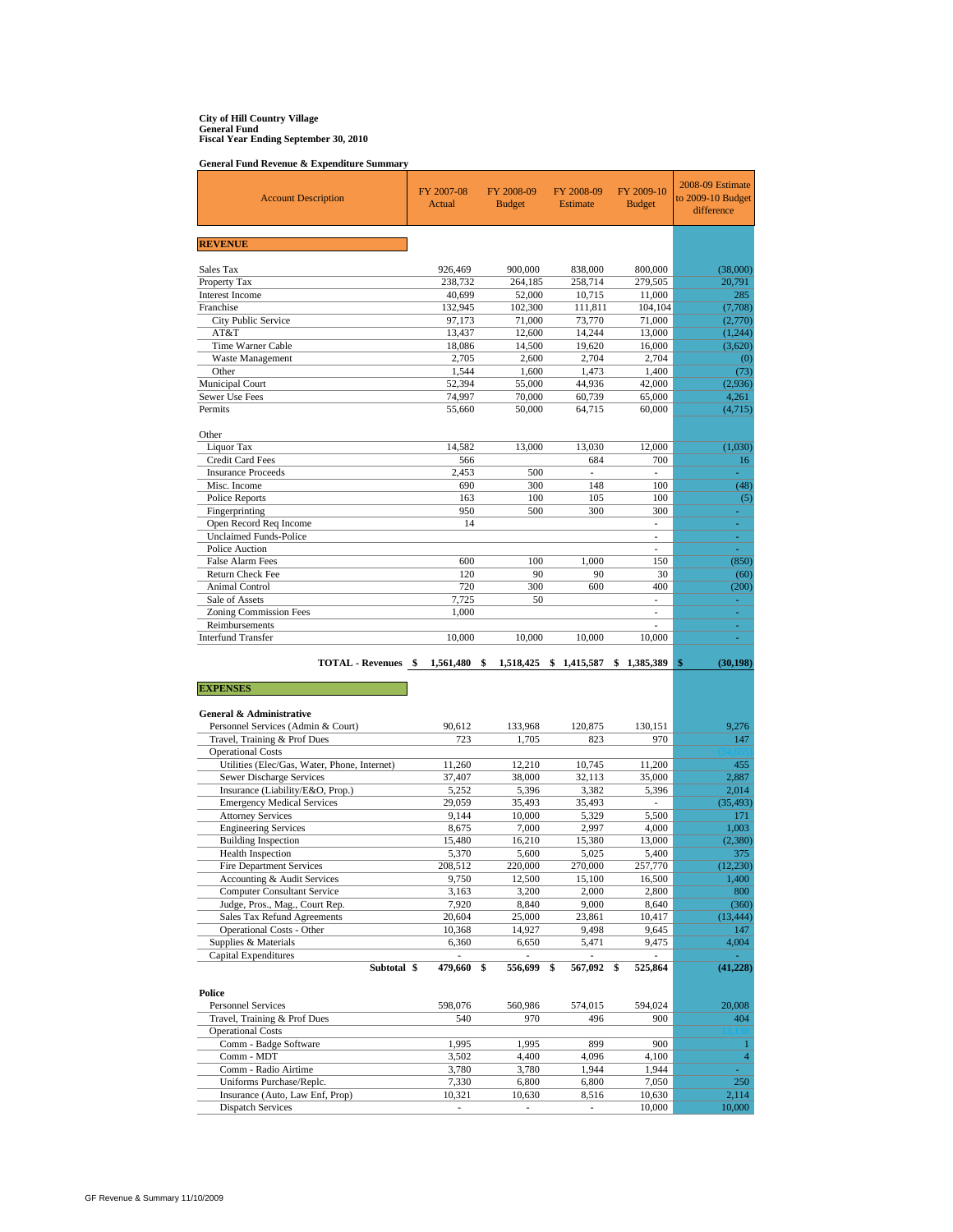# **City of Hill Country Village General Fund Fiscal Year Ending September 30, 2010**

**General Fund Revenue & Expenditure Summary**

| <b>Account Description</b>                                    | FY 2007-08<br>Actual | FY 2008-09<br><b>Budget</b> | FY 2008-09<br><b>Estimate</b> | FY 2009-10<br><b>Budget</b>                          | 2008-09 Estimate<br>to 2009-10 Budget<br>difference |
|---------------------------------------------------------------|----------------------|-----------------------------|-------------------------------|------------------------------------------------------|-----------------------------------------------------|
| <b>REVENUE</b>                                                |                      |                             |                               |                                                      |                                                     |
| Sales Tax                                                     | 926,469              | 900,000                     | 838,000                       | 800,000                                              | (38,000)                                            |
| Property Tax                                                  | 238,732              | 264,185                     | 258,714                       | 279,505                                              | 20,791                                              |
| <b>Interest Income</b>                                        | 40,699               | 52,000                      | 10,715                        | 11,000                                               | 285                                                 |
| Franchise                                                     | 132,945              | 102,300                     | 111,811                       | 104,104                                              | (7,708)                                             |
| City Public Service<br>AT&T                                   | 97,173<br>13,437     | 71,000<br>12,600            | 73,770<br>14.244              | 71,000<br>13,000                                     | (2,770)<br>(1, 244)                                 |
| Time Warner Cable                                             | 18,086               | 14,500                      | 19,620                        | 16,000                                               | (3,620)                                             |
| Waste Management                                              | 2.705                | 2,600                       | 2,704                         | 2,704                                                | (0)                                                 |
| Other                                                         | 1,544                | 1,600                       | 1,473                         | 1,400                                                | (73)                                                |
| Municipal Court                                               | 52,394               | 55,000                      | 44,936                        | 42,000                                               | (2,936)                                             |
| Sewer Use Fees<br>Permits                                     | 74,997<br>55,660     | 70,000<br>50,000            | 60,739<br>64,715              | 65,000<br>60,000                                     | 4,261<br>(4,715)                                    |
|                                                               |                      |                             |                               |                                                      |                                                     |
| Other                                                         |                      |                             |                               |                                                      |                                                     |
| Liquor Tax<br>Credit Card Fees                                | 14,582<br>566        | 13,000                      | 13,030<br>684                 | 12,000<br>700                                        | (1,030)<br>16                                       |
| <b>Insurance Proceeds</b>                                     | 2,453                | 500                         | ÷,                            | ÷,                                                   | a.                                                  |
| Misc. Income                                                  | 690                  | 300                         | 148                           | 100                                                  | (48)                                                |
| <b>Police Reports</b>                                         | 163                  | 100                         | 105                           | 100                                                  | (5)                                                 |
| Fingerprinting                                                | 950                  | 500                         | 300                           | 300                                                  |                                                     |
| Open Record Req Income<br><b>Unclaimed Funds-Police</b>       | 14                   |                             |                               | $\overline{\phantom{a}}$<br>$\overline{\phantom{0}}$ | ä,<br>÷,                                            |
| Police Auction                                                |                      |                             |                               | L.                                                   | ÷.                                                  |
| False Alarm Fees                                              | 600                  | 100                         | 1.000                         | 150                                                  | (850)                                               |
| Return Check Fee                                              | 120                  | 90                          | 90                            | 30                                                   | (60)                                                |
| Animal Control                                                | 720                  | 300                         | 600                           | 400                                                  | (200)                                               |
| Sale of Assets<br><b>Zoning Commission Fees</b>               | 7,725<br>1,000       | 50                          |                               | ä,<br>÷                                              | ÷.<br>÷,                                            |
| Reimbursements                                                |                      |                             |                               |                                                      | ٠                                                   |
| <b>Interfund Transfer</b>                                     | 10,000               | 10,000                      | 10,000                        | 10,000                                               | ä,                                                  |
|                                                               |                      |                             |                               |                                                      |                                                     |
|                                                               |                      |                             |                               |                                                      |                                                     |
| TOTAL - Revenues \$                                           | 1,561,480            | \$<br>1,518,425             | \$1,415,587                   | \$1,385,389                                          | (30, 198)<br>\$                                     |
| <b>EXPENSES</b>                                               |                      |                             |                               |                                                      |                                                     |
|                                                               |                      |                             |                               |                                                      |                                                     |
| General & Administrative                                      |                      |                             |                               |                                                      |                                                     |
| Personnel Services (Admin & Court)                            | 90,612               | 133,968                     | 120,875                       | 130,151                                              | 9,276                                               |
| Travel, Training & Prof Dues<br><b>Operational Costs</b>      | 723                  | 1,705                       | 823                           | 970                                                  | 147                                                 |
| Utilities (Elec/Gas, Water, Phone, Internet)                  | 11,260               | 12,210                      | 10,745                        | 11,200                                               | 455                                                 |
| Sewer Discharge Services                                      | 37,407               | 38,000                      | 32,113                        | 35,000                                               | 2,887                                               |
| Insurance (Liability/E&O, Prop.)                              | 5,252                | 5,396                       | 3,382                         | 5,396                                                | 2,014                                               |
| <b>Emergency Medical Services</b>                             | 29,059               | 35,493                      | 35,493                        |                                                      | (35, 493)                                           |
| <b>Attorney Services</b><br><b>Engineering Services</b>       | 9,144<br>8,675       | 10,000<br>7,000             | 5,329<br>2,997                | 5,500<br>4,000                                       | 171<br>1,003                                        |
| <b>Building Inspection</b>                                    | 15,480               | 16,210                      | 15,380                        | 13,000                                               | (2,380)                                             |
| <b>Health Inspection</b>                                      | 5,370                | 5,600                       | 5,025                         | 5,400                                                | 375                                                 |
| <b>Fire Department Services</b>                               | 208,512              | 220,000                     | 270,000                       | 257,770                                              | (12, 230)                                           |
| Accounting & Audit Services                                   | 9,750                | 12,500                      | 15,100                        | 16,500                                               | 1,400                                               |
| <b>Computer Consultant Service</b>                            | 3,163                | 3,200                       | 2,000                         | 2,800                                                | 800<br>(360)                                        |
| Judge, Pros., Mag., Court Rep.<br>Sales Tax Refund Agreements | 7,920<br>20,604      | 8,840<br>25,000             | 9,000<br>23,861               | 8,640<br>10,417                                      | (13, 444)                                           |
| <b>Operational Costs - Other</b>                              | 10,368               | 14,927                      | 9,498                         | 9,645                                                | 147                                                 |
| Supplies & Materials                                          | 6,360                | 6,650                       | 5,471                         | 9,475                                                | 4,004                                               |
| Capital Expenditures                                          | ÷,                   |                             |                               |                                                      |                                                     |
| Subtotal \$                                                   | 479,660              | \$<br>556,699               | \$<br>567,092                 | \$<br>525,864                                        | (41, 228)                                           |
| Police                                                        |                      |                             |                               |                                                      |                                                     |
| <b>Personnel Services</b>                                     | 598,076              | 560,986                     | 574,015                       | 594,024                                              | 20,008                                              |
| Travel, Training & Prof Dues<br><b>Operational Costs</b>      | 540                  | 970                         | 496                           | 900                                                  | 404                                                 |
| Comm - Badge Software                                         | 1,995                | 1,995                       | 899                           | 900                                                  | $\mathbf{1}$                                        |
| Comm - MDT                                                    | 3,502                | 4,400                       | 4,096                         | 4,100                                                | $\overline{4}$                                      |
| Comm - Radio Airtime                                          | 3,780                | 3,780                       | 1,944                         | 1,944                                                | ä,                                                  |
| Uniforms Purchase/Replc.<br>Insurance (Auto, Law Enf, Prop)   | 7,330<br>10,321      | 6,800<br>10,630             | 6,800<br>8,516                | 7,050<br>10,630                                      | 250<br>2,114                                        |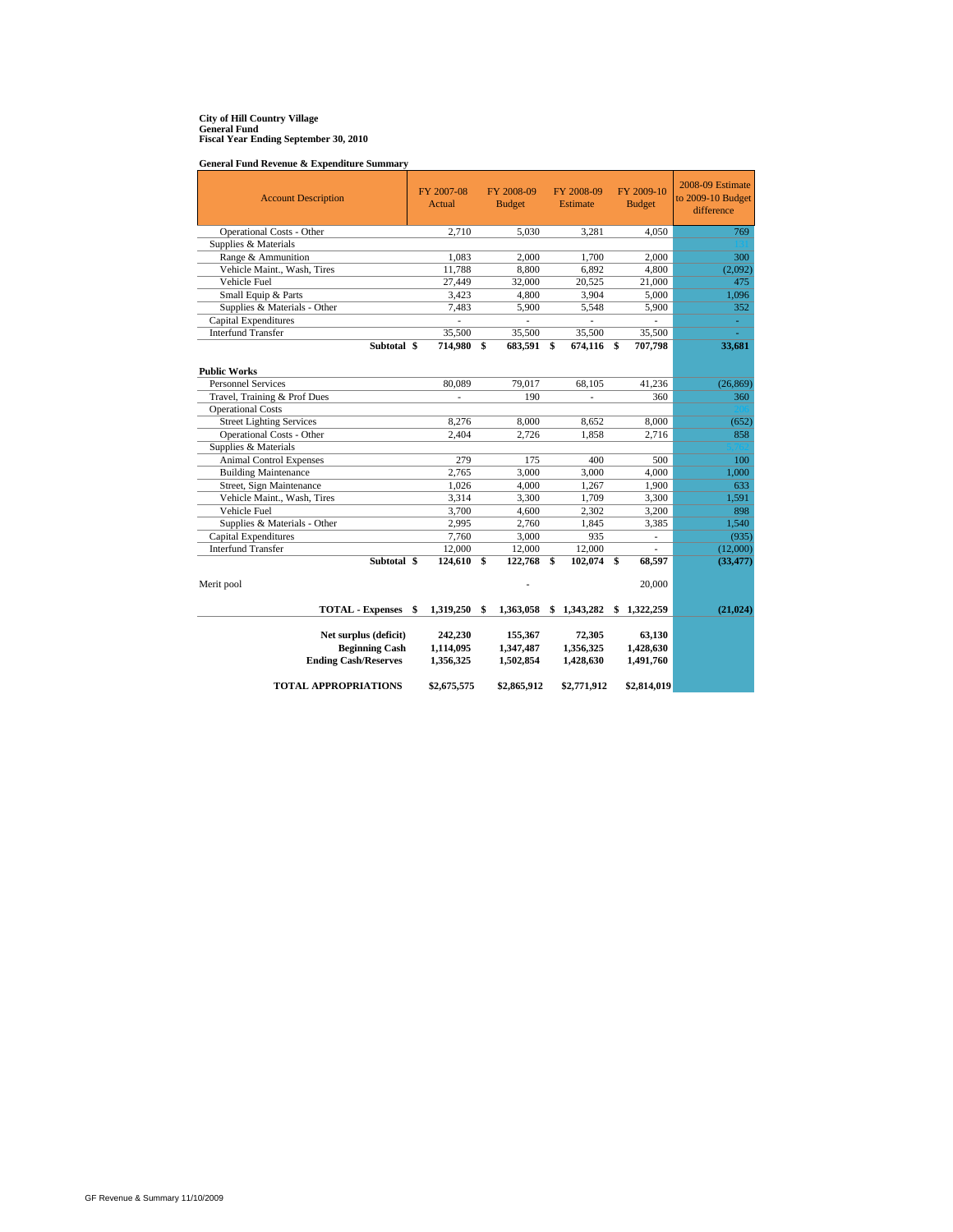# **City of Hill Country Village General Fund Fiscal Year Ending September 30, 2010**

**General Fund Revenue & Expenditure Summary**

| <b>Account Description</b>      | FY 2007-08<br>Actual |               | FY 2008-09<br><b>Budget</b> | FY 2008-09<br>Estimate | FY 2009-10<br><b>Budget</b> | 2008-09 Estimate<br>to 2009-10 Budget<br>difference |
|---------------------------------|----------------------|---------------|-----------------------------|------------------------|-----------------------------|-----------------------------------------------------|
| Operational Costs - Other       | 2,710                |               | 5,030                       | 3,281                  | 4,050                       | 769                                                 |
| Supplies & Materials            |                      |               |                             |                        |                             |                                                     |
| Range & Ammunition              | 1,083                |               | 2,000                       | 1,700                  | 2.000                       | 300                                                 |
| Vehicle Maint., Wash, Tires     | 11,788               |               | 8,800                       | 6,892                  | 4,800                       | (2,092)                                             |
| Vehicle Fuel                    | 27,449               |               | 32,000                      | 20,525                 | 21,000                      | 475                                                 |
| Small Equip & Parts             | 3,423                |               | 4,800                       | 3,904                  | 5,000                       | 1,096                                               |
| Supplies & Materials - Other    | 7,483                |               | 5,900                       | 5,548                  | 5,900                       | 352                                                 |
| Capital Expenditures            |                      |               |                             |                        |                             | ÷.                                                  |
| <b>Interfund Transfer</b>       | 35,500               |               | 35,500                      | 35,500                 | 35,500                      |                                                     |
| Subtotal \$                     | 714,980              | <sup>\$</sup> | 683,591                     | \$<br>674,116 \$       | 707,798                     | 33,681                                              |
| <b>Public Works</b>             |                      |               |                             |                        |                             |                                                     |
| <b>Personnel Services</b>       | 80,089               |               | 79,017                      | 68,105                 | 41,236                      | (26, 869)                                           |
| Travel, Training & Prof Dues    | L.                   |               | 190                         | ÷.                     | 360                         | 360                                                 |
| <b>Operational Costs</b>        |                      |               |                             |                        |                             |                                                     |
| <b>Street Lighting Services</b> | 8,276                |               | 8,000                       | 8.652                  | 8,000                       | (652)                                               |
| Operational Costs - Other       | 2,404                |               | 2,726                       | 1,858                  | 2,716                       | 858                                                 |
| Supplies & Materials            |                      |               |                             |                        |                             |                                                     |
| <b>Animal Control Expenses</b>  | 279                  |               | 175                         | 400                    | 500                         | 100                                                 |
| <b>Building Maintenance</b>     | 2,765                |               | 3,000                       | 3,000                  | 4,000                       | 1,000                                               |
| Street, Sign Maintenance        | 1,026                |               | 4,000                       | 1,267                  | 1,900                       | 633                                                 |
| Vehicle Maint., Wash, Tires     | 3,314                |               | 3,300                       | 1,709                  | 3,300                       | 1,591                                               |
| Vehicle Fuel                    | 3.700                |               | 4,600                       | 2.302                  | 3.200                       | 898                                                 |
| Supplies & Materials - Other    | 2,995                |               | 2,760                       | 1,845                  | 3,385                       | 1,540                                               |
| Capital Expenditures            | 7,760                |               | 3,000                       | 935                    | ä,                          | (935)                                               |
| <b>Interfund Transfer</b>       | 12,000               |               | 12,000                      | 12,000                 |                             | (12,000)                                            |
| Subtotal \$                     | 124,610              | \$            | 122,768                     | \$<br>102,074          | \$<br>68,597                | (33, 477)                                           |
| Merit pool                      |                      |               |                             |                        | 20,000                      |                                                     |
| <b>TOTAL - Expenses</b>         | \$<br>1,319,250      | \$            | 1,363,058                   | \$<br>1,343,282        | \$1,322,259                 | (21, 024)                                           |
|                                 |                      |               |                             |                        |                             |                                                     |
| Net surplus (deficit)           | 242,230              |               | 155,367                     | 72,305                 | 63,130                      |                                                     |
| <b>Beginning Cash</b>           | 1,114,095            |               | 1,347,487                   | 1,356,325              | 1,428,630                   |                                                     |
| <b>Ending Cash/Reserves</b>     | 1,356,325            |               | 1,502,854                   | 1,428,630              | 1,491,760                   |                                                     |
| <b>TOTAL APPROPRIATIONS</b>     | \$2,675,575          |               | \$2,865,912                 | \$2,771,912            | \$2,814,019                 |                                                     |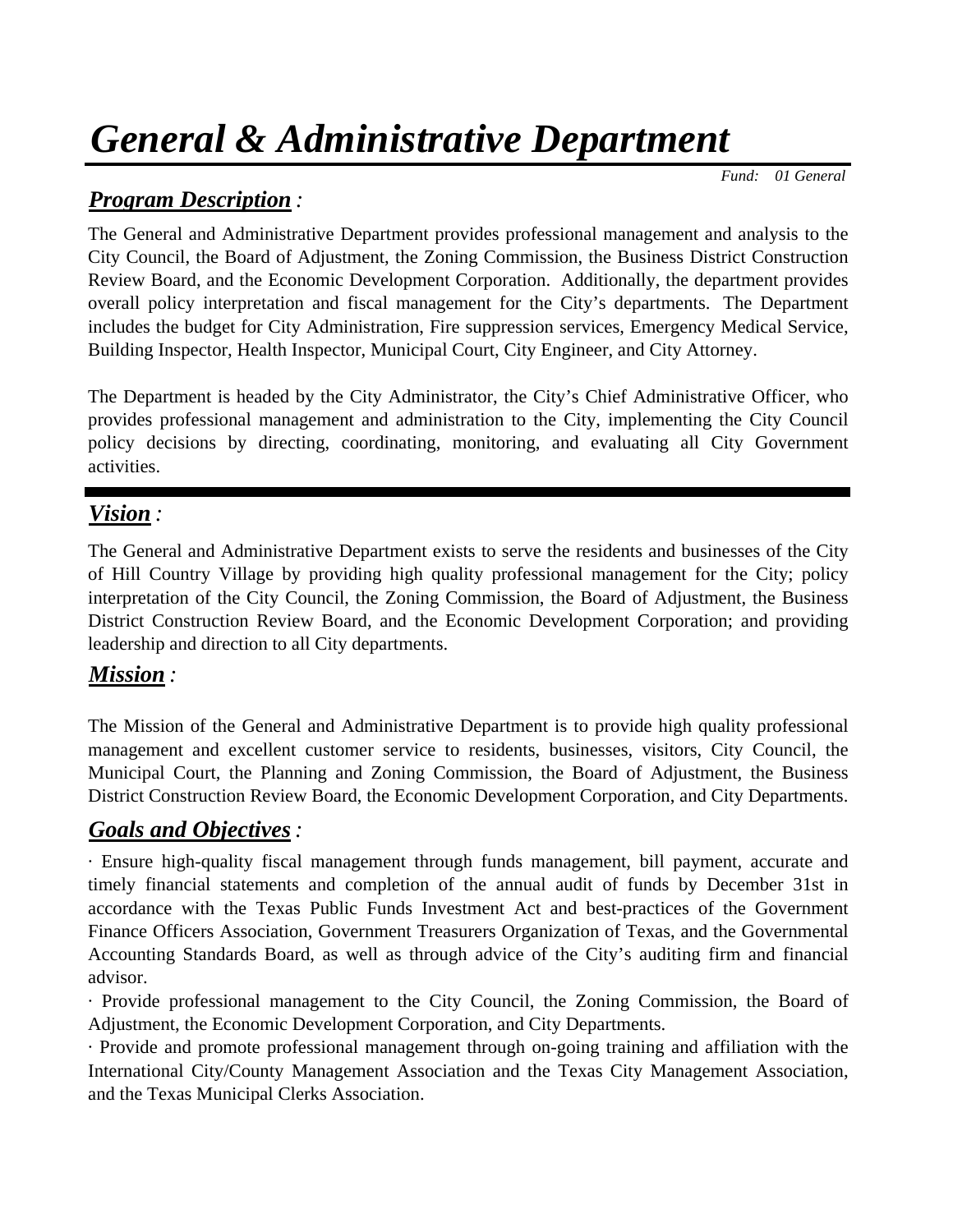# *General & Administrative Department*

 *Fund: 01 General*

## *Program Description :*

The General and Administrative Department provides professional management and analysis to the City Council, the Board of Adjustment, the Zoning Commission, the Business District Construction Review Board, and the Economic Development Corporation. Additionally, the department provides overall policy interpretation and fiscal management for the City's departments. The Department includes the budget for City Administration, Fire suppression services, Emergency Medical Service, Building Inspector, Health Inspector, Municipal Court, City Engineer, and City Attorney.

The Department is headed by the City Administrator, the City's Chief Administrative Officer, who provides professional management and administration to the City, implementing the City Council policy decisions by directing, coordinating, monitoring, and evaluating all City Government activities.

## *Vision :*

The General and Administrative Department exists to serve the residents and businesses of the City of Hill Country Village by providing high quality professional management for the City; policy interpretation of the City Council, the Zoning Commission, the Board of Adjustment, the Business District Construction Review Board, and the Economic Development Corporation; and providing leadership and direction to all City departments.

## *Mission :*

The Mission of the General and Administrative Department is to provide high quality professional management and excellent customer service to residents, businesses, visitors, City Council, the Municipal Court, the Planning and Zoning Commission, the Board of Adjustment, the Business District Construction Review Board, the Economic Development Corporation, and City Departments.

## *Goals and Objectives:*

· Ensure high-quality fiscal management through funds management, bill payment, accurate and timely financial statements and completion of the annual audit of funds by December 31st in accordance with the Texas Public Funds Investment Act and best-practices of the Government Finance Officers Association, Government Treasurers Organization of Texas, and the Governmental Accounting Standards Board, as well as through advice of the City's auditing firm and financial advisor.

· Provide professional management to the City Council, the Zoning Commission, the Board of Adjustment, the Economic Development Corporation, and City Departments.

· Provide and promote professional management through on-going training and affiliation with the International City/County Management Association and the Texas City Management Association, and the Texas Municipal Clerks Association.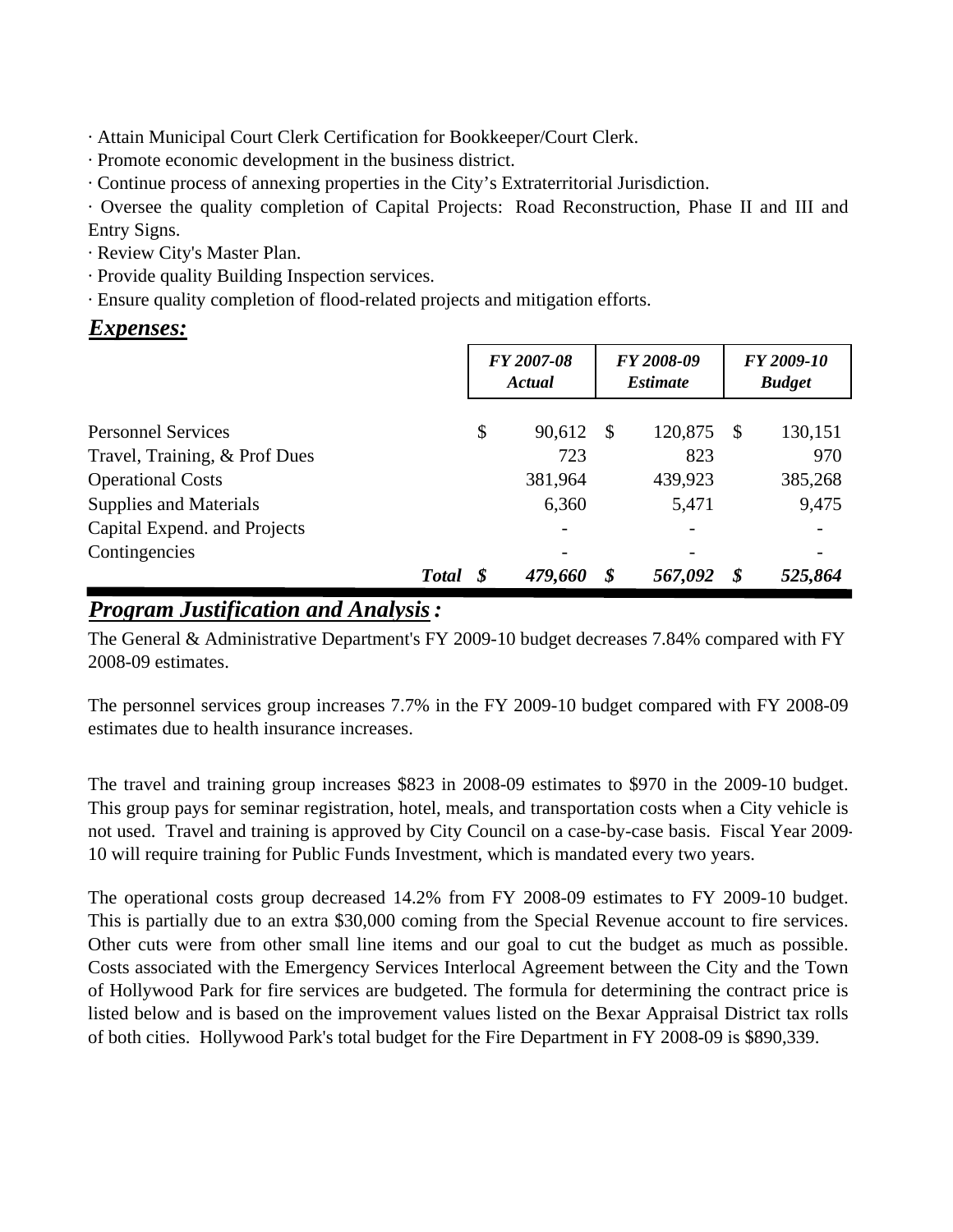· Attain Municipal Court Clerk Certification for Bookkeeper/Court Clerk.

- · Promote economic development in the business district.
- · Continue process of annexing properties in the City's Extraterritorial Jurisdiction.

· Oversee the quality completion of Capital Projects: Road Reconstruction, Phase II and III and Entry Signs.

- · Review City's Master Plan.
- · Provide quality Building Inspection services.
- · Ensure quality completion of flood-related projects and mitigation efforts.

## *Expenses:*

|                               | FY 2007-08<br>Actual |         |    | FY 2008-09<br><i><b>Estimate</b></i> |    | FY 2009-10<br><b>Budget</b> |  |
|-------------------------------|----------------------|---------|----|--------------------------------------|----|-----------------------------|--|
| <b>Personnel Services</b>     | \$                   | 90,612  | -S | 120,875                              | -S | 130,151                     |  |
| Travel, Training, & Prof Dues |                      | 723     |    | 823                                  |    | 970                         |  |
| <b>Operational Costs</b>      |                      | 381,964 |    | 439,923                              |    | 385,268                     |  |
| <b>Supplies and Materials</b> |                      | 6,360   |    | 5,471                                |    | 9,475                       |  |
| Capital Expend. and Projects  |                      |         |    |                                      |    |                             |  |
| Contingencies                 |                      |         |    |                                      |    |                             |  |
| <b>Total</b>                  |                      | 479,660 |    | 567,092                              | \$ | 525,864                     |  |

## *Program Justification and Analysis:*

The General & Administrative Department's FY 2009-10 budget decreases 7.84% compared with FY 2008-09 estimates.

The personnel services group increases 7.7% in the FY 2009-10 budget compared with FY 2008-09 estimates due to health insurance increases.

The travel and training group increases \$823 in 2008-09 estimates to \$970 in the 2009-10 budget. This group pays for seminar registration, hotel, meals, and transportation costs when a City vehicle is not used. Travel and training is approved by City Council on a case-by-case basis. Fiscal Year 2009- 10 will require training for Public Funds Investment, which is mandated every two years.

The operational costs group decreased 14.2% from FY 2008-09 estimates to FY 2009-10 budget. This is partially due to an extra \$30,000 coming from the Special Revenue account to fire services. Other cuts were from other small line items and our goal to cut the budget as much as possible. Costs associated with the Emergency Services Interlocal Agreement between the City and the Town of Hollywood Park for fire services are budgeted. The formula for determining the contract price is listed below and is based on the improvement values listed on the Bexar Appraisal District tax rolls of both cities. Hollywood Park's total budget for the Fire Department in FY 2008-09 is \$890,339.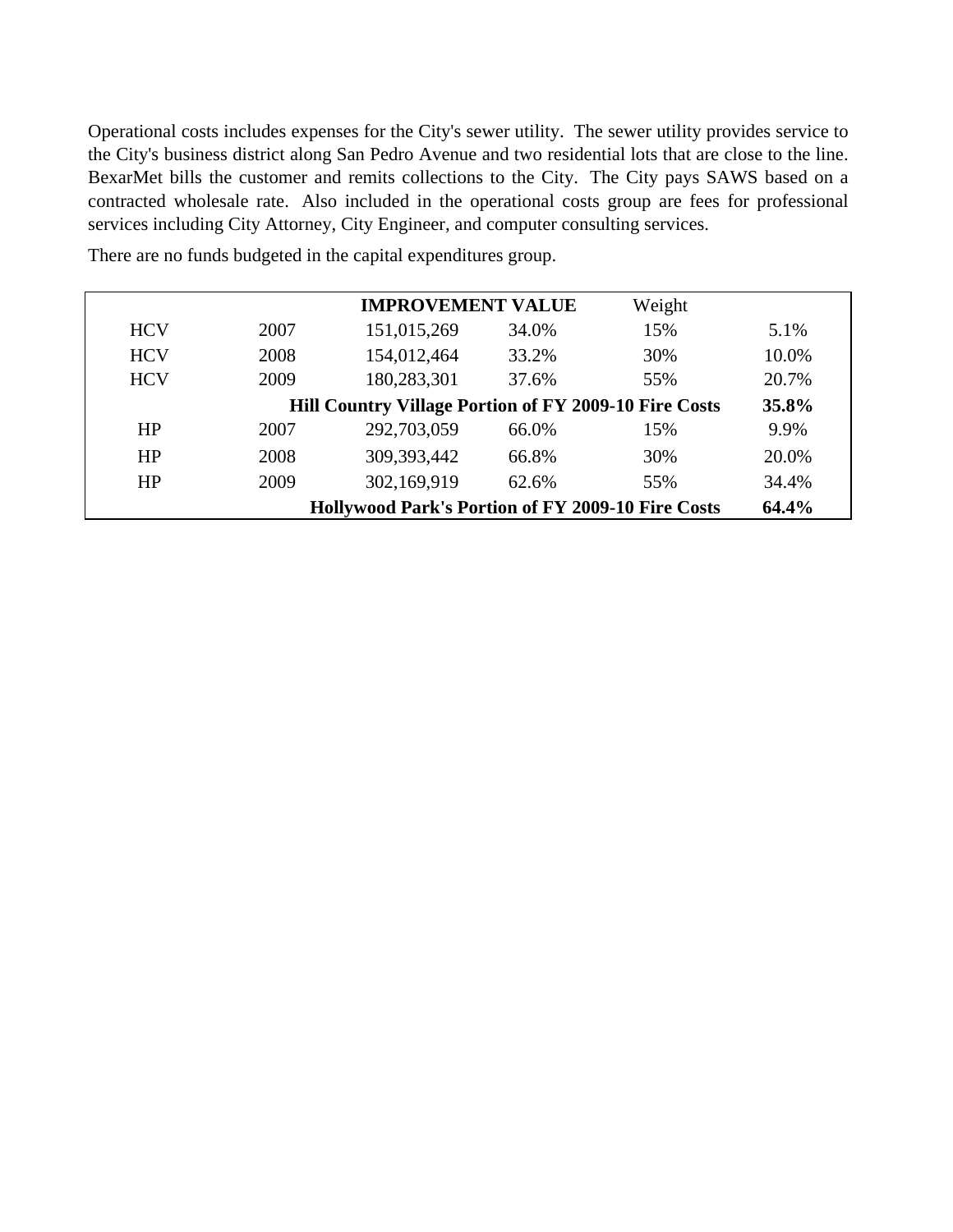Operational costs includes expenses for the City's sewer utility. The sewer utility provides service to the City's business district along San Pedro Avenue and two residential lots that are close to the line. BexarMet bills the customer and remits collections to the City. The City pays SAWS based on a contracted wholesale rate. Also included in the operational costs group are fees for professional services including City Attorney, City Engineer, and computer consulting services.

|            |      | <b>IMPROVEMENT VALUE</b>                                 |       | Weight |       |
|------------|------|----------------------------------------------------------|-------|--------|-------|
| <b>HCV</b> | 2007 | 151,015,269                                              | 34.0% | 15%    | 5.1%  |
| <b>HCV</b> | 2008 | 154,012,464                                              | 33.2% | 30%    | 10.0% |
| <b>HCV</b> | 2009 | 180,283,301                                              | 37.6% | 55%    | 20.7% |
|            |      | Hill Country Village Portion of FY 2009-10 Fire Costs    |       |        | 35.8% |
| HP         | 2007 | 292,703,059                                              | 66.0% | 15%    | 9.9%  |
| HP         | 2008 | 309, 393, 442                                            | 66.8% | 30%    | 20.0% |
| HP         | 2009 | 302,169,919                                              | 62.6% | 55%    | 34.4% |
|            |      | <b>Hollywood Park's Portion of FY 2009-10 Fire Costs</b> |       |        | 64.4% |

There are no funds budgeted in the capital expenditures group.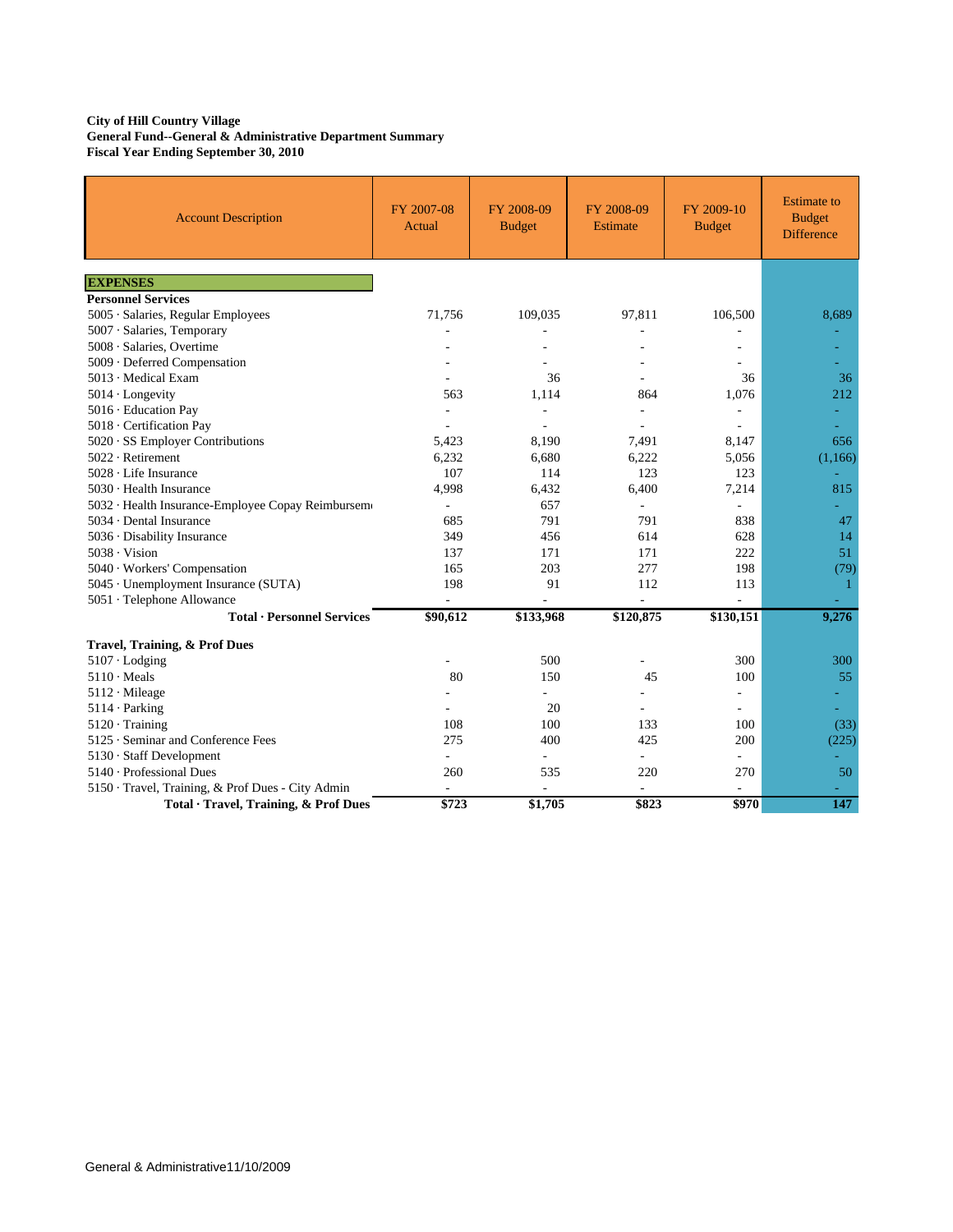#### **City of Hill Country Village General Fund--General & Administrative Department Summary Fiscal Year Ending September 30, 2010**

| <b>Account Description</b>                        | FY 2007-08<br>Actual | FY 2008-09<br><b>Budget</b> | FY 2008-09<br>Estimate   | FY 2009-10<br><b>Budget</b> | <b>Estimate</b> to<br><b>Budget</b><br><b>Difference</b> |
|---------------------------------------------------|----------------------|-----------------------------|--------------------------|-----------------------------|----------------------------------------------------------|
| <b>EXPENSES</b>                                   |                      |                             |                          |                             |                                                          |
| <b>Personnel Services</b>                         |                      |                             |                          |                             |                                                          |
| 5005 · Salaries, Regular Employees                | 71,756               | 109,035                     | 97,811                   | 106,500                     | 8,689                                                    |
| 5007 · Salaries, Temporary                        |                      |                             |                          |                             |                                                          |
| 5008 · Salaries, Overtime                         |                      |                             |                          |                             |                                                          |
| 5009 · Deferred Compensation                      |                      |                             |                          |                             |                                                          |
| 5013 · Medical Exam                               |                      | 36                          |                          | 36                          | 36                                                       |
| $5014 \cdot$ Longevity                            | 563                  | 1,114                       | 864                      | 1,076                       | 212                                                      |
| 5016 · Education Pay                              |                      |                             |                          | ÷,                          |                                                          |
| 5018 · Certification Pay                          |                      |                             |                          | $\overline{\phantom{a}}$    | ÷,                                                       |
| 5020 · SS Employer Contributions                  | 5,423                | 8,190                       | 7,491                    | 8,147                       | 656                                                      |
| 5022 · Retirement                                 | 6,232                | 6.680                       | 6.222                    | 5,056                       | (1,166)                                                  |
| $5028 \cdot$ Life Insurance                       | 107                  | 114                         | 123                      | 123                         |                                                          |
| 5030 · Health Insurance                           | 4,998                | 6,432                       | 6,400                    | 7,214                       | 815                                                      |
| 5032 · Health Insurance-Employee Copay Reimbursem | $\frac{1}{2}$        | 657                         | $\overline{\phantom{a}}$ | $\overline{\phantom{a}}$    |                                                          |
| 5034 · Dental Insurance                           | 685                  | 791                         | 791                      | 838                         | 47                                                       |
| 5036 · Disability Insurance                       | 349                  | 456                         | 614                      | 628                         | 14                                                       |
| $5038 \cdot V$ ision                              | 137                  | 171                         | 171                      | 222                         | 51                                                       |
| 5040 · Workers' Compensation                      | 165                  | 203                         | 277                      | 198                         | (79)                                                     |
| 5045 · Unemployment Insurance (SUTA)              | 198                  | 91                          | 112                      | 113                         | 1                                                        |
| 5051 · Telephone Allowance                        |                      | ä,                          |                          | L.                          |                                                          |
| <b>Total · Personnel Services</b>                 | \$90,612             | \$133,968                   | \$120,875                | \$130,151                   | 9,276                                                    |
| <b>Travel, Training, &amp; Prof Dues</b>          |                      |                             |                          |                             |                                                          |
| $5107 \cdot$ Lodging                              |                      | 500                         |                          | 300                         | 300                                                      |
| $5110 \cdot \text{Meals}$                         | 80                   | 150                         | 45                       | 100                         | 55                                                       |
| $5112 \cdot$ Mileage                              |                      | $\overline{\phantom{a}}$    | $\overline{a}$           | ÷,                          |                                                          |
| $5114 \cdot$ Parking                              |                      | 20                          |                          |                             |                                                          |
| $5120 \cdot$ Training                             | 108                  | 100                         | 133                      | 100                         | (33)                                                     |
| 5125 · Seminar and Conference Fees                | 275                  | 400                         | 425                      | 200                         | (225)                                                    |
| 5130 · Staff Development                          | ä,                   |                             | $\overline{\phantom{a}}$ |                             |                                                          |
| $5140 \cdot$ Professional Dues                    | 260                  | 535                         | 220                      | 270                         | 50                                                       |
| 5150 · Travel, Training, & Prof Dues - City Admin | L.                   |                             | $\overline{\phantom{a}}$ | $\overline{\phantom{a}}$    |                                                          |
| Total · Travel, Training, & Prof Dues             | \$723                | \$1,705                     | \$823                    | \$970                       | 147                                                      |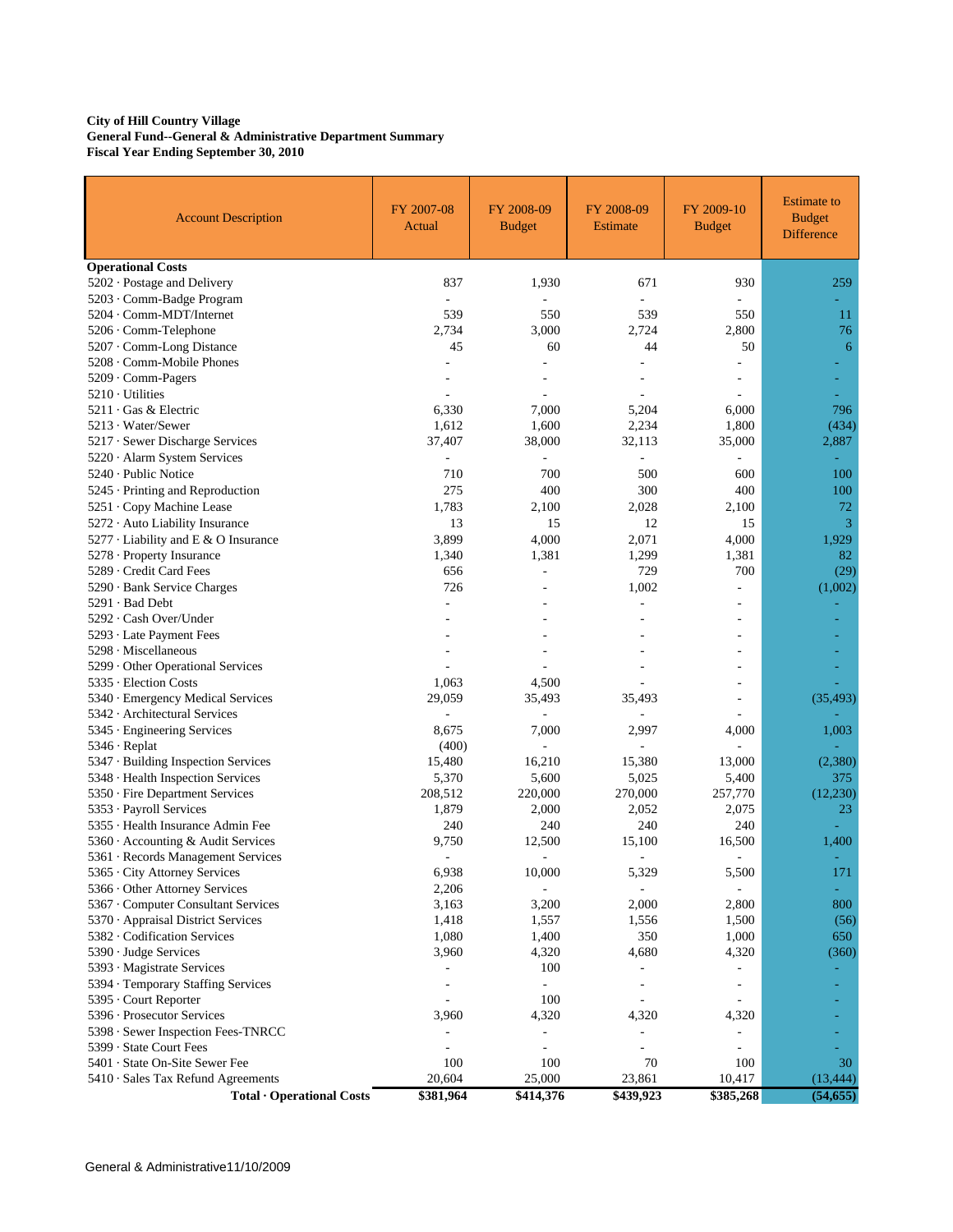#### **City of Hill Country Village General Fund--General & Administrative Department Summary Fiscal Year Ending September 30, 2010**

| <b>Account Description</b>           | FY 2007-08<br>Actual     | FY 2008-09<br><b>Budget</b> | FY 2008-09<br><b>Estimate</b> | FY 2009-10<br><b>Budget</b> | <b>Estimate to</b><br><b>Budget</b><br><b>Difference</b> |
|--------------------------------------|--------------------------|-----------------------------|-------------------------------|-----------------------------|----------------------------------------------------------|
| <b>Operational Costs</b>             |                          |                             |                               |                             |                                                          |
| 5202 · Postage and Delivery          | 837                      | 1,930                       | 671                           | 930                         | 259                                                      |
| 5203 · Comm-Badge Program            |                          |                             |                               |                             |                                                          |
| 5204 · Comm-MDT/Internet             | 539                      | 550                         | 539                           | 550                         | 11                                                       |
| 5206 · Comm-Telephone                | 2,734                    | 3,000                       | 2,724                         | 2,800                       | 76                                                       |
| 5207 Comm-Long Distance              | 45                       | 60                          | 44                            | 50                          | 6                                                        |
| 5208 · Comm-Mobile Phones            |                          |                             |                               |                             |                                                          |
| 5209 · Comm-Pagers                   |                          |                             |                               |                             |                                                          |
| $5210 \cdot$ Utilities               |                          |                             |                               | $\overline{\phantom{a}}$    |                                                          |
| $5211 \cdot Gas$ & Electric          | 6,330                    | 7,000                       | 5,204                         | 6,000                       | 796                                                      |
| 5213 · Water/Sewer                   | 1,612                    | 1,600                       | 2,234                         | 1,800                       | (434)                                                    |
| 5217 · Sewer Discharge Services      | 37,407                   | 38,000                      | 32,113                        | 35,000                      | 2,887                                                    |
| 5220 · Alarm System Services         | $\frac{1}{2}$            |                             |                               | ÷,                          | ÷                                                        |
| $5240 \cdot$ Public Notice           | 710                      | 700                         | 500                           | 600                         | 100                                                      |
| 5245 · Printing and Reproduction     | 275                      | 400                         | 300                           | 400                         | 100                                                      |
| 5251 · Copy Machine Lease            | 1,783                    | 2,100                       | 2,028                         | 2,100                       | 72                                                       |
| 5272 · Auto Liability Insurance      | 13                       | 15                          | 12                            | 15                          | 3                                                        |
| 5277 · Liability and E & O Insurance | 3,899                    | 4,000                       | 2,071                         | 4,000                       | 1,929                                                    |
| 5278 · Property Insurance            | 1,340                    | 1,381                       | 1,299                         | 1,381                       | 82                                                       |
| 5289 · Credit Card Fees              | 656                      | ÷,                          | 729                           | 700                         | (29)                                                     |
| 5290 · Bank Service Charges          | 726                      |                             | 1,002                         | $\overline{\phantom{a}}$    | (1,002)                                                  |
| $5291 \cdot$ Bad Debt                |                          |                             |                               |                             |                                                          |
| 5292 · Cash Over/Under               |                          |                             |                               |                             |                                                          |
| 5293 · Late Payment Fees             |                          |                             |                               |                             |                                                          |
| 5298 · Miscellaneous                 |                          |                             |                               |                             |                                                          |
| 5299 Other Operational Services      |                          |                             |                               |                             |                                                          |
| 5335 · Election Costs                | 1,063                    | 4,500                       |                               |                             |                                                          |
| 5340 · Emergency Medical Services    | 29,059                   | 35,493                      | 35,493                        |                             | (35, 493)                                                |
| 5342 · Architectural Services        |                          |                             |                               |                             |                                                          |
| 5345 · Engineering Services          | 8,675                    | 7,000                       | 2,997                         | 4,000                       | 1,003                                                    |
| $5346 \cdot$ Replat                  | (400)                    |                             |                               |                             |                                                          |
| 5347 · Building Inspection Services  | 15,480                   | 16,210                      | 15,380                        | 13,000                      | (2,380)                                                  |
| 5348 · Health Inspection Services    | 5,370                    | 5,600                       | 5,025                         | 5,400                       | 375                                                      |
| 5350 · Fire Department Services      | 208,512                  | 220,000                     | 270,000                       | 257,770                     | (12, 230)                                                |
| 5353 · Payroll Services              | 1,879                    | 2,000                       | 2,052                         | 2,075                       | 23                                                       |
| 5355 · Health Insurance Admin Fee    | 240                      | 240                         | 240                           | 240                         |                                                          |
| 5360 Accounting & Audit Services     | 9,750                    | 12,500                      | 15,100                        | 16,500                      | 1,400                                                    |
| 5361 · Records Management Services   |                          |                             |                               | $\overline{a}$              |                                                          |
| 5365 · City Attorney Services        | 6,938                    | 10,000                      | 5,329                         | 5,500                       | 171                                                      |
| 5366 Other Attorney Services         | 2,206                    | ٠                           | $\overline{\phantom{a}}$      | $\overline{a}$              | ÷                                                        |
| 5367 Computer Consultant Services    | 3,163                    | 3,200                       | 2,000                         | 2,800                       | 800                                                      |
| 5370 · Appraisal District Services   | 1,418                    | 1,557                       | 1,556                         | 1,500                       | (56)                                                     |
| 5382 Codification Services           | 1,080                    | 1,400                       | 350                           | 1,000                       | 650                                                      |
| 5390 · Judge Services                | 3,960                    | 4,320                       | 4,680                         | 4,320                       | (360)                                                    |
| 5393 · Magistrate Services           |                          | 100                         |                               |                             |                                                          |
| 5394 · Temporary Staffing Services   | ٠                        |                             |                               |                             |                                                          |
| 5395 · Court Reporter                | $\overline{\phantom{a}}$ | 100                         | $\overline{\phantom{a}}$      | $\overline{\phantom{a}}$    |                                                          |
| 5396 · Prosecutor Services           | 3,960                    | 4,320                       | 4,320                         | 4,320                       |                                                          |
| 5398 · Sewer Inspection Fees-TNRCC   |                          | ÷,                          |                               |                             |                                                          |
| 5399 · State Court Fees              | ٠                        | $\overline{a}$              |                               | $\overline{a}$              |                                                          |
| 5401 · State On-Site Sewer Fee       | 100                      | 100                         | 70                            | 100                         | 30                                                       |
| 5410 · Sales Tax Refund Agreements   | 20,604                   | 25,000                      | 23,861                        | 10,417                      | (13, 444)                                                |
| Total · Operational Costs            | \$381,964                | \$414,376                   | \$439,923                     | \$385,268                   | (54, 655)                                                |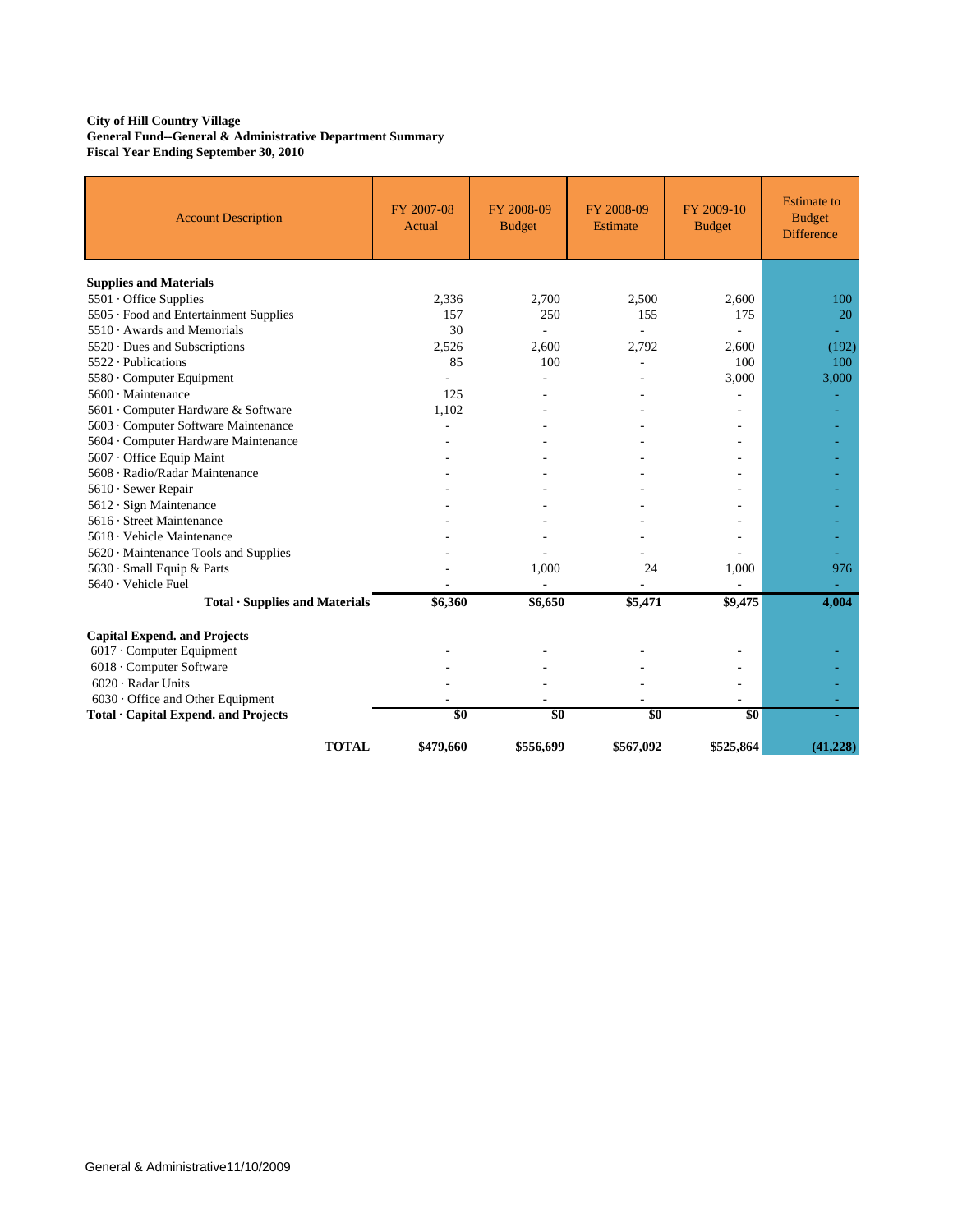#### **City of Hill Country Village General Fund--General & Administrative Department Summary Fiscal Year Ending September 30, 2010**

| <b>Account Description</b>              | FY 2007-08<br>Actual | FY 2008-09<br><b>Budget</b> | FY 2008-09<br>Estimate | FY 2009-10<br><b>Budget</b> | <b>Estimate</b> to<br><b>Budget</b><br><b>Difference</b> |
|-----------------------------------------|----------------------|-----------------------------|------------------------|-----------------------------|----------------------------------------------------------|
| <b>Supplies and Materials</b>           |                      |                             |                        |                             |                                                          |
| 5501 Office Supplies                    | 2,336                | 2,700                       | 2,500                  | 2,600                       | 100                                                      |
| 5505 · Food and Entertainment Supplies  | 157                  | 250                         | 155                    | 175                         | 20                                                       |
| $5510 \cdot$ Awards and Memorials       | 30                   |                             |                        |                             |                                                          |
| $5520 \cdot$ Dues and Subscriptions     | 2,526                | 2,600                       | 2,792                  | 2,600                       | (192)                                                    |
| 5522 · Publications                     | 85                   | 100                         |                        | 100                         | 100                                                      |
| 5580 Computer Equipment                 |                      |                             |                        | 3,000                       | 3,000                                                    |
| $5600 \cdot$ Maintenance                | 125                  |                             |                        |                             | ٠                                                        |
| 5601 Computer Hardware & Software       | 1,102                |                             |                        |                             |                                                          |
| 5603 · Computer Software Maintenance    |                      |                             |                        |                             |                                                          |
| 5604 · Computer Hardware Maintenance    |                      |                             |                        |                             |                                                          |
| 5607 · Office Equip Maint               |                      |                             |                        |                             |                                                          |
| 5608 · Radio/Radar Maintenance          |                      |                             |                        |                             |                                                          |
| 5610 · Sewer Repair                     |                      |                             |                        |                             |                                                          |
| 5612 · Sign Maintenance                 |                      |                             |                        |                             |                                                          |
| 5616 · Street Maintenance               |                      |                             |                        |                             |                                                          |
| 5618 · Vehicle Maintenance              |                      |                             |                        |                             |                                                          |
| 5620 Maintenance Tools and Supplies     |                      |                             |                        |                             |                                                          |
| 5630 · Small Equip & Parts              |                      | 1,000                       | 24                     | 1,000                       | 976                                                      |
| 5640 · Vehicle Fuel                     |                      |                             |                        |                             |                                                          |
| $Total ·$ Supplies and Materials        | \$6,360              | \$6,650                     | \$5,471                | \$9,475                     | 4,004                                                    |
| <b>Capital Expend. and Projects</b>     |                      |                             |                        |                             |                                                          |
| 6017 · Computer Equipment               |                      |                             |                        |                             |                                                          |
| 6018 · Computer Software                |                      |                             |                        |                             |                                                          |
| $6020 \cdot$ Radar Units                |                      |                             |                        |                             |                                                          |
| $6030 \cdot$ Office and Other Equipment |                      |                             |                        | ٠                           |                                                          |
| Total · Capital Expend. and Projects    | \$0                  | \$0                         | \$0                    | \$0                         |                                                          |
| <b>TOTAL</b>                            | \$479,660            | \$556,699                   | \$567,092              | \$525,864                   | (41.228)                                                 |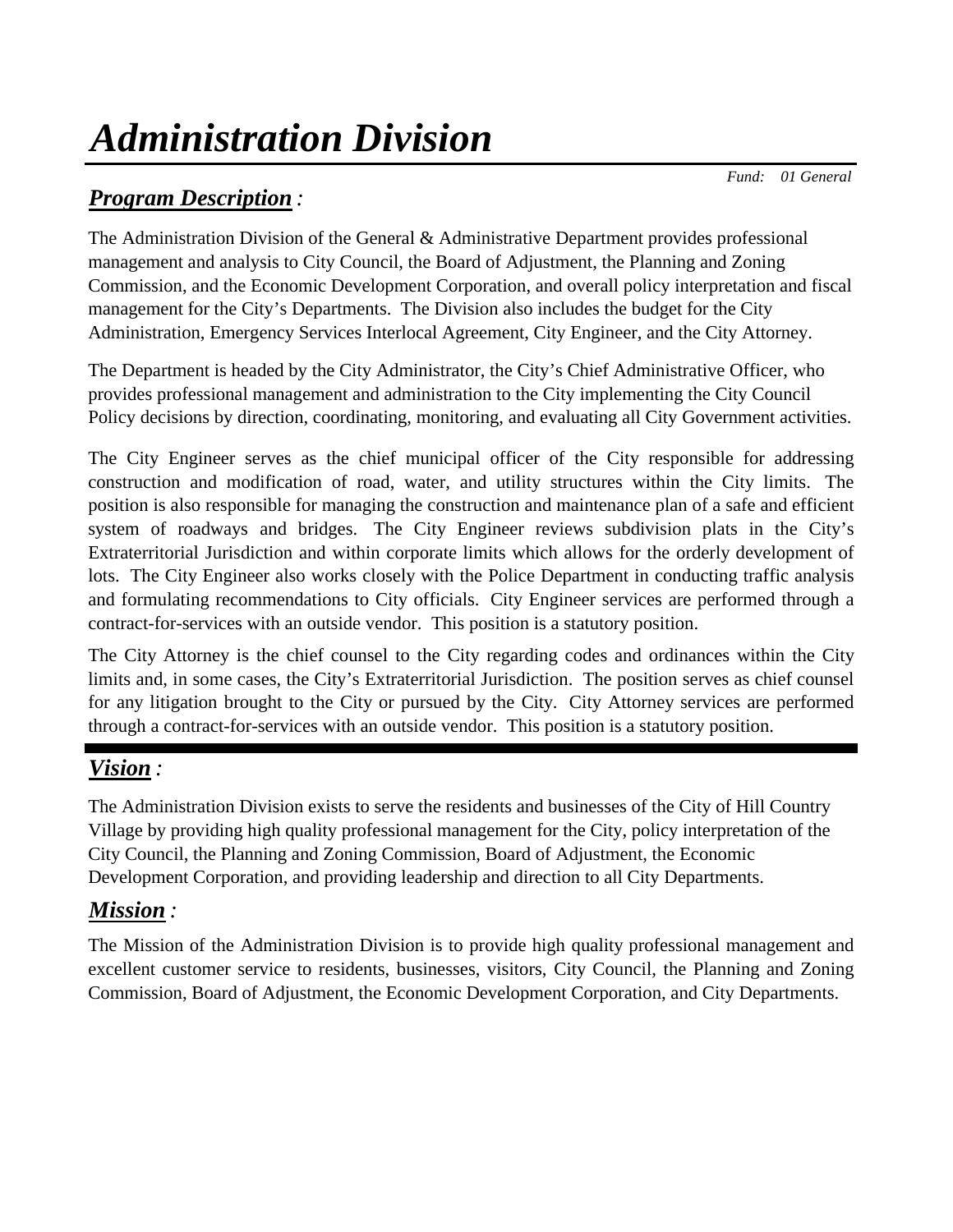# *Administration Division*

 *Fund: 01 General*

# *Program Description :*

The Administration Division of the General & Administrative Department provides professional management and analysis to City Council, the Board of Adjustment, the Planning and Zoning Commission, and the Economic Development Corporation, and overall policy interpretation and fiscal management for the City's Departments. The Division also includes the budget for the City Administration, Emergency Services Interlocal Agreement, City Engineer, and the City Attorney.

The Department is headed by the City Administrator, the City's Chief Administrative Officer, who provides professional management and administration to the City implementing the City Council Policy decisions by direction, coordinating, monitoring, and evaluating all City Government activities.

The City Engineer serves as the chief municipal officer of the City responsible for addressing construction and modification of road, water, and utility structures within the City limits. The position is also responsible for managing the construction and maintenance plan of a safe and efficient system of roadways and bridges. The City Engineer reviews subdivision plats in the City's Extraterritorial Jurisdiction and within corporate limits which allows for the orderly development of lots. The City Engineer also works closely with the Police Department in conducting traffic analysis and formulating recommendations to City officials. City Engineer services are performed through a contract-for-services with an outside vendor. This position is a statutory position.

The City Attorney is the chief counsel to the City regarding codes and ordinances within the City limits and, in some cases, the City's Extraterritorial Jurisdiction. The position serves as chief counsel for any litigation brought to the City or pursued by the City. City Attorney services are performed through a contract-for-services with an outside vendor. This position is a statutory position.

# *Vision :*

The Administration Division exists to serve the residents and businesses of the City of Hill Country Village by providing high quality professional management for the City, policy interpretation of the City Council, the Planning and Zoning Commission, Board of Adjustment, the Economic Development Corporation, and providing leadership and direction to all City Departments.

# *Mission :*

The Mission of the Administration Division is to provide high quality professional management and excellent customer service to residents, businesses, visitors, City Council, the Planning and Zoning Commission, Board of Adjustment, the Economic Development Corporation, and City Departments.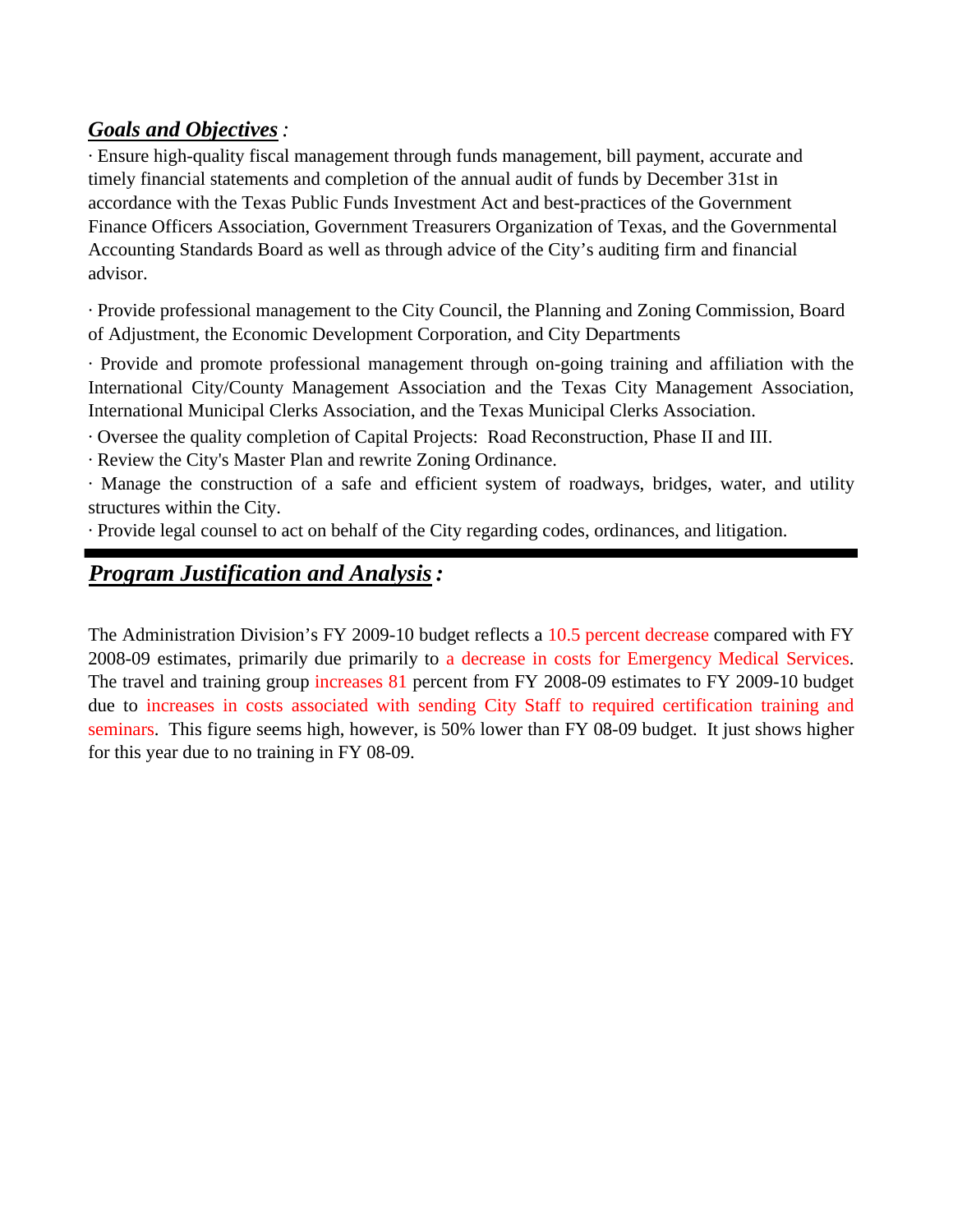## *Goals and Objectives:*

· Ensure high-quality fiscal management through funds management, bill payment, accurate and timely financial statements and completion of the annual audit of funds by December 31st in accordance with the Texas Public Funds Investment Act and best-practices of the Government Finance Officers Association, Government Treasurers Organization of Texas, and the Governmental Accounting Standards Board as well as through advice of the City's auditing firm and financial advisor.

· Provide professional management to the City Council, the Planning and Zoning Commission, Board of Adjustment, the Economic Development Corporation, and City Departments

· Provide and promote professional management through on-going training and affiliation with the International City/County Management Association and the Texas City Management Association, International Municipal Clerks Association, and the Texas Municipal Clerks Association.

· Oversee the quality completion of Capital Projects: Road Reconstruction, Phase II and III.

· Review the City's Master Plan and rewrite Zoning Ordinance.

· Manage the construction of a safe and efficient system of roadways, bridges, water, and utility structures within the City.

· Provide legal counsel to act on behalf of the City regarding codes, ordinances, and litigation.

# *Program Justification and Analysis:*

The Administration Division's FY 2009-10 budget reflects a 10.5 percent decrease compared with FY 2008-09 estimates, primarily due primarily to a decrease in costs for Emergency Medical Services. The travel and training group increases 81 percent from FY 2008-09 estimates to FY 2009-10 budget due to increases in costs associated with sending City Staff to required certification training and seminars. This figure seems high, however, is 50% lower than FY 08-09 budget. It just shows higher for this year due to no training in FY 08-09.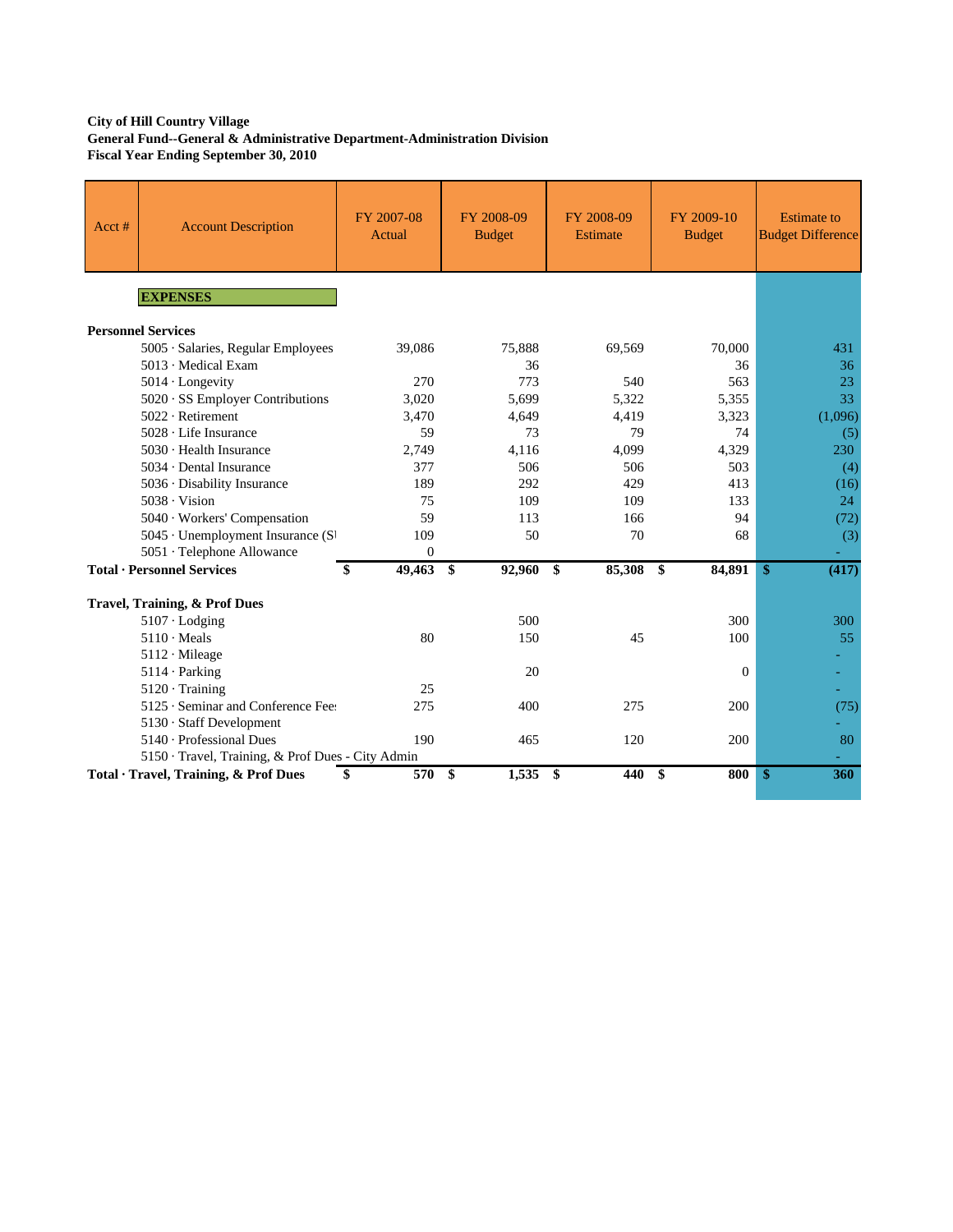### **City of Hill Country Village General Fund--General & Administrative Department-Administration Division Fiscal Year Ending September 30, 2010**

| Acct# | <b>Account Description</b>                        | FY 2007-08<br>Actual | FY 2008-09<br><b>Budget</b> | FY 2008-09<br><b>Estimate</b> | FY 2009-10<br><b>Budget</b> | <b>Estimate to</b><br><b>Budget Difference</b> |
|-------|---------------------------------------------------|----------------------|-----------------------------|-------------------------------|-----------------------------|------------------------------------------------|
|       | <b>EXPENSES</b>                                   |                      |                             |                               |                             |                                                |
|       | <b>Personnel Services</b>                         |                      |                             |                               |                             |                                                |
|       | 5005 · Salaries, Regular Employees                | 39,086               | 75,888                      | 69,569                        | 70,000                      | 431                                            |
|       | 5013 · Medical Exam                               |                      | 36                          |                               | 36                          | 36                                             |
|       | $5014$ · Longevity                                | 270                  | 773                         | 540                           | 563                         | 23                                             |
|       | 5020 · SS Employer Contributions                  | 3,020                | 5,699                       | 5,322                         | 5,355                       | 33                                             |
|       | $5022 \cdot$ Retirement                           | 3,470                | 4,649                       | 4,419                         | 3,323                       | (1,096)                                        |
|       | $5028 \cdot$ Life Insurance                       | 59                   | 73                          | 79                            | 74                          | (5)                                            |
|       | 5030 · Health Insurance                           | 2,749                | 4.116                       | 4,099                         | 4,329                       | 230                                            |
|       | 5034 · Dental Insurance                           | 377                  | 506                         | 506                           | 503                         | (4)                                            |
|       | 5036 · Disability Insurance                       | 189                  | 292                         | 429                           | 413                         | (16)                                           |
|       | $5038 \cdot \text{Vision}$                        | 75                   | 109                         | 109                           | 133                         | 24                                             |
|       | 5040 · Workers' Compensation                      | 59                   | 113                         | 166                           | 94                          | (72)                                           |
|       | 5045 · Unemployment Insurance (S)                 | 109                  | 50                          | 70                            | 68                          | (3)                                            |
|       | 5051 · Telephone Allowance                        | $\boldsymbol{0}$     |                             |                               |                             |                                                |
|       | <b>Total · Personnel Services</b>                 | 49,463<br>\$         | $\mathbf{\$}$<br>92,960     | 85,308<br>\$                  | 84,891<br>\$                | (417)<br><sup>\$</sup>                         |
|       | Travel, Training, & Prof Dues                     |                      |                             |                               |                             |                                                |
|       | $5107 \cdot$ Lodging                              |                      | 500                         |                               | 300                         | 300                                            |
|       | $5110 \cdot Meals$                                | 80                   | 150                         | 45                            | 100                         | 55                                             |
|       | $5112 \cdot$ Mileage                              |                      |                             |                               |                             |                                                |
|       | $5114 \cdot$ Parking                              |                      | 20                          |                               | $\Omega$                    |                                                |
|       | $5120 \cdot$ Training                             | 25                   |                             |                               |                             |                                                |
|       | 5125 · Seminar and Conference Fee:                | 275                  | 400                         | 275                           | 200                         | (75)                                           |
|       | 5130 · Staff Development                          |                      |                             |                               |                             |                                                |
|       | 5140 · Professional Dues                          | 190                  | 465                         | 120                           | 200                         | 80                                             |
|       | 5150 · Travel, Training, & Prof Dues - City Admin |                      |                             |                               |                             |                                                |
|       | Total · Travel, Training, & Prof Dues             | \$<br>570 \$         | $1,535$ \$                  | 440                           | \$<br>800                   | \$<br>360                                      |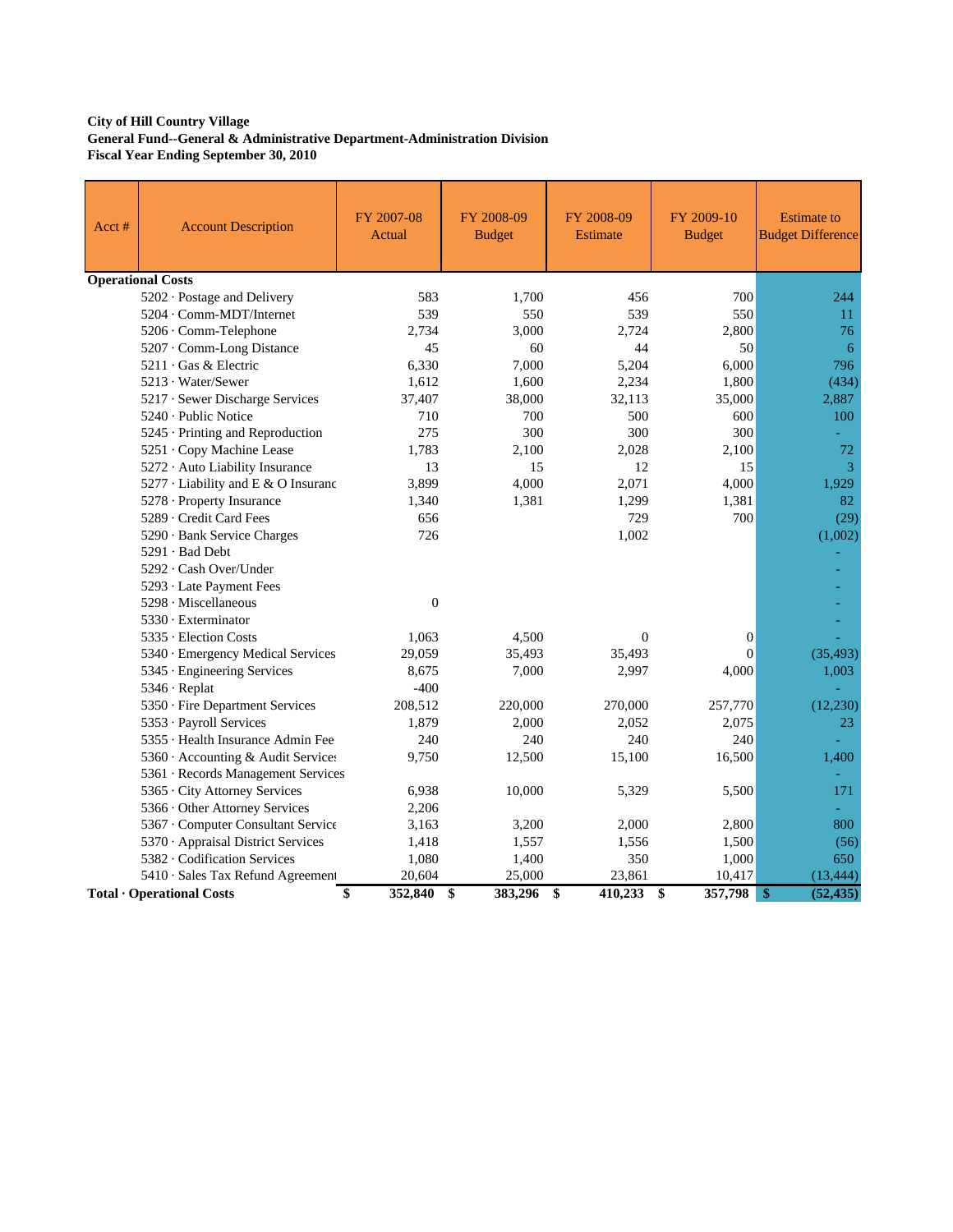### **City of Hill Country Village General Fund--General & Administrative Department-Administration Division Fiscal Year Ending September 30, 2010**

| Acct# | <b>Account Description</b>          | FY 2007-08<br>Actual | FY 2008-09<br><b>Budget</b> | FY 2008-09<br><b>Estimate</b> | FY 2009-10<br><b>Budget</b> | <b>Estimate to</b><br><b>Budget Difference</b> |
|-------|-------------------------------------|----------------------|-----------------------------|-------------------------------|-----------------------------|------------------------------------------------|
|       | <b>Operational Costs</b>            |                      |                             |                               |                             |                                                |
|       | 5202 · Postage and Delivery         | 583                  | 1,700                       | 456                           | 700                         | 244                                            |
|       | 5204 Comm-MDT/Internet              | 539                  | 550                         | 539                           | 550                         | 11                                             |
|       | 5206 · Comm-Telephone               | 2.734                | 3.000                       | 2.724                         | 2,800                       | 76                                             |
|       | 5207 Comm-Long Distance             | 45                   | 60                          | 44                            | 50                          | 6                                              |
|       | 5211 Gas & Electric                 | 6,330                | 7,000                       | 5,204                         | 6,000                       | 796                                            |
|       | 5213 · Water/Sewer                  | 1,612                | 1,600                       | 2,234                         | 1,800                       | (434)                                          |
|       | 5217 · Sewer Discharge Services     | 37,407               | 38,000                      | 32,113                        | 35,000                      | 2,887                                          |
|       | $5240 \cdot$ Public Notice          | 710                  | 700                         | 500                           | 600                         | 100                                            |
|       | 5245 · Printing and Reproduction    | 275                  | 300                         | 300                           | 300                         |                                                |
|       | 5251 · Copy Machine Lease           | 1,783                | 2,100                       | 2,028                         | 2,100                       | 72                                             |
|       | 5272 · Auto Liability Insurance     | 13                   | 15                          | 12                            | 15                          | 3                                              |
|       | 5277 · Liability and E & O Insuranc | 3,899                | 4,000                       | 2,071                         | 4,000                       | 1,929                                          |
|       | 5278 · Property Insurance           | 1,340                | 1,381                       | 1,299                         | 1,381                       | 82                                             |
|       | 5289 · Credit Card Fees             | 656                  |                             | 729                           | 700                         | (29)                                           |
|       | 5290 Bank Service Charges           | 726                  |                             | 1,002                         |                             | (1,002)                                        |
|       | 5291 · Bad Debt                     |                      |                             |                               |                             |                                                |
|       | 5292 · Cash Over/Under              |                      |                             |                               |                             |                                                |
|       | 5293 · Late Payment Fees            |                      |                             |                               |                             |                                                |
|       | $5298 \cdot$ Miscellaneous          | $\overline{0}$       |                             |                               |                             |                                                |
|       | 5330 · Exterminator                 |                      |                             |                               |                             |                                                |
|       | 5335 · Election Costs               | 1,063                | 4,500                       | $\Omega$                      | $\Omega$                    |                                                |
|       | 5340 · Emergency Medical Services   | 29,059               | 35,493                      | 35,493                        | $\theta$                    | (35, 493)                                      |
|       | 5345 · Engineering Services         | 8,675                | 7,000                       | 2,997                         | 4,000                       | 1,003                                          |
|       | 5346 · Replat                       | $-400$               |                             |                               |                             |                                                |
|       | 5350 · Fire Department Services     | 208,512              | 220,000                     | 270,000                       | 257,770                     | (12, 230)                                      |
|       | 5353 · Payroll Services             | 1,879                | 2,000                       | 2,052                         | 2,075                       | 23                                             |
|       | 5355 · Health Insurance Admin Fee   | 240                  | 240                         | 240                           | 240                         |                                                |
|       | 5360 · Accounting & Audit Services  | 9,750                | 12,500                      | 15,100                        | 16,500                      | 1,400                                          |
|       | 5361 · Records Management Services  |                      |                             |                               |                             |                                                |
|       | 5365 · City Attorney Services       | 6,938                | 10,000                      | 5,329                         | 5,500                       | 171                                            |
|       | 5366 · Other Attorney Services      | 2,206                |                             |                               |                             |                                                |
|       | 5367 · Computer Consultant Service  | 3,163                | 3,200                       | 2,000                         | 2,800                       | 800                                            |
|       | 5370 · Appraisal District Services  | 1,418                | 1,557                       | 1,556                         | 1,500                       | (56)                                           |
|       | 5382 Codification Services          | 1,080                | 1,400                       | 350                           | 1,000                       | 650                                            |
|       | 5410 · Sales Tax Refund Agreement   | 20,604               | 25,000                      | 23,861                        | 10,417                      | (13, 444)                                      |
|       | Total · Operational Costs           | \$<br>352,840        | \$<br>383,296               | \$<br>410,233                 | \$<br>357,798               | (52, 435)<br>$\sqrt[6]{3}$                     |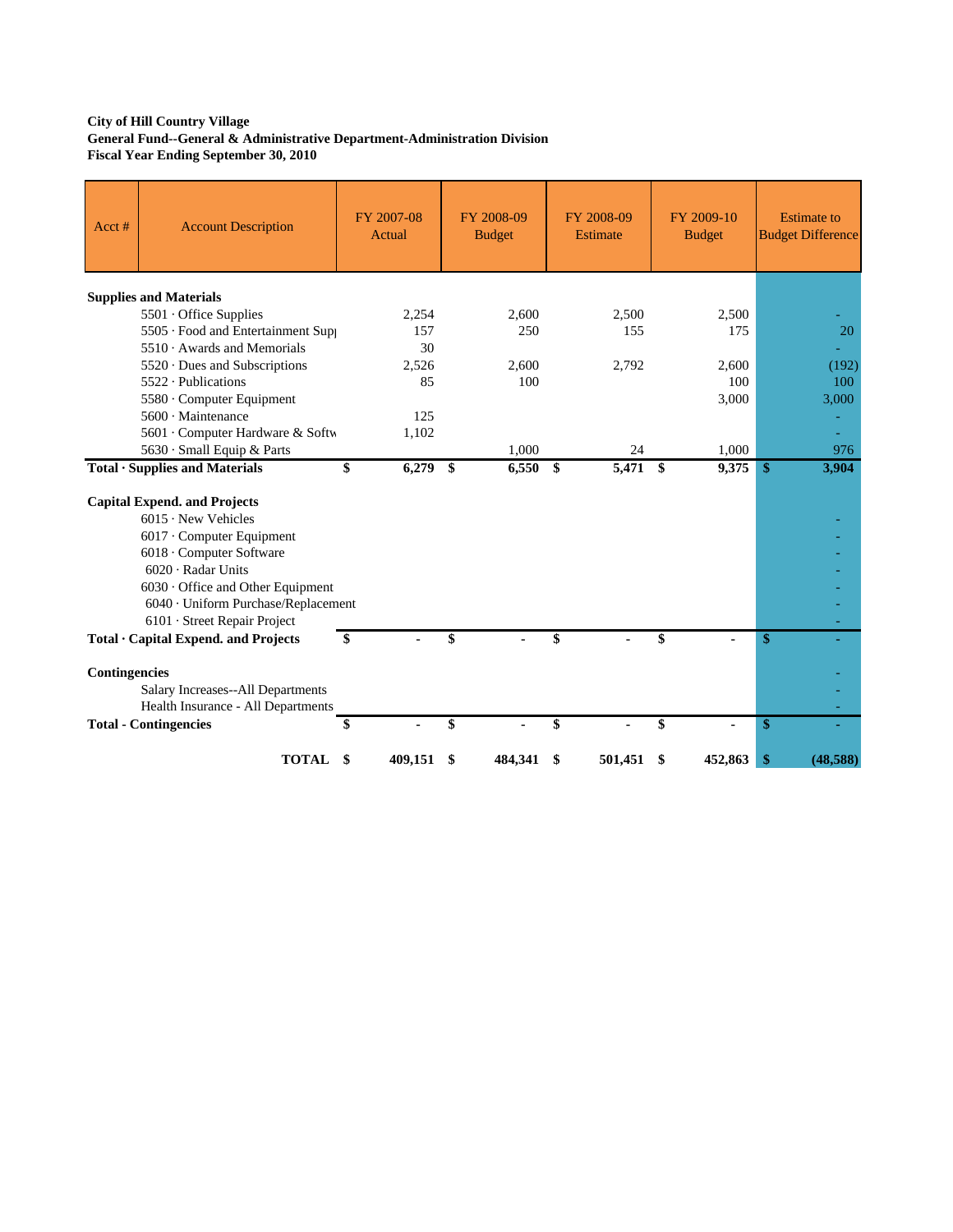### **City of Hill Country Village General Fund--General & Administrative Department-Administration Division Fiscal Year Ending September 30, 2010**

| Acct#         | <b>Account Description</b>                                                                                                                                                                                                                                                                        | FY 2007-08<br>Actual | FY 2008-09<br><b>Budget</b> | FY 2008-09<br><b>Estimate</b> |              | FY 2009-10<br><b>Budget</b> |               | <b>Estimate to</b><br><b>Budget Difference</b> |
|---------------|---------------------------------------------------------------------------------------------------------------------------------------------------------------------------------------------------------------------------------------------------------------------------------------------------|----------------------|-----------------------------|-------------------------------|--------------|-----------------------------|---------------|------------------------------------------------|
|               | <b>Supplies and Materials</b>                                                                                                                                                                                                                                                                     |                      |                             |                               |              |                             |               |                                                |
|               | 5501 Office Supplies                                                                                                                                                                                                                                                                              | 2,254                | 2.600                       | 2,500                         |              | 2,500                       |               |                                                |
|               | 5505 · Food and Entertainment Supp                                                                                                                                                                                                                                                                | 157                  | 250                         | 155                           |              | 175                         |               | 20                                             |
|               | 5510 Awards and Memorials                                                                                                                                                                                                                                                                         | 30                   |                             |                               |              |                             |               |                                                |
|               | 5520 · Dues and Subscriptions                                                                                                                                                                                                                                                                     | 2.526                | 2.600                       | 2,792                         |              | 2,600                       |               | (192)                                          |
|               | $5522 \cdot$ Publications                                                                                                                                                                                                                                                                         | 85                   | 100                         |                               |              | 100                         |               | 100                                            |
|               | 5580 Computer Equipment                                                                                                                                                                                                                                                                           |                      |                             |                               |              | 3,000                       |               | 3,000                                          |
|               | 5600 · Maintenance                                                                                                                                                                                                                                                                                | 125                  |                             |                               |              |                             |               |                                                |
|               | 5601 Computer Hardware & Softw                                                                                                                                                                                                                                                                    | 1,102                |                             |                               |              |                             |               |                                                |
|               | 5630 · Small Equip & Parts                                                                                                                                                                                                                                                                        |                      | 1.000                       | 24                            |              | 1,000                       |               | 976                                            |
|               | Total · Supplies and Materials                                                                                                                                                                                                                                                                    | \$<br>6,279          | \$<br>6,550                 | \$<br>5,471                   | $\mathbf{s}$ | 9,375                       | \$            | 3,904                                          |
|               | <b>Capital Expend. and Projects</b><br>$6015 \cdot$ New Vehicles<br>6017 · Computer Equipment<br>6018 · Computer Software<br>6020 · Radar Units<br>6030 Office and Other Equipment<br>6040 · Uniform Purchase/Replacement<br>6101 · Street Repair Project<br>Total · Capital Expend. and Projects | \$                   | \$                          | \$                            | \$           | ۰                           | \$            |                                                |
|               |                                                                                                                                                                                                                                                                                                   |                      |                             |                               |              |                             |               |                                                |
| Contingencies | Salary Increases--All Departments<br>Health Insurance - All Departments                                                                                                                                                                                                                           |                      |                             |                               |              |                             |               |                                                |
|               | <b>Total - Contingencies</b>                                                                                                                                                                                                                                                                      |                      |                             | \$                            | \$           |                             | $\mathbf{\$}$ |                                                |
|               | <b>TOTAL</b>                                                                                                                                                                                                                                                                                      | \$<br>409,151        | \$<br>484,341               | \$<br>501,451                 | \$           | 452,863                     | \$            | (48,588)                                       |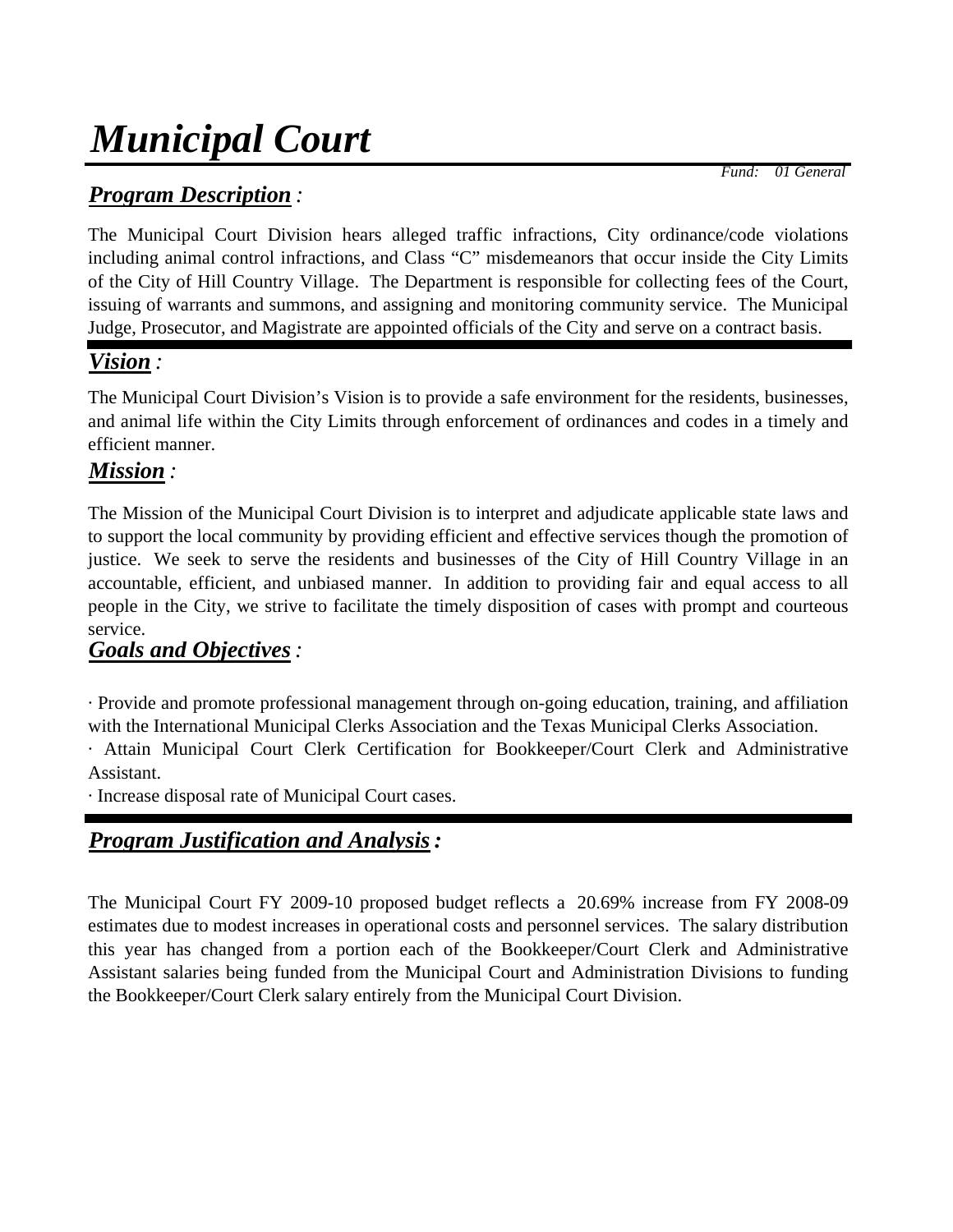# *Municipal Court*

*Program Description :*

 *Fund: 01 General*

The Municipal Court Division hears alleged traffic infractions, City ordinance/code violations including animal control infractions, and Class "C" misdemeanors that occur inside the City Limits of the City of Hill Country Village. The Department is responsible for collecting fees of the Court, issuing of warrants and summons, and assigning and monitoring community service. The Municipal Judge, Prosecutor, and Magistrate are appointed officials of the City and serve on a contract basis.

# *Vision :*

The Municipal Court Division's Vision is to provide a safe environment for the residents, businesses, and animal life within the City Limits through enforcement of ordinances and codes in a timely and efficient manner.

# *Mission :*

The Mission of the Municipal Court Division is to interpret and adjudicate applicable state laws and to support the local community by providing efficient and effective services though the promotion of justice. We seek to serve the residents and businesses of the City of Hill Country Village in an accountable, efficient, and unbiased manner. In addition to providing fair and equal access to all people in the City, we strive to facilitate the timely disposition of cases with prompt and courteous service.

## *Goals and Objectives:*

· Provide and promote professional management through on-going education, training, and affiliation with the International Municipal Clerks Association and the Texas Municipal Clerks Association.

· Attain Municipal Court Clerk Certification for Bookkeeper/Court Clerk and Administrative Assistant.

· Increase disposal rate of Municipal Court cases.

# *Program Justification and Analysis:*

The Municipal Court FY 2009-10 proposed budget reflects a 20.69% increase from FY 2008-09 estimates due to modest increases in operational costs and personnel services. The salary distribution this year has changed from a portion each of the Bookkeeper/Court Clerk and Administrative Assistant salaries being funded from the Municipal Court and Administration Divisions to funding the Bookkeeper/Court Clerk salary entirely from the Municipal Court Division.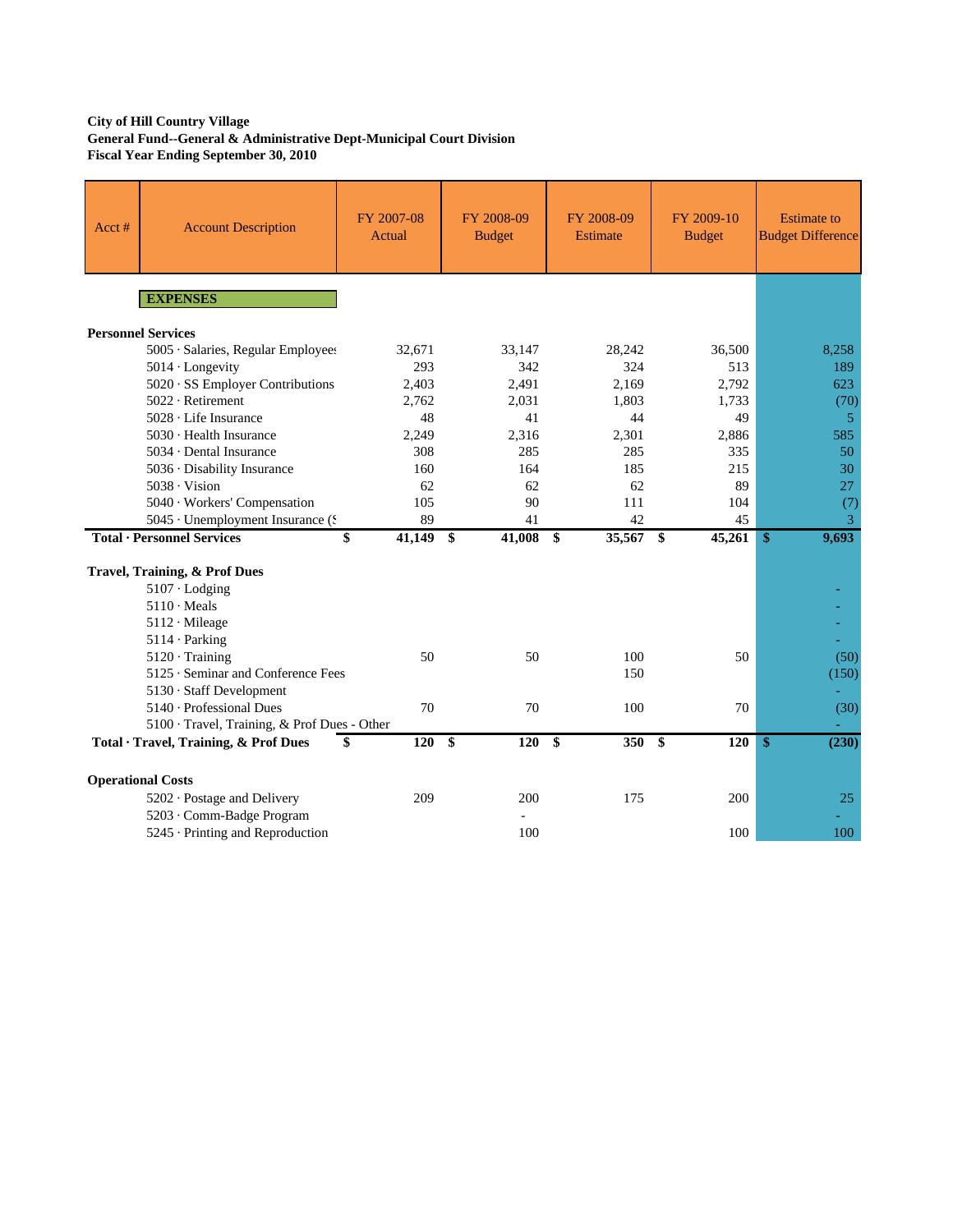### **City of Hill Country Village General Fund--General & Administrative Dept-Municipal Court Division Fiscal Year Ending September 30, 2010**

| Acct# | <b>Account Description</b>                                  | FY 2007-08<br>Actual | FY 2008-09<br><b>Budget</b> | FY 2008-09<br><b>Estimate</b> | FY 2009-10<br><b>Budget</b> | <b>Estimate to</b><br><b>Budget Difference</b> |
|-------|-------------------------------------------------------------|----------------------|-----------------------------|-------------------------------|-----------------------------|------------------------------------------------|
|       | <b>EXPENSES</b>                                             |                      |                             |                               |                             |                                                |
|       | <b>Personnel Services</b>                                   |                      |                             |                               |                             |                                                |
|       | 5005 · Salaries, Regular Employees                          | 32,671               | 33,147                      | 28,242                        | 36,500                      | 8,258                                          |
|       | 5014 · Longevity                                            | 293                  | 342                         | 324                           | 513                         | 189                                            |
|       | 5020 · SS Employer Contributions                            | 2,403                | 2,491                       | 2,169                         | 2,792                       | 623                                            |
|       | 5022 · Retirement                                           | 2,762                | 2,031                       | 1,803                         | 1,733                       | (70)                                           |
|       | 5028 · Life Insurance                                       | 48                   | 41                          | 44                            | 49                          | $\overline{5}$                                 |
|       | $5030 \cdot$ Health Insurance                               | 2,249                | 2,316                       | 2,301                         | 2,886                       | 585                                            |
|       | 5034 · Dental Insurance                                     | 308                  | 285                         | 285                           | 335                         | 50                                             |
|       | 5036 · Disability Insurance                                 | 160                  | 164                         | 185                           | 215                         | 30                                             |
|       | $5038 \cdot \text{Vision}$                                  | 62                   | 62                          | 62                            | 89                          | 27                                             |
|       | 5040 · Workers' Compensation                                | 105                  | 90                          | 111                           | 104                         | (7)                                            |
|       | 5045 · Unemployment Insurance (\$                           | 89                   | 41                          | 42                            | 45                          | 3                                              |
|       | <b>Total · Personnel Services</b>                           | \$<br>41,149         | \$<br>41,008                | \$<br>35,567                  | \$<br>45,261                | 9,693<br>\$                                    |
|       |                                                             |                      |                             |                               |                             |                                                |
|       | Travel, Training, & Prof Dues                               |                      |                             |                               |                             |                                                |
|       | $5107 \cdot$ Lodging                                        |                      |                             |                               |                             |                                                |
|       | $5110 \cdot \text{Meals}$                                   |                      |                             |                               |                             |                                                |
|       | 5112 · Mileage                                              |                      |                             |                               |                             |                                                |
|       | $5114 \cdot$ Parking                                        |                      |                             |                               |                             | $\equiv$                                       |
|       | $5120 \cdot$ Training<br>5125 · Seminar and Conference Fees | 50                   | 50                          | 100                           | 50                          | (50)                                           |
|       |                                                             |                      |                             | 150                           |                             | (150)                                          |
|       | 5130 · Staff Development<br>$5140 \cdot$ Professional Dues  | 70                   | 70                          | 100                           | 70                          | (30)                                           |
|       | 5100 · Travel, Training, & Prof Dues - Other                |                      |                             |                               |                             |                                                |
|       | Total · Travel, Training, & Prof Dues                       | \$<br>120            | \$<br>120                   | \$<br>350                     | \$<br>120                   | \$<br>(230)                                    |
|       |                                                             |                      |                             |                               |                             |                                                |
|       | <b>Operational Costs</b>                                    |                      |                             |                               |                             |                                                |
|       | 5202 · Postage and Delivery                                 | 209                  | 200                         | 175                           | 200                         | 25                                             |
|       | 5203 · Comm-Badge Program                                   |                      |                             |                               |                             |                                                |
|       | 5245 · Printing and Reproduction                            |                      | 100                         |                               | 100                         | 100                                            |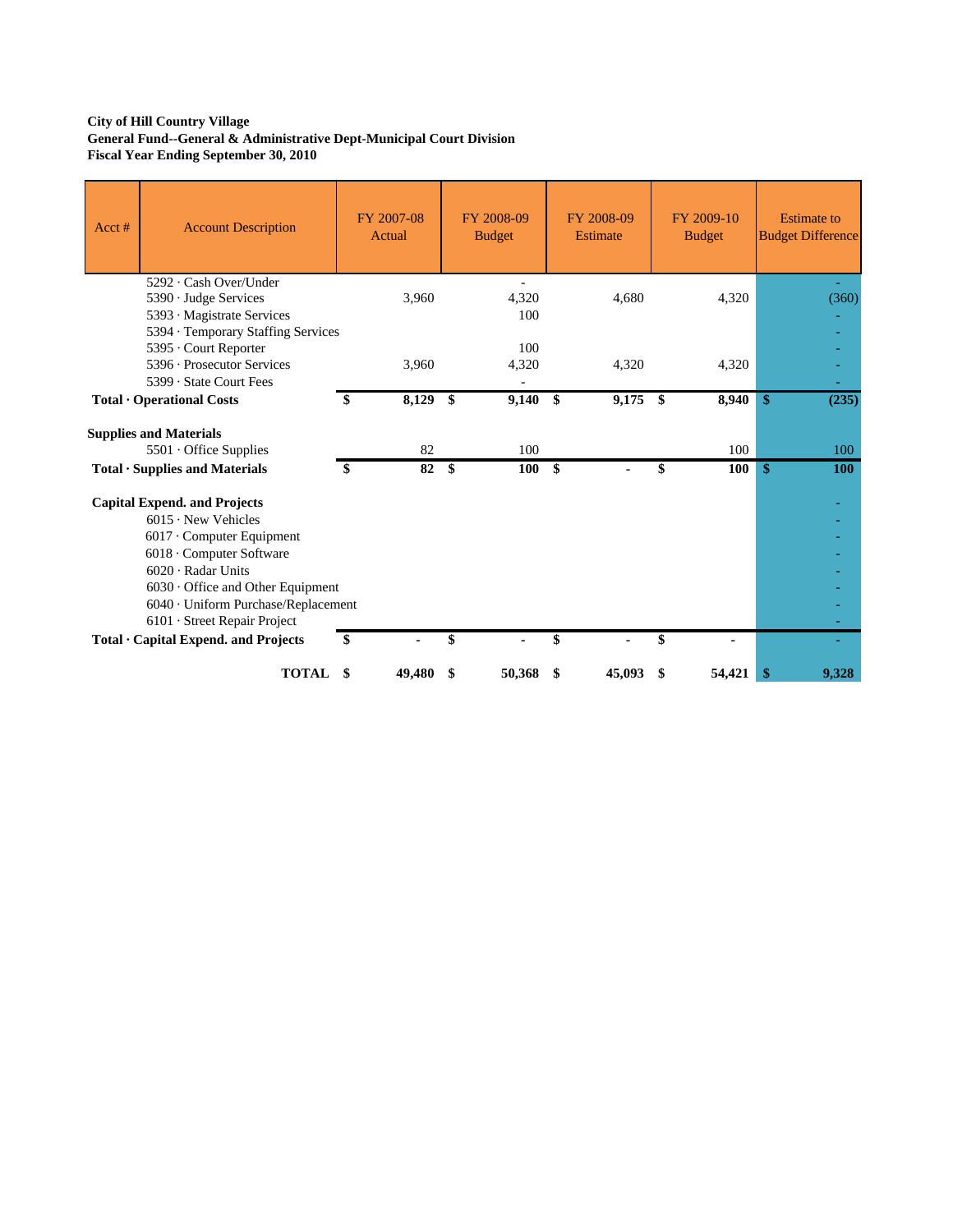### **City of Hill Country Village General Fund--General & Administrative Dept-Municipal Court Division Fiscal Year Ending September 30, 2010**

| Acct# | <b>Account Description</b>                                                                                                                                                                                                                                                                                            |    | FY 2007-08<br>Actual | FY 2008-09<br><b>Budget</b> |              | FY 2008-09<br><b>Estimate</b> |     | FY 2009-10<br><b>Budget</b> |               | <b>Estimate</b> to<br><b>Budget Difference</b> |
|-------|-----------------------------------------------------------------------------------------------------------------------------------------------------------------------------------------------------------------------------------------------------------------------------------------------------------------------|----|----------------------|-----------------------------|--------------|-------------------------------|-----|-----------------------------|---------------|------------------------------------------------|
|       | 5292 · Cash Over/Under<br>5390 · Judge Services<br>5393 · Magistrate Services<br>5394 · Temporary Staffing Services                                                                                                                                                                                                   |    | 3,960                | 4,320<br>100                |              | 4,680                         |     | 4,320                       |               | (360)                                          |
|       | 5395 · Court Reporter<br>5396 · Prosecutor Services<br>5399 · State Court Fees                                                                                                                                                                                                                                        |    | 3,960                | 100<br>4,320                |              | 4,320                         |     | 4,320                       |               |                                                |
|       | Total · Operational Costs                                                                                                                                                                                                                                                                                             | S  | 8,129                | \$<br>9,140                 | \$           | 9,175                         | -\$ | 8,940                       | $\mathbf{\$}$ | (235)                                          |
|       | <b>Supplies and Materials</b>                                                                                                                                                                                                                                                                                         |    |                      |                             |              |                               |     |                             |               |                                                |
|       | 5501 Office Supplies                                                                                                                                                                                                                                                                                                  |    | 82                   | 100                         |              |                               |     | 100                         |               | 100                                            |
|       | Total · Supplies and Materials                                                                                                                                                                                                                                                                                        | \$ | 82                   | \$<br>100                   | $\mathbf{s}$ |                               | \$  | 100                         | \$            | <b>100</b>                                     |
|       | <b>Capital Expend. and Projects</b><br>$6015 \cdot$ New Vehicles<br>$6017 \cdot$ Computer Equipment<br>6018 · Computer Software<br>$6020 \cdot$ Radar Units<br>$6030 \cdot$ Office and Other Equipment<br>6040 · Uniform Purchase/Replacement<br>6101 · Street Repair Project<br>Total · Capital Expend. and Projects | \$ |                      | \$                          | \$           |                               | \$  |                             |               |                                                |
|       |                                                                                                                                                                                                                                                                                                                       |    |                      |                             |              |                               |     |                             |               |                                                |
|       | <b>TOTAL</b>                                                                                                                                                                                                                                                                                                          | S  | 49,480               | 50,368                      | \$           | 45,093                        | \$  | 54,421                      | \$            | 9,328                                          |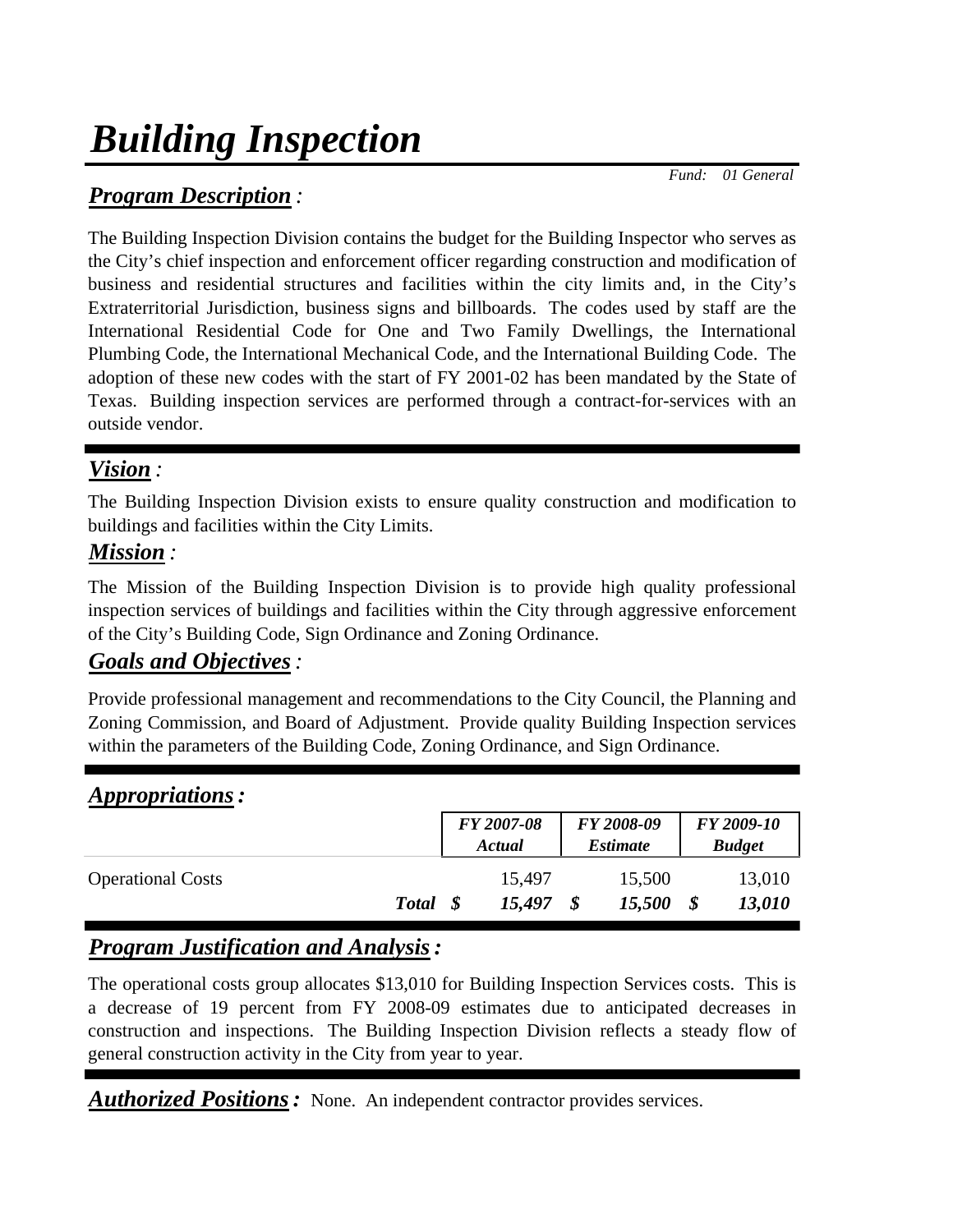# *Building Inspection*

 *Fund: 01 General*

## *Program Description :*

The Building Inspection Division contains the budget for the Building Inspector who serves as the City's chief inspection and enforcement officer regarding construction and modification of business and residential structures and facilities within the city limits and, in the City's Extraterritorial Jurisdiction, business signs and billboards. The codes used by staff are the International Residential Code for One and Two Family Dwellings, the International Plumbing Code, the International Mechanical Code, and the International Building Code. The adoption of these new codes with the start of FY 2001-02 has been mandated by the State of Texas. Building inspection services are performed through a contract-for-services with an outside vendor.

# *Vision :*

The Building Inspection Division exists to ensure quality construction and modification to buildings and facilities within the City Limits.

## *Mission :*

The Mission of the Building Inspection Division is to provide high quality professional inspection services of buildings and facilities within the City through aggressive enforcement of the City's Building Code, Sign Ordinance and Zoning Ordinance.

## *Goals and Objectives:*

Provide professional management and recommendations to the City Council, the Planning and Zoning Commission, and Board of Adjustment. Provide quality Building Inspection services within the parameters of the Building Code, Zoning Ordinance, and Sign Ordinance.

| <i>Appropriations:</i>   |              |      |                      |                               |                             |
|--------------------------|--------------|------|----------------------|-------------------------------|-----------------------------|
|                          |              |      | FY 2007-08<br>Actual | FY 2008-09<br><i>Estimate</i> | FY 2009-10<br><b>Budget</b> |
| <b>Operational Costs</b> | <b>Total</b> | - \$ | 15,497<br>15,497     | 15,500<br>15,500              | \$<br>13,010<br>13,010      |

# *Program Justification and Analysis:*

The operational costs group allocates \$13,010 for Building Inspection Services costs. This is a decrease of 19 percent from FY 2008-09 estimates due to anticipated decreases in construction and inspections. The Building Inspection Division reflects a steady flow of general construction activity in the City from year to year.

*Authorized Positions:* None. An independent contractor provides services.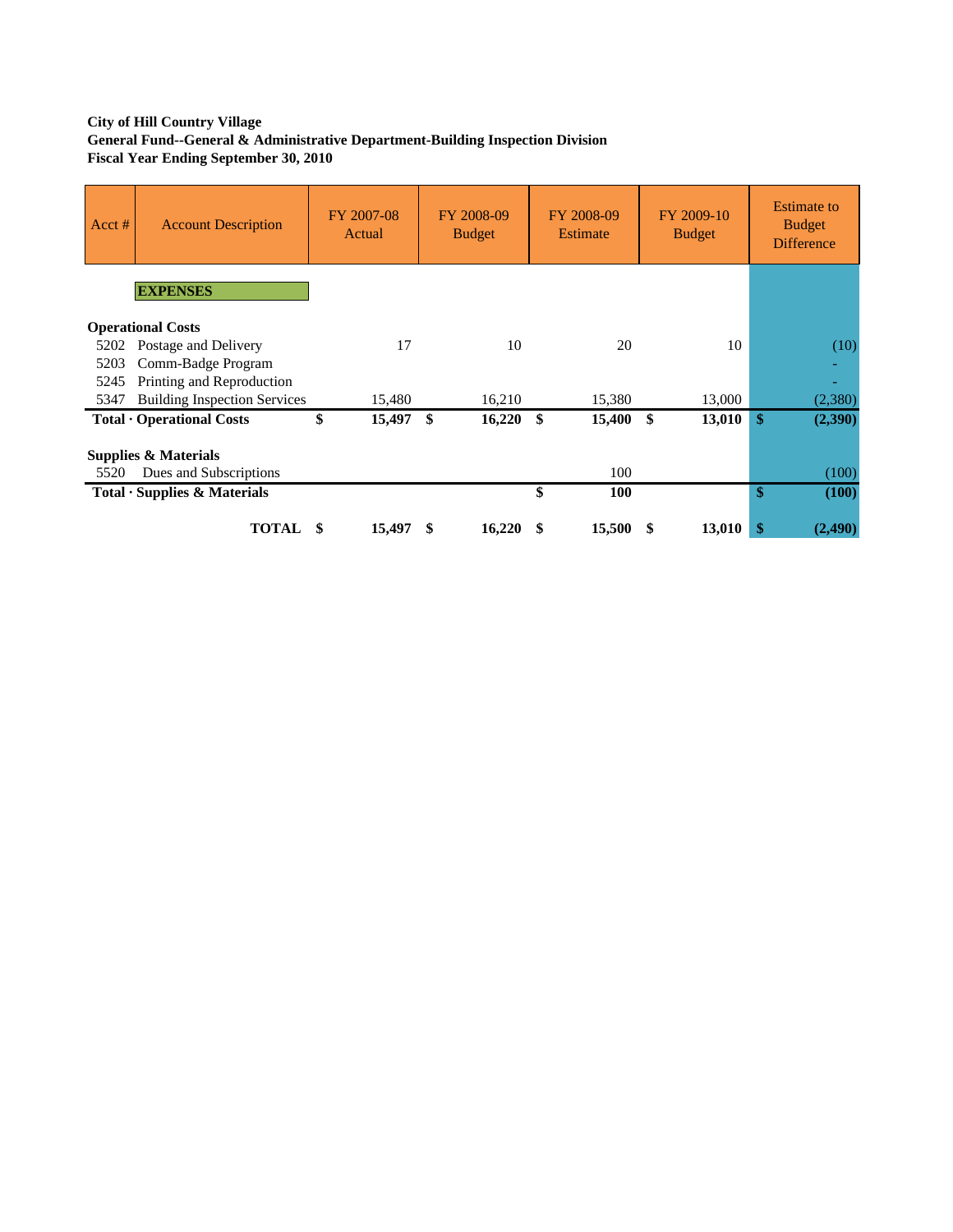## **City of Hill Country Village General Fund--General & Administrative Department-Building Inspection Division Fiscal Year Ending September 30, 2010**

| Acct # | <b>Account Description</b>          | FY 2007-08<br>Actual | FY 2008-09<br><b>Budget</b> | FY 2008-09<br>Estimate | FY 2009-10<br><b>Budget</b> | <b>Estimate</b> to<br><b>Budget</b><br><b>Difference</b> |
|--------|-------------------------------------|----------------------|-----------------------------|------------------------|-----------------------------|----------------------------------------------------------|
|        | <b>EXPENSES</b>                     |                      |                             |                        |                             |                                                          |
|        | <b>Operational Costs</b>            |                      |                             |                        |                             |                                                          |
| 5202   | Postage and Delivery                | 17                   | 10                          | 20                     | 10                          | (10)                                                     |
| 5203   | Comm-Badge Program                  |                      |                             |                        |                             |                                                          |
| 5245   | Printing and Reproduction           |                      |                             |                        |                             | ÷                                                        |
| 5347   | <b>Building Inspection Services</b> | 15,480               | 16,210                      | 15,380                 | 13,000                      | (2,380)                                                  |
|        | Total · Operational Costs           | \$<br>15,497         | \$<br>16,220                | \$<br>15,400           | \$<br>13,010                | \$<br>(2,390)                                            |
|        | <b>Supplies &amp; Materials</b>     |                      |                             |                        |                             |                                                          |
| 5520   | Dues and Subscriptions              |                      |                             | 100                    |                             | (100)                                                    |
|        | Total · Supplies & Materials        |                      |                             | \$<br>100              |                             | \$<br>(100)                                              |
|        | TOTAL                               | 15,497               | 16,220<br>\$                | \$<br>15,500           | 13,010<br>S                 | \$<br>(2, 490)                                           |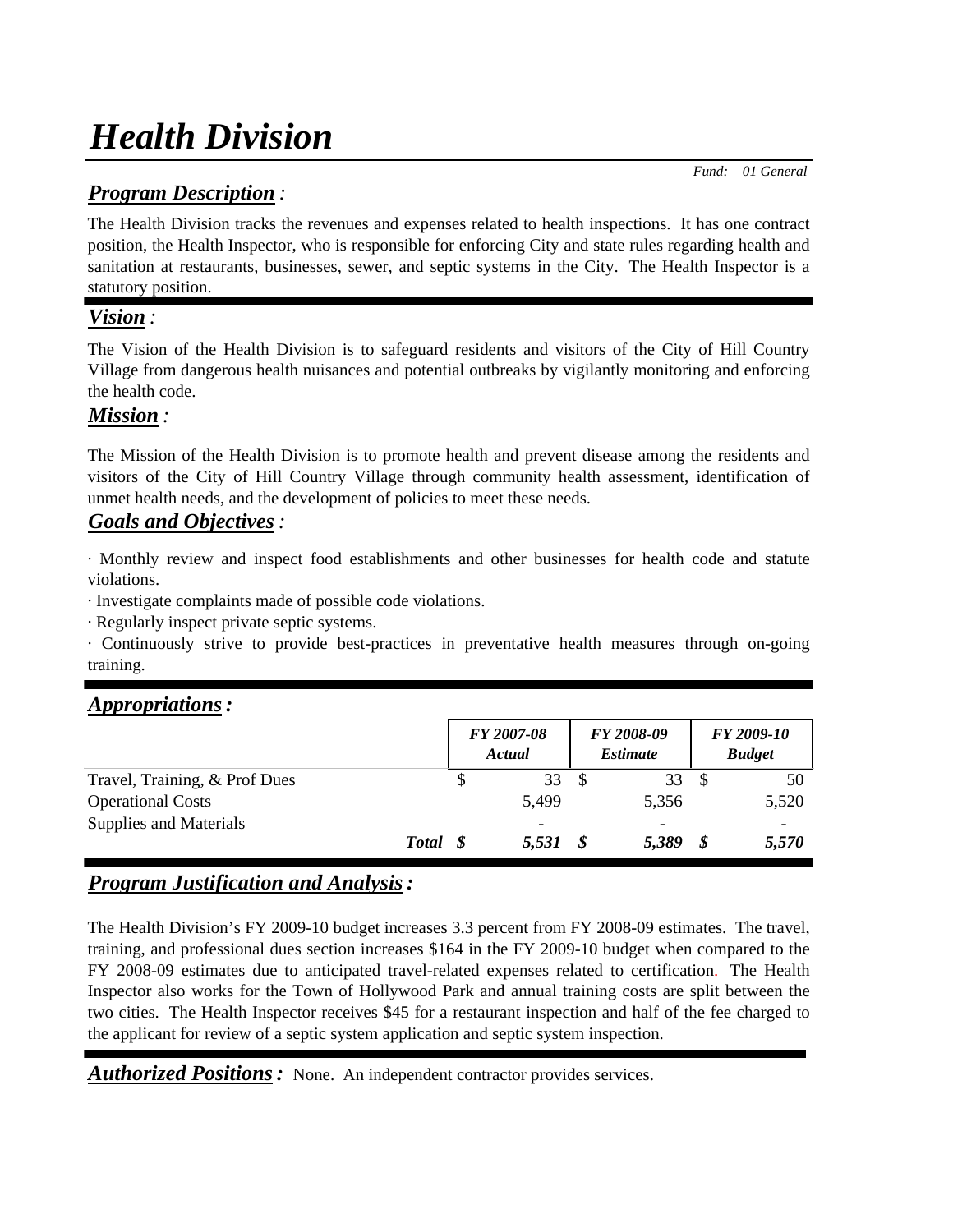# *Health Division*

## *Program Description :*

The Health Division tracks the revenues and expenses related to health inspections. It has one contract position, the Health Inspector, who is responsible for enforcing City and state rules regarding health and sanitation at restaurants, businesses, sewer, and septic systems in the City. The Health Inspector is a

## statutory position.

## *Vision :*

The Vision of the Health Division is to safeguard residents and visitors of the City of Hill Country Village from dangerous health nuisances and potential outbreaks by vigilantly monitoring and enforcing the health code.

## *Mission :*

The Mission of the Health Division is to promote health and prevent disease among the residents and visitors of the City of Hill Country Village through community health assessment, identification of unmet health needs, and the development of policies to meet these needs.

## *Goals and Objectives:*

· Monthly review and inspect food establishments and other businesses for health code and statute violations.

· Investigate complaints made of possible code violations.

· Regularly inspect private septic systems.

· Continuously strive to provide best-practices in preventative health measures through on-going training.

## *Appropriations:*

|                               |  |   | FY 2007-08<br>Actual | FY 2008-09<br><i><b>Estimate</b></i> | FY 2009-10<br><b>Budget</b> |       |
|-------------------------------|--|---|----------------------|--------------------------------------|-----------------------------|-------|
| Travel, Training, & Prof Dues |  | S | 33                   | 33                                   |                             | 50    |
| <b>Operational Costs</b>      |  |   | 5,499                | 5,356                                |                             | 5,520 |
| Supplies and Materials        |  |   |                      |                                      |                             |       |
| <b>Total</b>                  |  |   | 5,531                | 5,389                                | S                           | 5,570 |

## *Program Justification and Analysis:*

The Health Division's FY 2009-10 budget increases 3.3 percent from FY 2008-09 estimates. The travel, training, and professional dues section increases \$164 in the FY 2009-10 budget when compared to the FY 2008-09 estimates due to anticipated travel-related expenses related to certification. The Health Inspector also works for the Town of Hollywood Park and annual training costs are split between the two cities. The Health Inspector receives \$45 for a restaurant inspection and half of the fee charged to the applicant for review of a septic system application and septic system inspection.

*Authorized Positions:* None. An independent contractor provides services.

 *Fund: 01 General*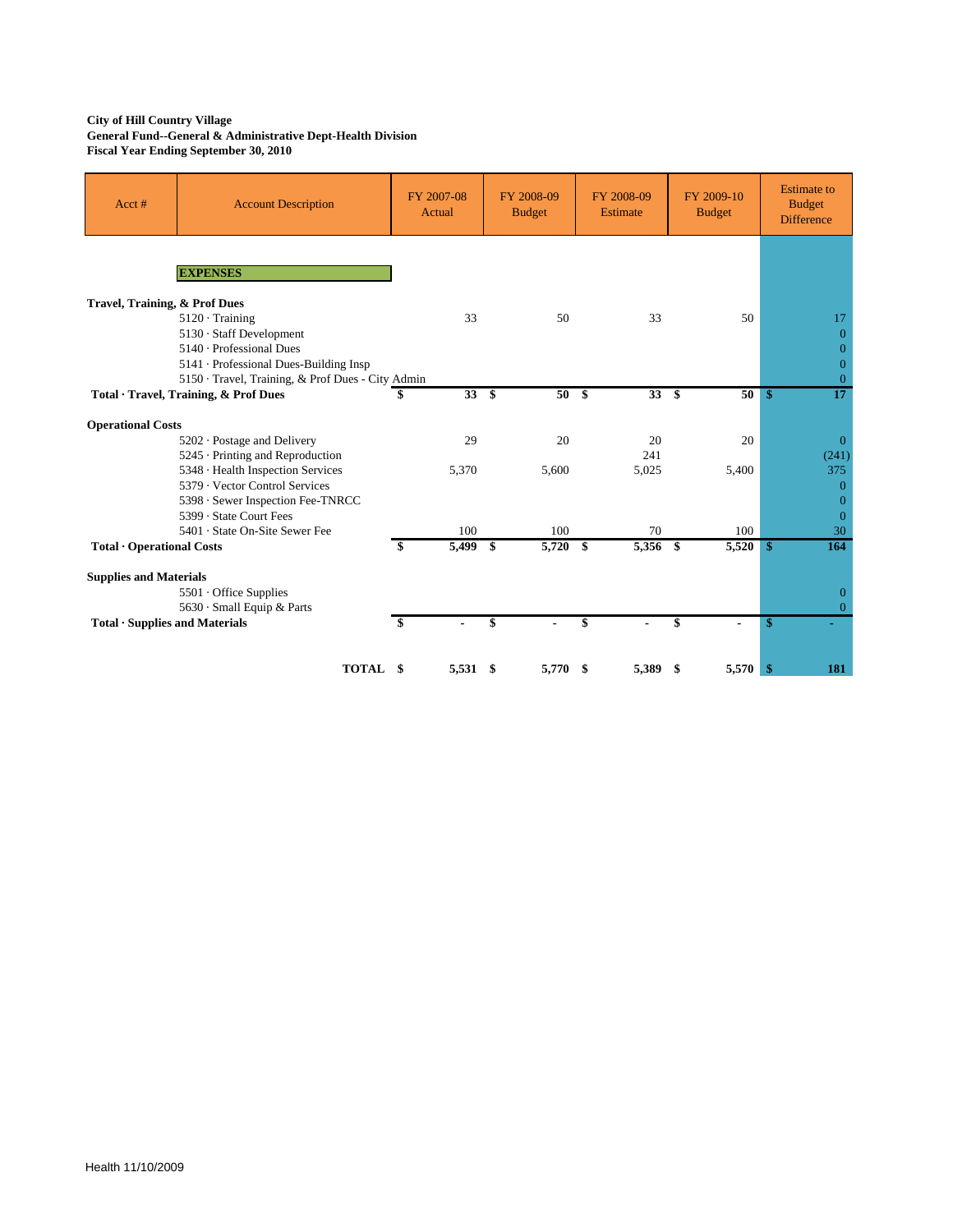#### **City of Hill Country Village General Fund--General & Administrative Dept-Health Division Fiscal Year Ending September 30, 2010**

| Acct#                          | <b>Account Description</b>                        | FY 2007-08<br>Actual |    | FY 2008-09<br><b>Budget</b> | FY 2008-09<br><b>Estimate</b> | FY 2009-10<br><b>Budget</b> | <b>Estimate to</b><br><b>Budget</b><br><b>Difference</b> |
|--------------------------------|---------------------------------------------------|----------------------|----|-----------------------------|-------------------------------|-----------------------------|----------------------------------------------------------|
|                                | <b>EXPENSES</b>                                   |                      |    |                             |                               |                             |                                                          |
| Travel, Training, & Prof Dues  |                                                   |                      |    |                             |                               |                             |                                                          |
|                                |                                                   | 33                   |    | 50                          | 33                            | 50                          | 17                                                       |
|                                | $5120 \cdot$ Training<br>5130 · Staff Development |                      |    |                             |                               |                             | $\Omega$                                                 |
|                                | 5140 · Professional Dues                          |                      |    |                             |                               |                             | $\overline{0}$                                           |
|                                | 5141 · Professional Dues-Building Insp            |                      |    |                             |                               |                             | $\overline{0}$                                           |
|                                | 5150 · Travel, Training, & Prof Dues - City Admin |                      |    |                             |                               |                             | $\overline{0}$                                           |
|                                | Total · Travel, Training, & Prof Dues             | 33S<br>\$            |    | 50                          | 33S<br>- \$                   | 50                          | $\overline{17}$<br>\$                                    |
|                                |                                                   |                      |    |                             |                               |                             |                                                          |
| <b>Operational Costs</b>       |                                                   |                      |    |                             |                               |                             |                                                          |
|                                | 5202 · Postage and Delivery                       | 29                   |    | 20                          | 20                            | 20                          | $\Omega$                                                 |
|                                | 5245 · Printing and Reproduction                  |                      |    |                             | 241                           |                             | (241)                                                    |
|                                | 5348 · Health Inspection Services                 | 5,370                |    | 5,600                       | 5,025                         | 5,400                       | 375                                                      |
|                                | 5379 · Vector Control Services                    |                      |    |                             |                               |                             | $\mathbf{0}$                                             |
|                                | 5398 · Sewer Inspection Fee-TNRCC                 |                      |    |                             |                               |                             | $\Omega$                                                 |
|                                | 5399 · State Court Fees                           |                      |    |                             |                               |                             | $\Omega$                                                 |
|                                | 5401 · State On-Site Sewer Fee                    | 100                  |    | 100                         | 70                            | 100                         | 30                                                       |
| Total · Operational Costs      |                                                   | 5,499 \$<br>\$       |    | $5,720$ \$                  | 5,356 \$                      | 5,520                       | \$<br>164                                                |
| <b>Supplies and Materials</b>  |                                                   |                      |    |                             |                               |                             |                                                          |
|                                | 5501 Office Supplies                              |                      |    |                             |                               |                             | $\mathbf{0}$                                             |
|                                | 5630 · Small Equip & Parts                        |                      |    |                             |                               |                             | $\Omega$                                                 |
| Total · Supplies and Materials |                                                   | \$                   | \$ |                             | \$                            | \$                          | \$                                                       |
|                                |                                                   |                      |    |                             |                               |                             |                                                          |
|                                | TOTAL                                             | 5,531 \$<br>- \$     |    | $5,770$ \$                  | 5,389                         | 5,570<br>-S                 | 181<br>\$                                                |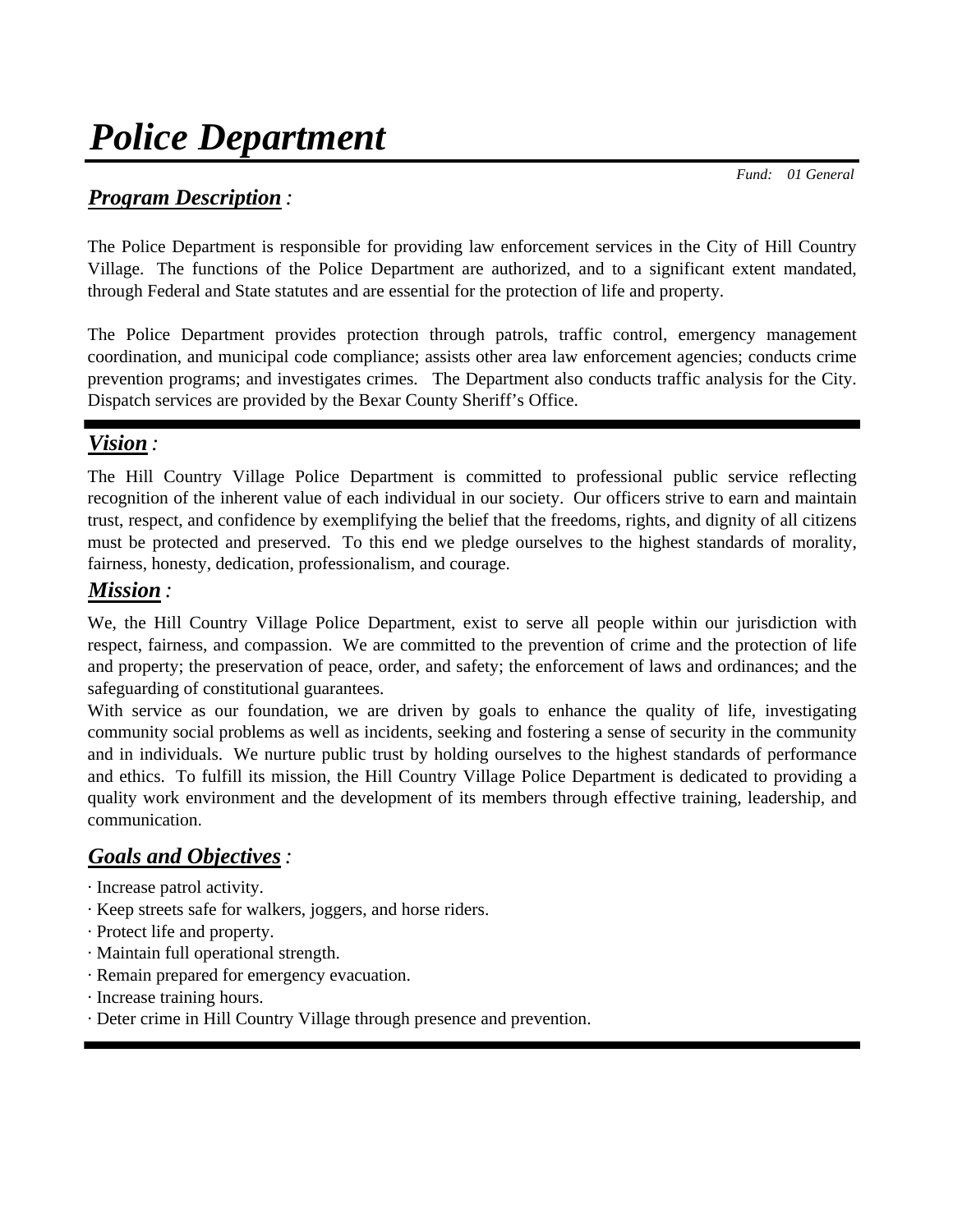*Fund: 01 General*

## *Program Description :*

The Police Department is responsible for providing law enforcement services in the City of Hill Country Village. The functions of the Police Department are authorized, and to a significant extent mandated, through Federal and State statutes and are essential for the protection of life and property.

The Police Department provides protection through patrols, traffic control, emergency management coordination, and municipal code compliance; assists other area law enforcement agencies; conducts crime prevention programs; and investigates crimes. The Department also conducts traffic analysis for the City. Dispatch services are provided by the Bexar County Sheriff's Office.

## *Vision :*

The Hill Country Village Police Department is committed to professional public service reflecting recognition of the inherent value of each individual in our society. Our officers strive to earn and maintain trust, respect, and confidence by exemplifying the belief that the freedoms, rights, and dignity of all citizens must be protected and preserved. To this end we pledge ourselves to the highest standards of morality, fairness, honesty, dedication, professionalism, and courage.

## *Mission :*

We, the Hill Country Village Police Department, exist to serve all people within our jurisdiction with respect, fairness, and compassion. We are committed to the prevention of crime and the protection of life and property; the preservation of peace, order, and safety; the enforcement of laws and ordinances; and the safeguarding of constitutional guarantees.

With service as our foundation, we are driven by goals to enhance the quality of life, investigating community social problems as well as incidents, seeking and fostering a sense of security in the community and in individuals. We nurture public trust by holding ourselves to the highest standards of performance and ethics. To fulfill its mission, the Hill Country Village Police Department is dedicated to providing a quality work environment and the development of its members through effective training, leadership, and communication.

## *Goals and Objectives:*

· Increase patrol activity.

- · Keep streets safe for walkers, joggers, and horse riders.
- · Protect life and property.
- · Maintain full operational strength.
- · Remain prepared for emergency evacuation.
- · Increase training hours.
- · Deter crime in Hill Country Village through presence and prevention.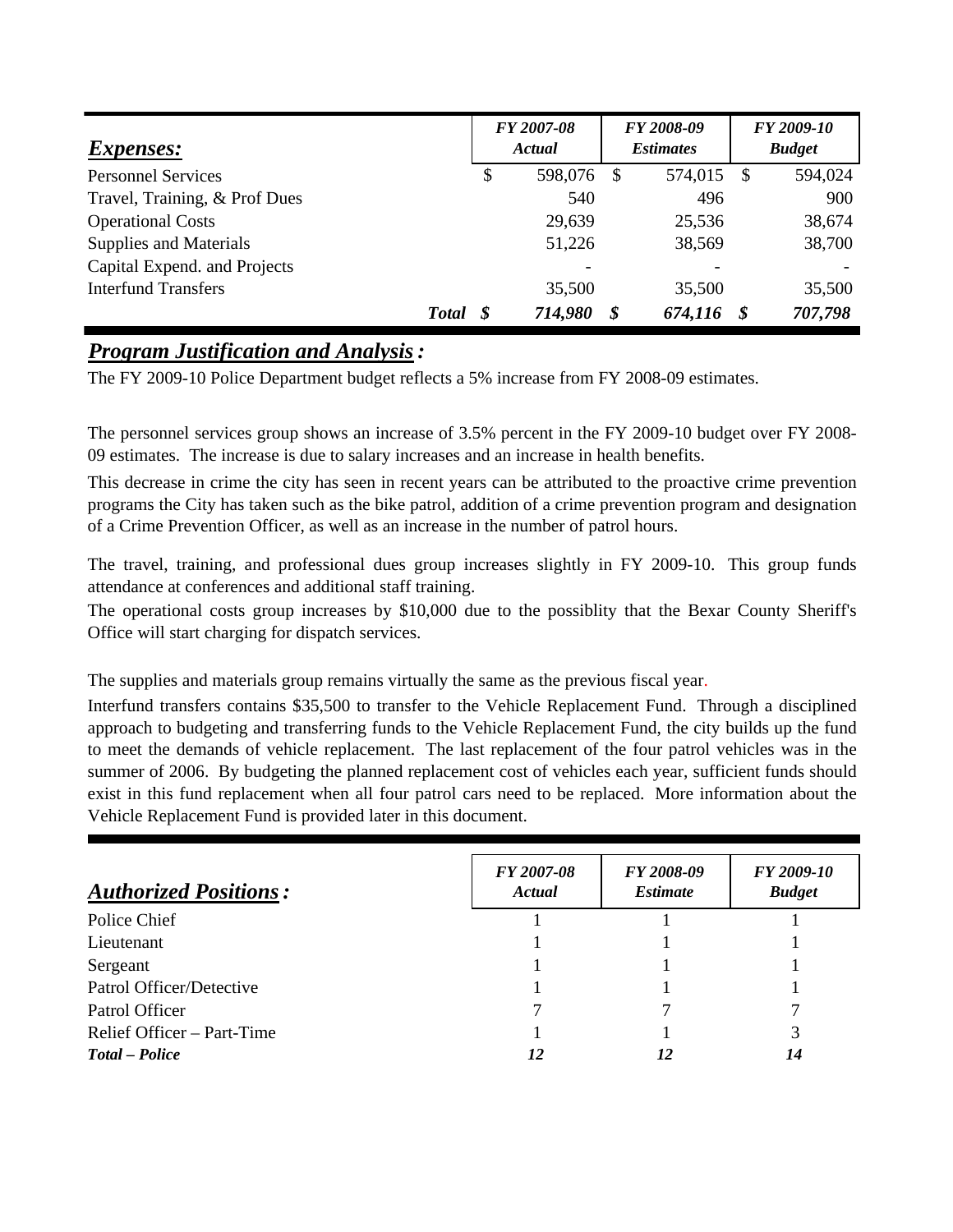| <i>Expenses:</i>              | FY 2007-08<br>Actual |         |   | FY 2008-09<br><i>Estimates</i> |    | FY 2009-10<br><b>Budget</b> |
|-------------------------------|----------------------|---------|---|--------------------------------|----|-----------------------------|
| <b>Personnel Services</b>     | \$                   | 598,076 | S | 574,015                        | -8 | 594,024                     |
| Travel, Training, & Prof Dues |                      | 540     |   | 496                            |    | 900                         |
| <b>Operational Costs</b>      |                      | 29,639  |   | 25,536                         |    | 38,674                      |
| Supplies and Materials        |                      | 51,226  |   | 38,569                         |    | 38,700                      |
| Capital Expend. and Projects  |                      | -       |   |                                |    |                             |
| <b>Interfund Transfers</b>    |                      | 35,500  |   | 35,500                         |    | 35,500                      |
| <b>Total</b>                  |                      | 714,980 | S | 674,116                        |    | 707,798                     |

## *Program Justification and Analysis:*

The FY 2009-10 Police Department budget reflects a 5% increase from FY 2008-09 estimates.

The personnel services group shows an increase of 3.5% percent in the FY 2009-10 budget over FY 2008- 09 estimates. The increase is due to salary increases and an increase in health benefits.

This decrease in crime the city has seen in recent years can be attributed to the proactive crime prevention programs the City has taken such as the bike patrol, addition of a crime prevention program and designation of a Crime Prevention Officer, as well as an increase in the number of patrol hours.

The travel, training, and professional dues group increases slightly in FY 2009-10. This group funds attendance at conferences and additional staff training.

The operational costs group increases by \$10,000 due to the possiblity that the Bexar County Sheriff's Office will start charging for dispatch services.

The supplies and materials group remains virtually the same as the previous fiscal year.

Interfund transfers contains \$35,500 to transfer to the Vehicle Replacement Fund. Through a disciplined approach to budgeting and transferring funds to the Vehicle Replacement Fund, the city builds up the fund to meet the demands of vehicle replacement. The last replacement of the four patrol vehicles was in the summer of 2006. By budgeting the planned replacement cost of vehicles each year, sufficient funds should exist in this fund replacement when all four patrol cars need to be replaced. More information about the Vehicle Replacement Fund is provided later in this document.

| <b>Authorized Positions:</b> | <b>FY 2007-08</b><br>Actual | FY 2008-09<br><i><b>Estimate</b></i> | FY 2009-10<br><b>Budget</b> |
|------------------------------|-----------------------------|--------------------------------------|-----------------------------|
| Police Chief                 |                             |                                      |                             |
| Lieutenant                   |                             |                                      |                             |
| Sergeant                     |                             |                                      |                             |
| Patrol Officer/Detective     |                             |                                      |                             |
| Patrol Officer               |                             |                                      |                             |
| Relief Officer – Part-Time   |                             |                                      | 3                           |
| Total – Police               | 12                          | 12                                   | 14                          |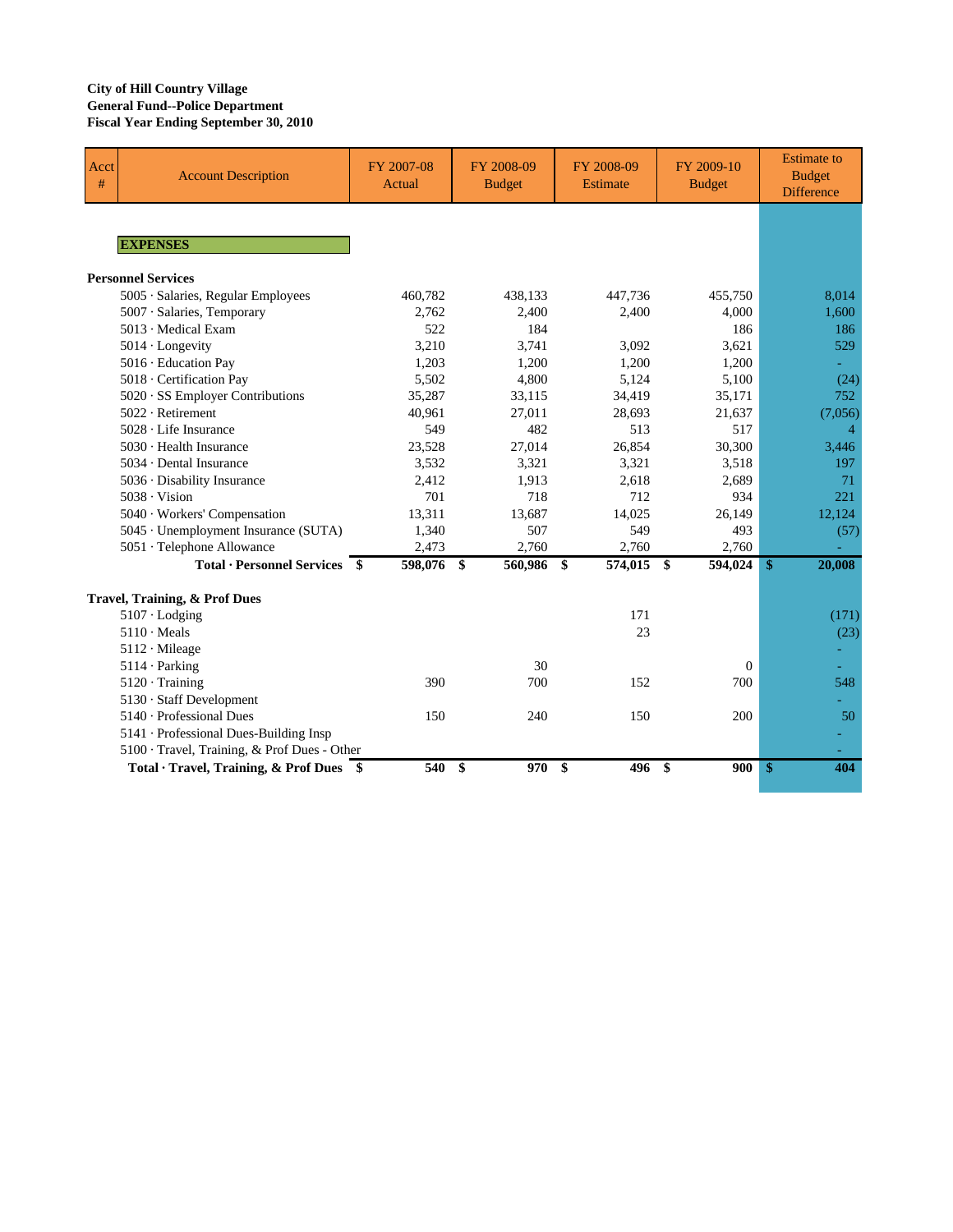### **City of Hill Country Village General Fund--Police Department Fiscal Year Ending September 30, 2010**

| Acct<br># | <b>Account Description</b>                                    | FY 2007-08<br>Actual | FY 2008-09<br><b>Budget</b> | FY 2008-09<br>Estimate       | FY 2009-10<br><b>Budget</b> | <b>Estimate</b> to<br><b>Budget</b><br><b>Difference</b> |
|-----------|---------------------------------------------------------------|----------------------|-----------------------------|------------------------------|-----------------------------|----------------------------------------------------------|
|           |                                                               |                      |                             |                              |                             |                                                          |
|           | <b>EXPENSES</b>                                               |                      |                             |                              |                             |                                                          |
|           | <b>Personnel Services</b>                                     |                      |                             |                              |                             |                                                          |
|           | 5005 · Salaries, Regular Employees                            | 460,782              | 438,133                     | 447,736                      | 455,750                     | 8,014                                                    |
|           | 5007 · Salaries, Temporary                                    | 2.762                | 2,400                       | 2,400                        | 4.000                       | 1.600                                                    |
|           | 5013 Medical Exam                                             | 522                  | 184                         |                              | 186                         | 186                                                      |
|           | $5014$ · Longevity                                            | 3,210                | 3,741                       | 3,092                        | 3,621                       | 529                                                      |
|           | 5016 · Education Pay                                          | 1,203                | 1,200                       | 1,200                        | 1,200                       |                                                          |
|           | 5018 · Certification Pay                                      | 5,502                | 4,800                       | 5,124                        | 5,100                       | (24)                                                     |
|           | 5020 · SS Employer Contributions                              | 35,287               | 33,115                      | 34,419                       | 35,171                      | 752                                                      |
|           | $5022 \cdot$ Retirement                                       | 40,961               | 27,011                      | 28,693                       | 21,637                      | (7,056)                                                  |
|           | 5028 · Life Insurance                                         | 549                  | 482                         | 513                          | 517                         | $\overline{4}$                                           |
|           | 5030 · Health Insurance                                       | 23,528               | 27,014                      | 26.854                       | 30.300                      | 3,446                                                    |
|           | $5034 \cdot$ Dental Insurance                                 | 3,532                | 3,321                       | 3,321                        | 3,518                       | 197                                                      |
|           | 5036 · Disability Insurance                                   | 2,412                | 1,913                       | 2,618                        | 2,689                       | 71                                                       |
|           | $5038 \cdot \text{Vision}$                                    | 701                  | 718                         | 712                          | 934                         | 221                                                      |
|           | 5040 · Workers' Compensation                                  | 13,311               | 13,687                      | 14,025                       | 26,149                      | 12,124                                                   |
|           | 5045 · Unemployment Insurance (SUTA)                          | 1,340                | 507                         | 549                          | 493                         | (57)                                                     |
|           | 5051 · Telephone Allowance                                    | 2,473                | 2,760                       | 2,760                        | 2,760                       |                                                          |
|           | <b>Total · Personnel Services <math>\overline{\\$}</math></b> | 598,076              | $\mathbf{\$}$<br>560,986    | $\mathbf{s}$<br>$574,015$ \$ | 594,024                     | $\mathbf{\$}$<br>20,008                                  |
|           | Travel, Training, & Prof Dues                                 |                      |                             |                              |                             |                                                          |
|           | $5107 \cdot$ Lodging                                          |                      |                             | 171                          |                             | (171)                                                    |
|           | $5110 \cdot \text{Meals}$                                     |                      |                             | 23                           |                             | (23)                                                     |
|           | 5112 · Mileage                                                |                      |                             |                              |                             |                                                          |
|           | $5114 \cdot$ Parking                                          |                      | 30                          |                              | $\Omega$                    |                                                          |
|           | $5120 \cdot Training$                                         | 390                  | 700                         | 152                          | 700                         | 548                                                      |
|           | 5130 · Staff Development                                      |                      |                             |                              |                             |                                                          |
|           | 5140 · Professional Dues                                      | 150                  | 240                         | 150                          | 200                         | 50                                                       |
|           | 5141 · Professional Dues-Building Insp                        |                      |                             |                              |                             |                                                          |
|           | 5100 · Travel, Training, & Prof Dues - Other                  |                      |                             |                              |                             |                                                          |
|           | Total · Travel, Training, & Prof Dues \$                      | 540                  | 970<br>\$                   | \$<br>496                    | 900<br>-S                   | $\mathbf{\$}$<br>404                                     |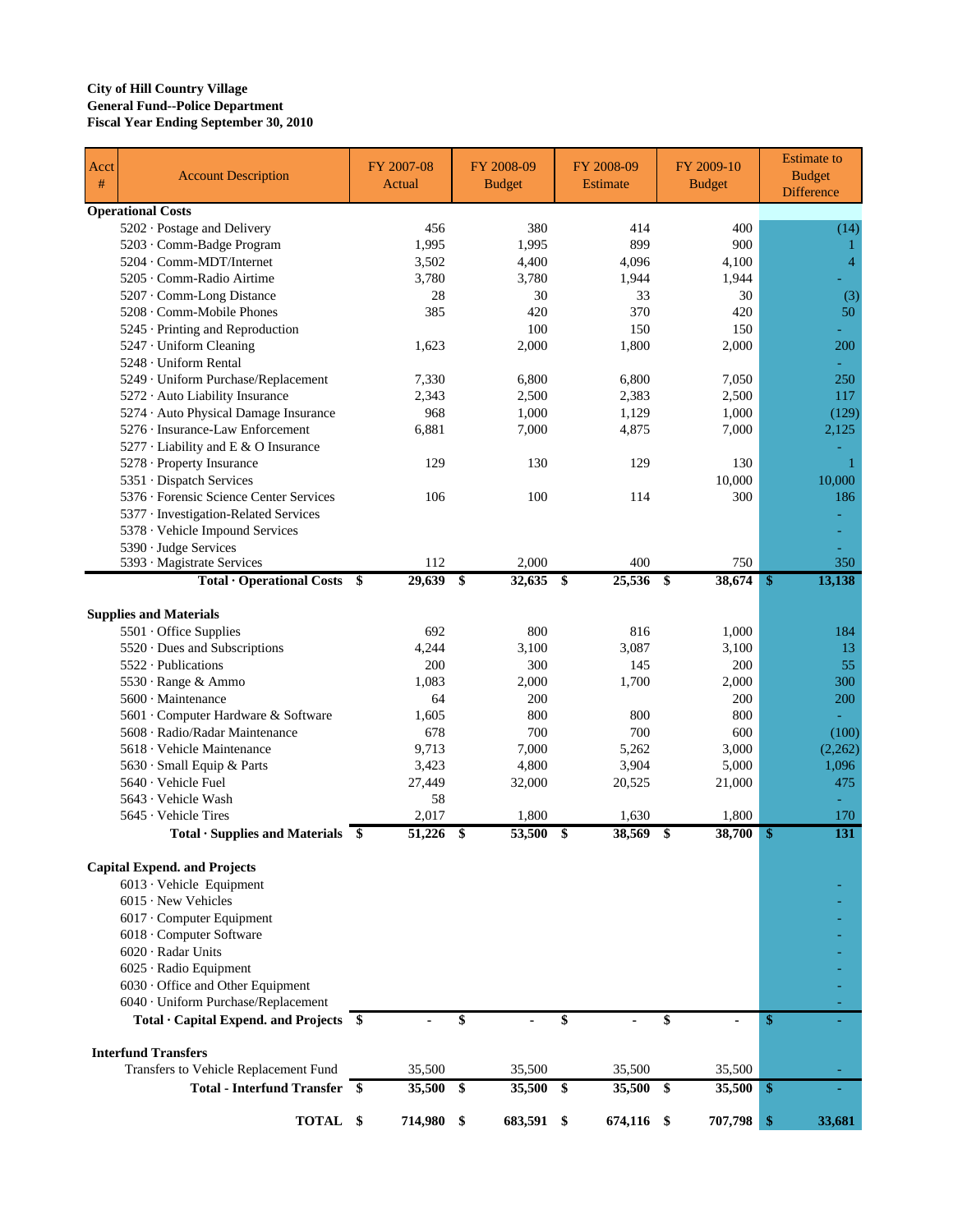### **City of Hill Country Village General Fund--Police Department Fiscal Year Ending September 30, 2010**

| Acct<br>$\#$ | <b>Account Description</b>                                 | FY 2007-08<br>Actual |              | FY 2008-09<br><b>Budget</b> |                   | FY 2008-09<br><b>Estimate</b> |     | FY 2009-10<br><b>Budget</b> |               | <b>Estimate to</b><br><b>Budget</b> |
|--------------|------------------------------------------------------------|----------------------|--------------|-----------------------------|-------------------|-------------------------------|-----|-----------------------------|---------------|-------------------------------------|
|              |                                                            |                      |              |                             |                   |                               |     |                             |               | <b>Difference</b>                   |
|              | <b>Operational Costs</b>                                   |                      |              |                             |                   |                               |     |                             |               |                                     |
|              | 5202 · Postage and Delivery<br>5203 · Comm-Badge Program   |                      | 456<br>1,995 | 380                         |                   | 414<br>899                    |     | 400<br>900                  |               | (14)                                |
|              | 5204 · Comm-MDT/Internet                                   |                      | 3,502        | 1,995<br>4,400              |                   | 4,096                         |     | 4,100                       |               | 1<br>$\overline{4}$                 |
|              | 5205 · Comm-Radio Airtime                                  |                      | 3,780        | 3,780                       |                   | 1,944                         |     | 1,944                       |               |                                     |
|              | 5207 · Comm-Long Distance                                  |                      | 28           | 30                          |                   | 33                            |     | 30                          |               | (3)                                 |
|              | 5208 · Comm-Mobile Phones                                  |                      | 385          | 420                         |                   | 370                           |     | 420                         |               | 50                                  |
|              | 5245 · Printing and Reproduction                           |                      |              | 100                         |                   | 150                           |     | 150                         |               |                                     |
|              | 5247 · Uniform Cleaning                                    |                      | 1.623        | 2,000                       |                   | 1,800                         |     | 2,000                       |               | 200                                 |
|              | 5248 · Uniform Rental                                      |                      |              |                             |                   |                               |     |                             |               |                                     |
|              | 5249 · Uniform Purchase/Replacement                        |                      | 7,330        | 6,800                       |                   | 6,800                         |     | 7,050                       |               | 250                                 |
|              | 5272 · Auto Liability Insurance                            |                      | 2,343        | 2,500                       |                   | 2,383                         |     | 2,500                       |               | 117                                 |
|              | 5274 · Auto Physical Damage Insurance                      |                      | 968          | 1,000                       |                   | 1,129                         |     | 1,000                       |               | (129)                               |
|              | 5276 · Insurance-Law Enforcement                           |                      | 6,881        | 7,000                       |                   | 4,875                         |     | 7,000                       |               | 2,125                               |
|              | 5277 · Liability and E & O Insurance                       |                      |              |                             |                   |                               |     |                             |               |                                     |
|              | 5278 · Property Insurance                                  |                      | 129          | 130                         |                   | 129                           |     | 130                         |               | -1                                  |
|              | 5351 · Dispatch Services                                   |                      |              |                             |                   |                               |     | 10,000                      |               | 10,000                              |
|              | 5376 · Forensic Science Center Services                    |                      | 106          | 100                         |                   | 114                           |     | 300                         |               | 186                                 |
|              | 5377 · Investigation-Related Services                      |                      |              |                             |                   |                               |     |                             |               |                                     |
|              | 5378 · Vehicle Impound Services                            |                      |              |                             |                   |                               |     |                             |               |                                     |
|              | 5390 · Judge Services                                      |                      |              |                             |                   |                               |     |                             |               |                                     |
|              | 5393 · Magistrate Services                                 |                      | 112          | 2,000                       |                   | 400                           |     | 750                         |               | 350                                 |
|              | Total · Operational Costs                                  | \$                   | 29,639       | \$<br>32,635                | - \$              | 25,536                        | -\$ | 38,674                      | \$            | 13,138                              |
|              |                                                            |                      |              |                             |                   |                               |     |                             |               |                                     |
|              | <b>Supplies and Materials</b>                              |                      |              |                             |                   |                               |     |                             |               |                                     |
|              | 5501 Office Supplies                                       |                      | 692          | 800                         |                   | 816                           |     | 1,000                       |               | 184                                 |
|              | 5520 · Dues and Subscriptions                              |                      | 4,244        | 3,100                       |                   | 3,087                         |     | 3,100                       |               | 13                                  |
|              | $5522 \cdot$ Publications                                  |                      | 200          | 300                         |                   | 145                           |     | 200                         |               | 55                                  |
|              | 5530 · Range & Ammo<br>5600 · Maintenance                  |                      | 1,083<br>64  | 2,000<br>200                |                   | 1,700                         |     | 2,000<br>200                |               | 300<br>200                          |
|              | 5601 · Computer Hardware & Software                        |                      | 1,605        | 800                         |                   | 800                           |     | 800                         |               |                                     |
|              | 5608 · Radio/Radar Maintenance                             |                      | 678          | 700                         |                   | 700                           |     | 600                         |               | (100)                               |
|              | 5618 Vehicle Maintenance                                   |                      | 9,713        | 7,000                       |                   | 5,262                         |     | 3,000                       |               | (2,262)                             |
|              | 5630 Small Equip & Parts                                   |                      | 3,423        | 4,800                       |                   | 3,904                         |     | 5,000                       |               | 1,096                               |
|              | 5640 · Vehicle Fuel                                        |                      | 27,449       | 32,000                      |                   | 20,525                        |     | 21,000                      |               | 475                                 |
|              | 5643 · Vehicle Wash                                        |                      | 58           |                             |                   |                               |     |                             |               |                                     |
|              | 5645 · Vehicle Tires                                       |                      | 2,017        | 1,800                       |                   | 1,630                         |     | 1,800                       |               | 170                                 |
|              | $Total ·$ Supplies and Materials $$$                       |                      | 51,226       | \$<br>53,500                | $\boldsymbol{\$}$ | $38,569$ \$                   |     | 38,700                      | $\sqrt[6]{3}$ | 131                                 |
|              |                                                            |                      |              |                             |                   |                               |     |                             |               |                                     |
|              | <b>Capital Expend. and Projects</b>                        |                      |              |                             |                   |                               |     |                             |               |                                     |
|              | 6013 · Vehicle Equipment                                   |                      |              |                             |                   |                               |     |                             |               |                                     |
|              | $6015 \cdot$ New Vehicles                                  |                      |              |                             |                   |                               |     |                             |               |                                     |
|              | 6017 · Computer Equipment                                  |                      |              |                             |                   |                               |     |                             |               |                                     |
|              | 6018 · Computer Software                                   |                      |              |                             |                   |                               |     |                             |               |                                     |
|              | 6020 · Radar Units                                         |                      |              |                             |                   |                               |     |                             |               |                                     |
|              | 6025 · Radio Equipment                                     |                      |              |                             |                   |                               |     |                             |               |                                     |
|              | 6030 Office and Other Equipment                            |                      |              |                             |                   |                               |     |                             |               |                                     |
|              | 6040 · Uniform Purchase/Replacement                        |                      |              |                             |                   |                               |     |                             |               |                                     |
|              | Total $\cdot$ Capital Expend. and Projects $\overline{\$}$ |                      |              | \$                          | \$                |                               | \$  | ä,                          | $\mathbf{\$}$ |                                     |
|              | <b>Interfund Transfers</b>                                 |                      |              |                             |                   |                               |     |                             |               |                                     |
|              | Transfers to Vehicle Replacement Fund                      |                      | 35,500       | 35,500                      |                   | 35,500                        |     | 35,500                      |               |                                     |
|              | Total - Interfund Transfer \$                              |                      | 35,500       | \$<br>35,500                | \$                | 35,500                        | \$  | 35,500 \$                   |               |                                     |
|              |                                                            |                      |              |                             |                   |                               |     |                             |               |                                     |
|              | TOTAL \$                                                   |                      | 714,980 \$   | 683,591 \$                  |                   | 674,116 \$                    |     | 707,798                     | \$            | 33,681                              |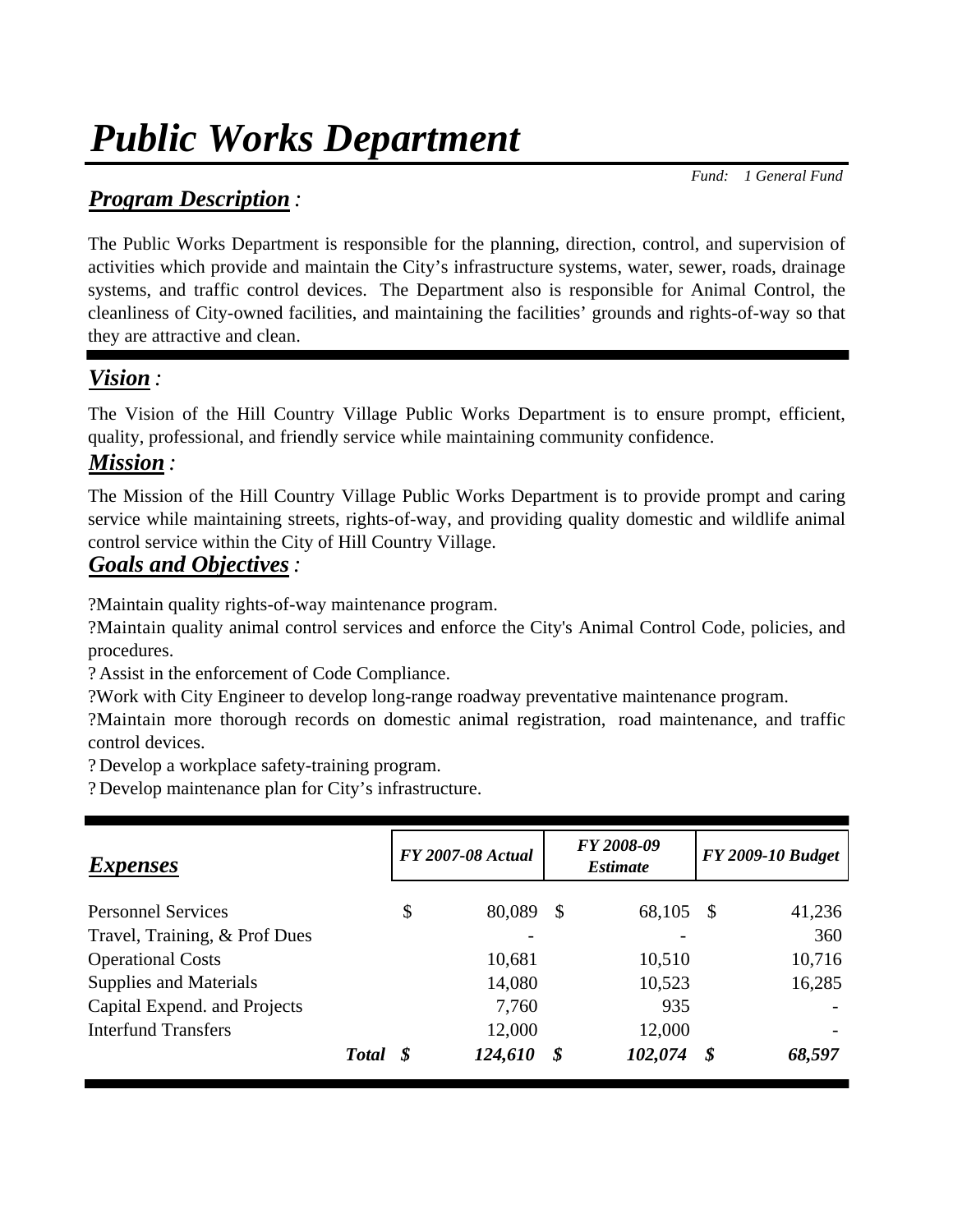# *Public Works Department*

 *Fund: 1 General Fund*

## *Program Description :*

The Public Works Department is responsible for the planning, direction, control, and supervision of activities which provide and maintain the City's infrastructure systems, water, sewer, roads, drainage systems, and traffic control devices. The Department also is responsible for Animal Control, the cleanliness of City-owned facilities, and maintaining the facilities' grounds and rights-of-way so that they are attractive and clean.

# *Vision :*

The Vision of the Hill Country Village Public Works Department is to ensure prompt, efficient, quality, professional, and friendly service while maintaining community confidence.

## *Mission :*

The Mission of the Hill Country Village Public Works Department is to provide prompt and caring service while maintaining streets, rights-of-way, and providing quality domestic and wildlife animal control service within the City of Hill Country Village.

## *Goals and Objectives:*

?Maintain quality rights-of-way maintenance program.

?Maintain quality animal control services and enforce the City's Animal Control Code, policies, and procedures.

? Assist in the enforcement of Code Compliance.

?Work with City Engineer to develop long-range roadway preventative maintenance program.

?Maintain more thorough records on domestic animal registration, road maintenance, and traffic control devices.

? Develop a workplace safety-training program.

? Develop maintenance plan for City's infrastructure.

| <i>Expenses</i>               |          | <b>FY 2007-08 Actual</b> |    | FY 2008-09<br><i><b>Estimate</b></i> |    | <b>FY 2009-10 Budget</b> |
|-------------------------------|----------|--------------------------|----|--------------------------------------|----|--------------------------|
| <b>Personnel Services</b>     |          | \$<br>80,089             | S  | 68,105                               | S  | 41,236                   |
| Travel, Training, & Prof Dues |          |                          |    |                                      |    | 360                      |
| <b>Operational Costs</b>      |          | 10,681                   |    | 10,510                               |    | 10,716                   |
| <b>Supplies and Materials</b> |          | 14,080                   |    | 10,523                               |    | 16,285                   |
| Capital Expend. and Projects  |          | 7,760                    |    | 935                                  |    |                          |
| <b>Interfund Transfers</b>    |          | 12,000                   |    | 12,000                               |    |                          |
|                               | Total \$ | 124,610                  | \$ | 102,074                              | \$ | 68,597                   |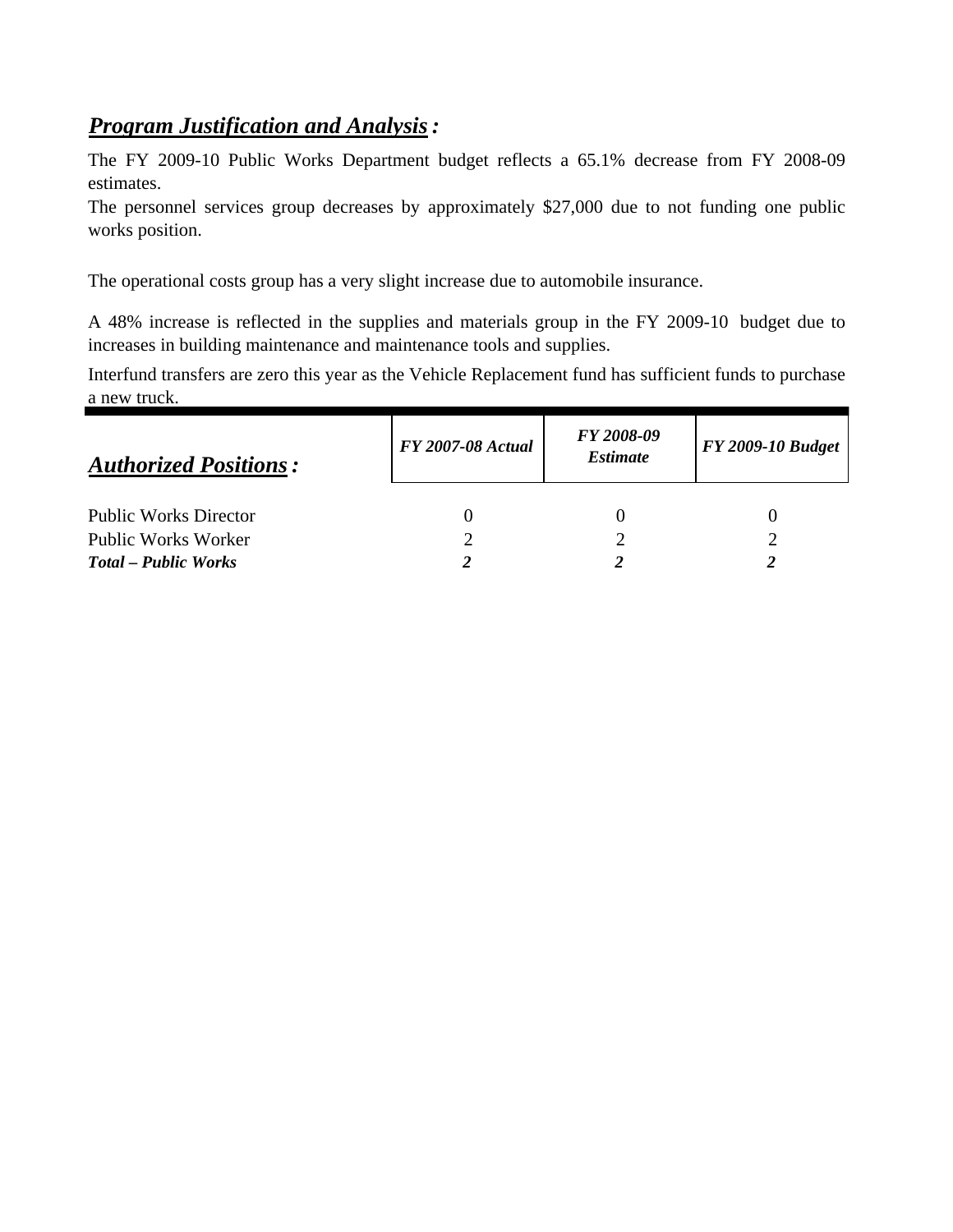## *Program Justification and Analysis:*

The FY 2009-10 Public Works Department budget reflects a 65.1% decrease from FY 2008-09 estimates.

The personnel services group decreases by approximately \$27,000 due to not funding one public works position.

The operational costs group has a very slight increase due to automobile insurance.

A 48% increase is reflected in the supplies and materials group in the FY 2009-10 budget due to increases in building maintenance and maintenance tools and supplies.

Interfund transfers are zero this year as the Vehicle Replacement fund has sufficient funds to purchase a new truck.

| <b>FY 2007-08 Actual</b> | FY 2008-09<br><i><b>Estimate</b></i> | <b>FY 2009-10 Budget</b> |  |  |  |
|--------------------------|--------------------------------------|--------------------------|--|--|--|
|                          |                                      |                          |  |  |  |
|                          |                                      |                          |  |  |  |
|                          |                                      |                          |  |  |  |
|                          |                                      |                          |  |  |  |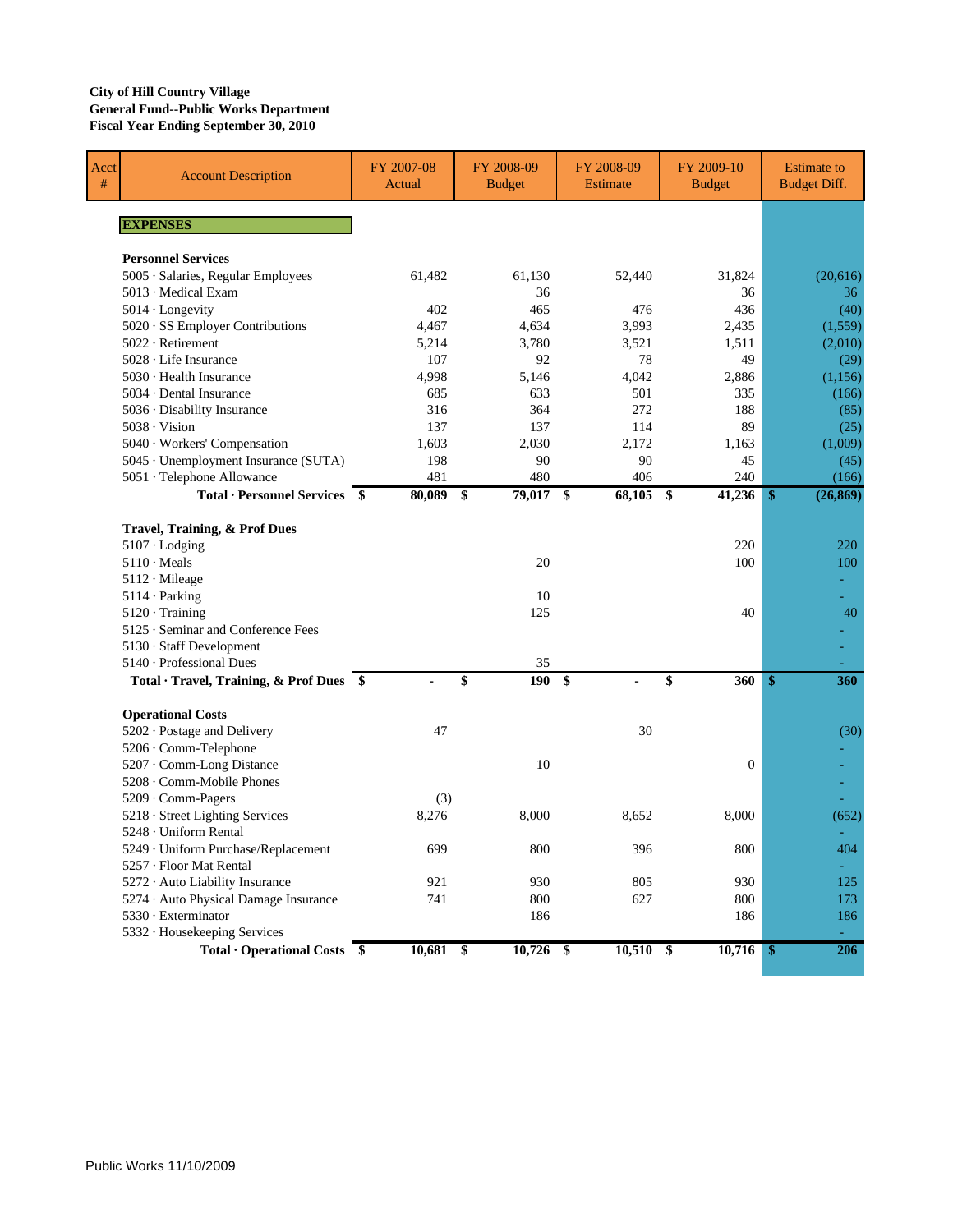### **City of Hill Country Village General Fund--Public Works Department Fiscal Year Ending September 30, 2010**

| Acct<br>$\#$ | <b>Account Description</b>                                   | FY 2007-08<br>Actual | FY 2008-09<br><b>Budget</b> | FY 2008-09<br><b>Estimate</b> | FY 2009-10<br><b>Budget</b> | <b>Estimate to</b><br><b>Budget Diff.</b> |
|--------------|--------------------------------------------------------------|----------------------|-----------------------------|-------------------------------|-----------------------------|-------------------------------------------|
|              | <b>EXPENSES</b>                                              |                      |                             |                               |                             |                                           |
|              |                                                              |                      |                             |                               |                             |                                           |
|              | <b>Personnel Services</b>                                    |                      |                             |                               |                             |                                           |
|              | 5005 · Salaries, Regular Employees                           | 61,482               | 61,130                      | 52,440                        | 31,824                      | (20,616)                                  |
|              | $5013 \cdot$ Medical Exam                                    |                      | 36                          |                               | 36                          | 36                                        |
|              | $5014 \cdot$ Longevity                                       | 402                  | 465                         | 476                           | 436                         | (40)                                      |
|              | 5020 · SS Employer Contributions                             | 4,467                | 4,634                       | 3,993                         | 2,435                       | (1,559)                                   |
|              | 5022 · Retirement                                            | 5,214                | 3,780                       | 3,521                         | 1,511                       | (2,010)                                   |
|              | $5028 \cdot$ Life Insurance                                  | 107                  | 92                          | 78                            | 49                          | (29)                                      |
|              | $5030 \cdot$ Health Insurance                                | 4,998                | 5,146                       | 4,042                         | 2,886                       | (1,156)                                   |
|              | 5034 · Dental Insurance                                      | 685                  | 633                         | 501                           | 335                         | (166)                                     |
|              | 5036 · Disability Insurance                                  | 316                  | 364                         | 272                           | 188                         | (85)                                      |
|              | $5038 \cdot \text{Vision}$                                   | 137                  | 137                         | 114                           | 89                          | (25)                                      |
|              | 5040 · Workers' Compensation                                 | 1,603                | 2,030                       | 2,172                         | 1,163                       | (1,009)                                   |
|              | 5045 · Unemployment Insurance (SUTA)                         | 198                  | 90                          | 90                            | 45                          | (45)                                      |
|              | 5051 · Telephone Allowance                                   | 481                  | 480                         | 406                           | 240                         | (166)                                     |
|              | Total · Personnel Services \$                                | 80,089               | \$<br>79,017 \$             | 68,105 \$                     | 41,236                      | (26, 869)<br>\$                           |
|              |                                                              |                      |                             |                               |                             |                                           |
|              | Travel, Training, & Prof Dues                                |                      |                             |                               |                             |                                           |
|              | $5107 \cdot$ Lodging                                         |                      |                             |                               | 220                         | 220                                       |
|              | $5110 \cdot \text{Meals}$                                    |                      | 20                          |                               | 100                         | 100                                       |
|              | 5112 · Mileage                                               |                      |                             |                               |                             |                                           |
|              | 5114 · Parking                                               |                      | 10                          |                               |                             |                                           |
|              | $5120 \cdot$ Training                                        |                      | 125                         |                               | 40                          | 40                                        |
|              | 5125 · Seminar and Conference Fees                           |                      |                             |                               |                             |                                           |
|              | 5130 · Staff Development                                     |                      |                             |                               |                             |                                           |
|              | 5140 - Professional Dues                                     |                      | 35                          |                               |                             |                                           |
|              | Total · Travel, Training, & Prof Dues \$                     |                      | 190<br>\$                   | \$                            | 360<br>\$                   | \$<br>360                                 |
|              | <b>Operational Costs</b>                                     |                      |                             |                               |                             |                                           |
|              | 5202 · Postage and Delivery                                  | 47                   |                             | 30                            |                             | (30)                                      |
|              | 5206 · Comm-Telephone                                        |                      |                             |                               |                             |                                           |
|              | 5207 · Comm-Long Distance                                    |                      | 10                          |                               | $\overline{0}$              |                                           |
|              | 5208 · Comm-Mobile Phones                                    |                      |                             |                               |                             |                                           |
|              | 5209 · Comm-Pagers                                           | (3)                  |                             |                               |                             |                                           |
|              | 5218 · Street Lighting Services                              | 8,276                | 8,000                       | 8,652                         | 8,000                       | (652)                                     |
|              | 5248 · Uniform Rental                                        |                      |                             |                               |                             |                                           |
|              | 5249 · Uniform Purchase/Replacement                          | 699                  | 800                         | 396                           | $800\,$                     | 404                                       |
|              | 5257 · Floor Mat Rental                                      |                      |                             |                               |                             |                                           |
|              | 5272 · Auto Liability Insurance                              | 921                  | 930                         | 805                           | 930                         | 125                                       |
|              | 5274 · Auto Physical Damage Insurance                        | 741                  | 800                         | 627                           | 800                         | 173                                       |
|              | 5330 · Exterminator                                          |                      | 186                         |                               | 186                         | 186                                       |
|              | 5332 · Housekeeping Services                                 |                      |                             |                               |                             |                                           |
|              | <b>Total • Operational Costs <math>\overline{\\$}</math></b> | $10,681$ \$          | $10,726$ \$                 | $10,510$ \$                   | $10,716$ \$                 | 206                                       |
|              |                                                              |                      |                             |                               |                             |                                           |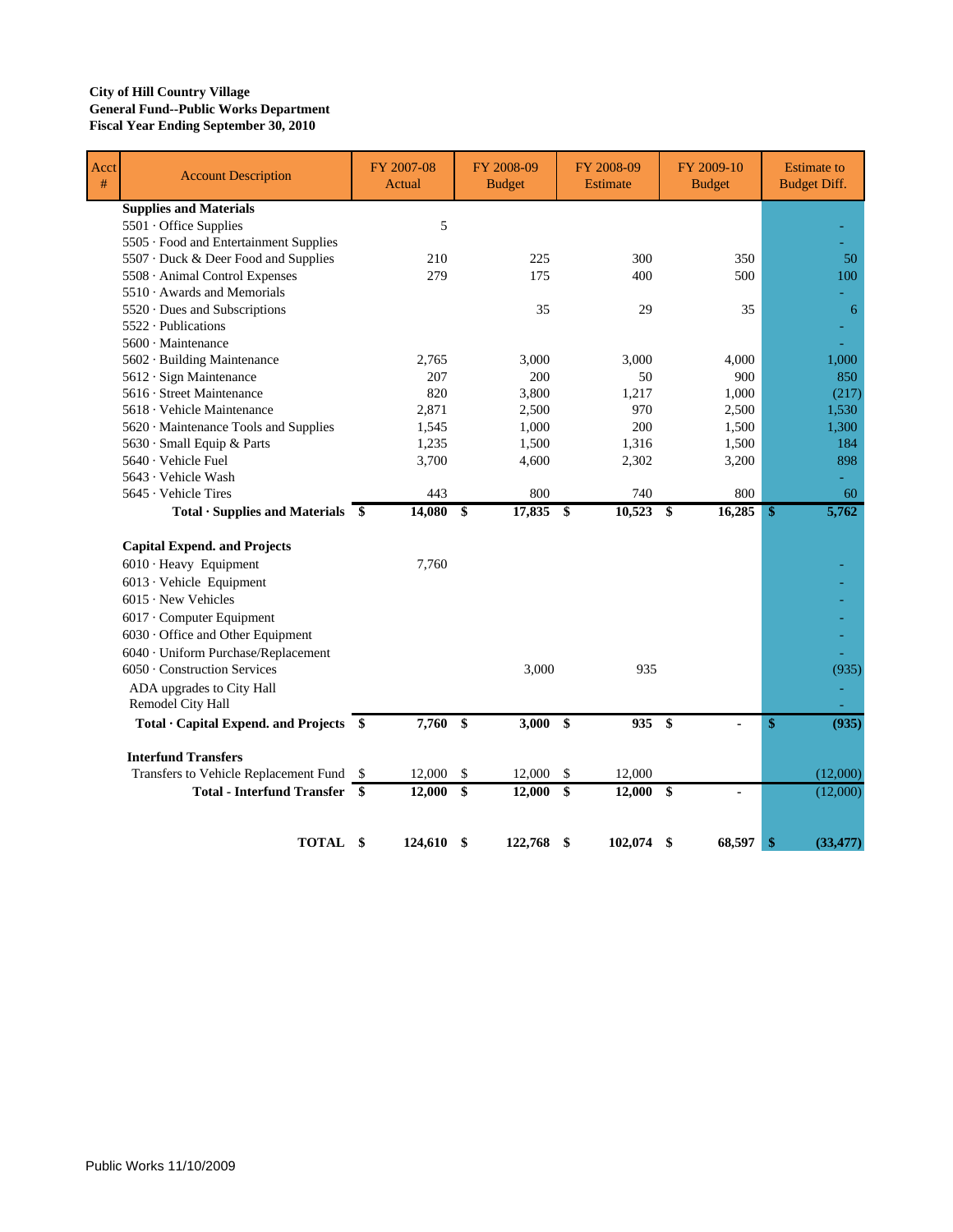### **City of Hill Country Village General Fund--Public Works Department Fiscal Year Ending September 30, 2010**

| Acct<br># | <b>Account Description</b>                                    | FY 2007-08<br>Actual |                         | FY 2008-09<br><b>Budget</b> |                      | FY 2008-09<br><b>Estimate</b> | FY 2009-10<br><b>Budget</b> |               | <b>Estimate to</b><br><b>Budget Diff.</b> |
|-----------|---------------------------------------------------------------|----------------------|-------------------------|-----------------------------|----------------------|-------------------------------|-----------------------------|---------------|-------------------------------------------|
|           | <b>Supplies and Materials</b>                                 |                      |                         |                             |                      |                               |                             |               |                                           |
|           | 5501 Office Supplies                                          | 5                    |                         |                             |                      |                               |                             |               |                                           |
|           | 5505 · Food and Entertainment Supplies                        |                      |                         |                             |                      |                               |                             |               |                                           |
|           | 5507 · Duck & Deer Food and Supplies                          | 210                  |                         | 225                         |                      | 300                           | 350                         |               | 50                                        |
|           | 5508 · Animal Control Expenses                                | 279                  |                         | 175                         |                      | 400                           | 500                         |               | 100                                       |
|           | 5510 · Awards and Memorials                                   |                      |                         |                             |                      |                               |                             |               |                                           |
|           | 5520 · Dues and Subscriptions                                 |                      |                         | 35                          |                      | 29                            | 35                          |               | 6                                         |
|           | 5522 · Publications                                           |                      |                         |                             |                      |                               |                             |               |                                           |
|           | $5600 \cdot$ Maintenance                                      |                      |                         |                             |                      |                               |                             |               |                                           |
|           | 5602 · Building Maintenance                                   | 2,765                |                         | 3,000                       |                      | 3,000                         | 4,000                       |               | 1,000                                     |
|           | 5612 · Sign Maintenance                                       | 207                  |                         | 200                         |                      | 50                            | 900                         |               | 850                                       |
|           | 5616 · Street Maintenance                                     | 820                  |                         | 3,800                       |                      | 1,217                         | 1,000                       |               | (217)                                     |
|           | 5618 · Vehicle Maintenance                                    | 2,871                |                         | 2,500                       |                      | 970                           | 2,500                       |               | 1,530                                     |
|           | 5620 · Maintenance Tools and Supplies                         | 1,545                |                         | 1,000                       |                      | 200                           | 1,500                       |               | 1,300                                     |
|           | 5630 · Small Equip & Parts                                    | 1,235                |                         | 1,500                       |                      | 1,316                         | 1,500                       |               | 184                                       |
|           | 5640 · Vehicle Fuel                                           | 3,700                |                         | 4,600                       |                      | 2,302                         | 3,200                       |               | 898                                       |
|           | 5643 · Vehicle Wash                                           |                      |                         |                             |                      |                               |                             |               |                                           |
|           | 5645 · Vehicle Tires                                          | 443                  |                         | 800                         |                      | 740                           | 800                         |               | 60                                        |
|           | $Total ·$ Supplies and Materials $$$                          | 14,080 \$            |                         | 17,835 \$                   |                      | $10,523$ \$                   | 16,285                      | $\mathbf{\$}$ | 5,762                                     |
|           | <b>Capital Expend. and Projects</b>                           |                      |                         |                             |                      |                               |                             |               |                                           |
|           | 6010 · Heavy Equipment                                        | 7,760                |                         |                             |                      |                               |                             |               |                                           |
|           | 6013 · Vehicle Equipment                                      |                      |                         |                             |                      |                               |                             |               |                                           |
|           | $6015 \cdot$ New Vehicles                                     |                      |                         |                             |                      |                               |                             |               |                                           |
|           | 6017 Computer Equipment                                       |                      |                         |                             |                      |                               |                             |               |                                           |
|           | 6030 Office and Other Equipment                               |                      |                         |                             |                      |                               |                             |               |                                           |
|           | 6040 · Uniform Purchase/Replacement                           |                      |                         |                             |                      |                               |                             |               |                                           |
|           | 6050 · Construction Services                                  |                      |                         | 3,000                       |                      | 935                           |                             |               | (935)                                     |
|           |                                                               |                      |                         |                             |                      |                               |                             |               |                                           |
|           | ADA upgrades to City Hall<br>Remodel City Hall                |                      |                         |                             |                      |                               |                             |               |                                           |
|           | Total · Capital Expend. and Projects \$                       | 7,760                | $\mathbf{\$}$           | $3,000$ \$                  |                      | 935                           | - \$<br>ä,                  | \$            | (935)                                     |
|           | <b>Interfund Transfers</b>                                    |                      |                         |                             |                      |                               |                             |               |                                           |
|           | Transfers to Vehicle Replacement Fund \$                      | 12,000               | \$                      | 12,000                      | \$                   | 12,000                        |                             |               | (12,000)                                  |
|           | <b>Total - Interfund Transfer <math>\overline{\\$}</math></b> | 12,000               | $\sqrt[6]{\frac{1}{2}}$ | 12,000                      | $\sqrt{\frac{2}{5}}$ | $12,000$ \$                   |                             |               | (12,000)                                  |
|           |                                                               |                      |                         |                             |                      |                               |                             |               |                                           |
|           | TOTAL \$                                                      | 124,610              | \$                      | 122,768                     | \$                   | 102,074                       | 68,597<br>S                 | \$            | (33, 477)                                 |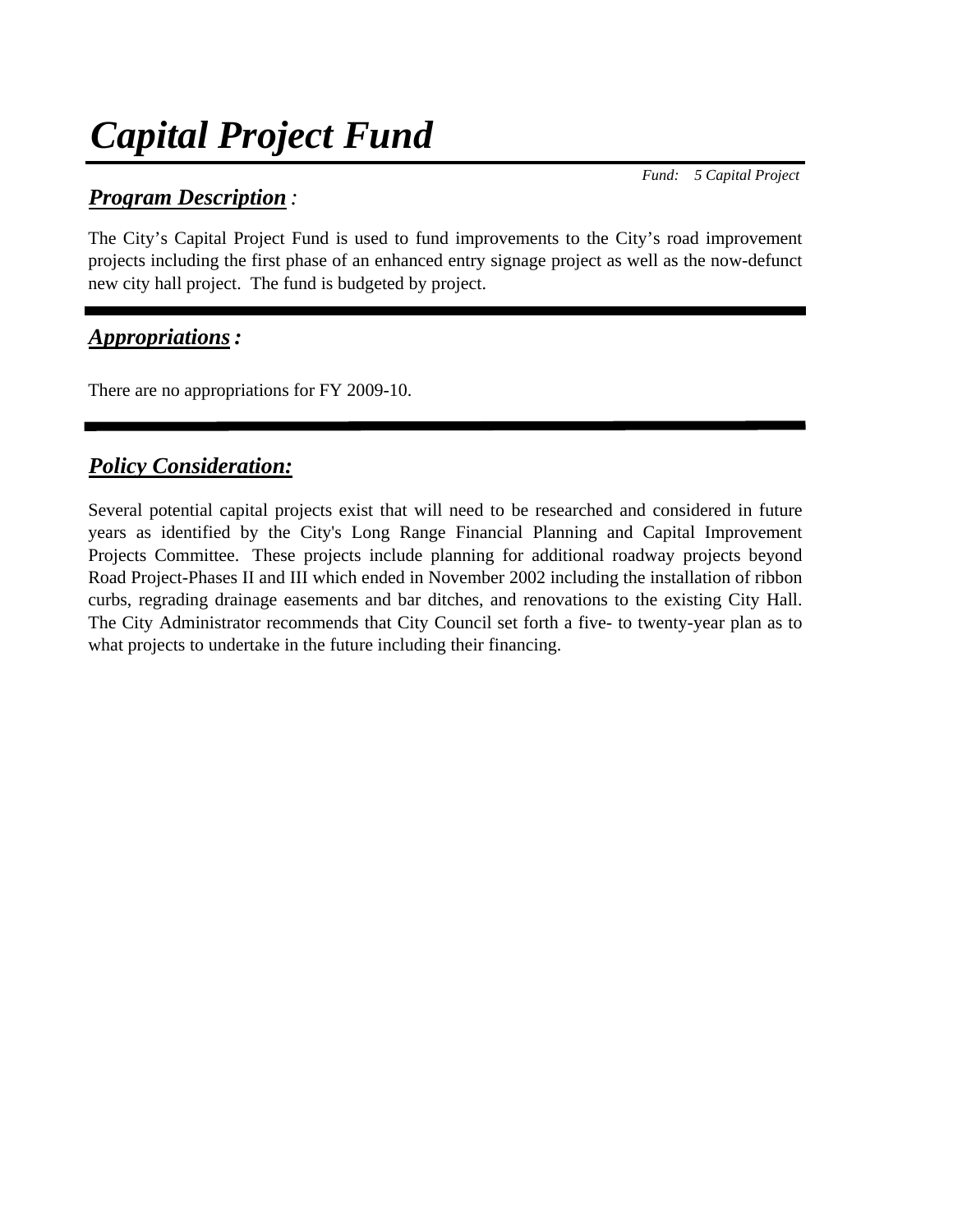# *Capital Project Fund*

## *Program Description :*

 *Fund: 5 Capital Project*

The City's Capital Project Fund is used to fund improvements to the City's road improvement projects including the first phase of an enhanced entry signage project as well as the now-defunct new city hall project. The fund is budgeted by project.

## *Appropriations:*

There are no appropriations for FY 2009-10.

## *Policy Consideration:*

Several potential capital projects exist that will need to be researched and considered in future years as identified by the City's Long Range Financial Planning and Capital Improvement Projects Committee. These projects include planning for additional roadway projects beyond Road Project-Phases II and III which ended in November 2002 including the installation of ribbon curbs, regrading drainage easements and bar ditches, and renovations to the existing City Hall. The City Administrator recommends that City Council set forth a five- to twenty-year plan as to what projects to undertake in the future including their financing.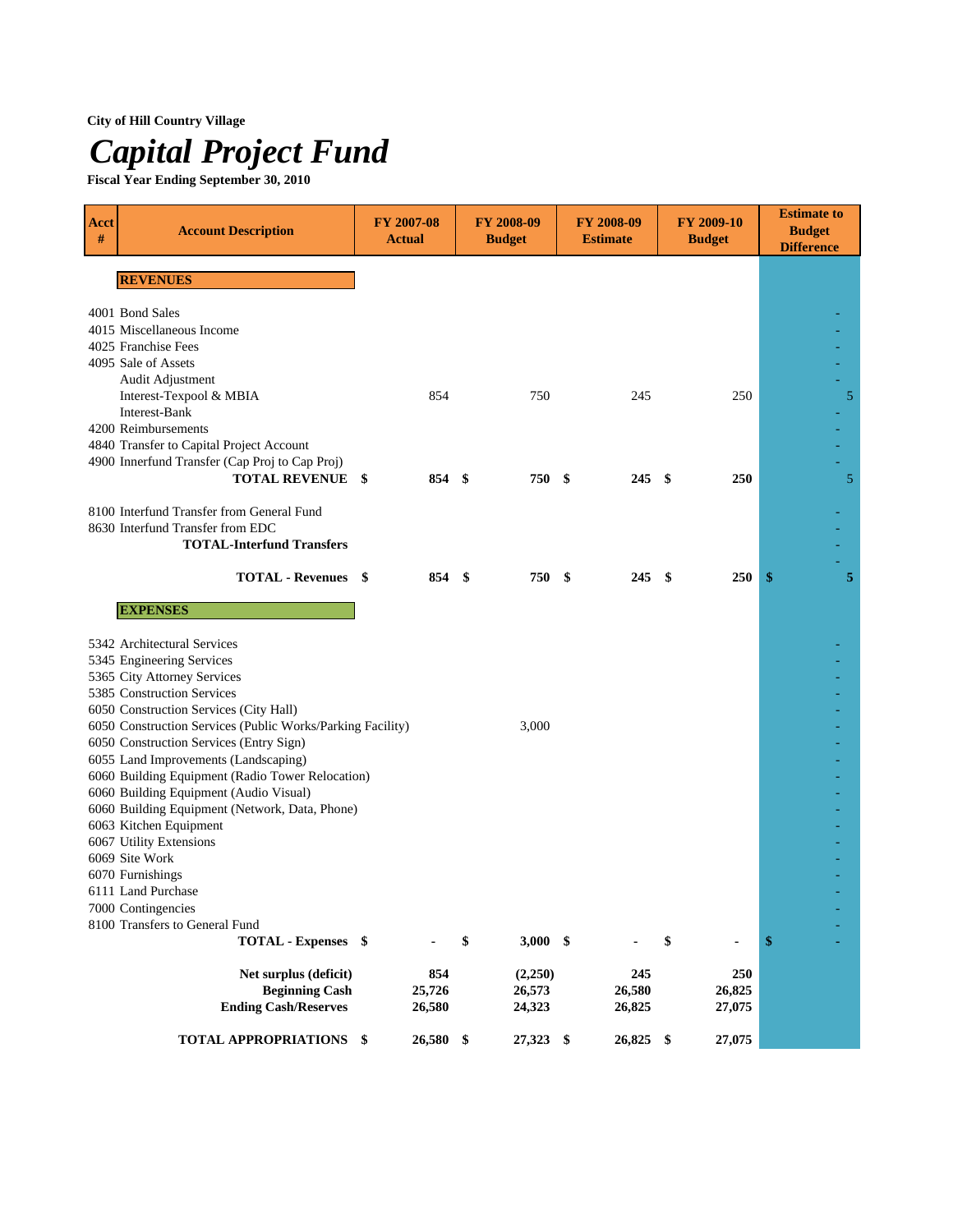## **City of Hill Country Village**

# *Capital Project Fund*

**Fiscal Year Ending September 30, 2010**

| <b>Acct</b><br># | <b>Account Description</b>                                                                           | <b>FY 2007-08</b><br><b>Actual</b> |           | FY 2008-09<br><b>Budget</b> |  | FY 2008-09<br><b>Estimate</b> | FY 2009-10<br><b>Budget</b> | <b>Estimate to</b><br><b>Budget</b><br><b>Difference</b> |
|------------------|------------------------------------------------------------------------------------------------------|------------------------------------|-----------|-----------------------------|--|-------------------------------|-----------------------------|----------------------------------------------------------|
|                  | <b>REVENUES</b>                                                                                      |                                    |           |                             |  |                               |                             |                                                          |
|                  | 4001 Bond Sales                                                                                      |                                    |           |                             |  |                               |                             |                                                          |
|                  | 4015 Miscellaneous Income                                                                            |                                    |           |                             |  |                               |                             |                                                          |
|                  | 4025 Franchise Fees                                                                                  |                                    |           |                             |  |                               |                             |                                                          |
|                  | 4095 Sale of Assets<br>Audit Adjustment                                                              |                                    |           |                             |  |                               |                             |                                                          |
|                  | Interest-Texpool & MBIA                                                                              |                                    | 854       | 750                         |  | 245                           | 250                         | 5                                                        |
|                  | Interest-Bank                                                                                        |                                    |           |                             |  |                               |                             |                                                          |
|                  | 4200 Reimbursements                                                                                  |                                    |           |                             |  |                               |                             |                                                          |
|                  | 4840 Transfer to Capital Project Account<br>4900 Innerfund Transfer (Cap Proj to Cap Proj)           |                                    |           |                             |  |                               |                             |                                                          |
|                  | <b>TOTAL REVENUE \$</b>                                                                              |                                    | 854 \$    | 750 \$                      |  | $245 \quad$ \$                | 250                         | 5                                                        |
|                  |                                                                                                      |                                    |           |                             |  |                               |                             |                                                          |
|                  | 8100 Interfund Transfer from General Fund<br>8630 Interfund Transfer from EDC                        |                                    |           |                             |  |                               |                             |                                                          |
|                  | <b>TOTAL-Interfund Transfers</b>                                                                     |                                    |           |                             |  |                               |                             |                                                          |
|                  |                                                                                                      |                                    |           |                             |  |                               |                             |                                                          |
|                  | <b>TOTAL - Revenues</b> \$                                                                           |                                    | 854 \$    | 750 \$                      |  | $245 \quad$ \$                | 250                         | \$<br>5                                                  |
|                  | <b>EXPENSES</b>                                                                                      |                                    |           |                             |  |                               |                             |                                                          |
|                  | 5342 Architectural Services                                                                          |                                    |           |                             |  |                               |                             |                                                          |
|                  | 5345 Engineering Services                                                                            |                                    |           |                             |  |                               |                             |                                                          |
|                  | 5365 City Attorney Services                                                                          |                                    |           |                             |  |                               |                             |                                                          |
|                  | 5385 Construction Services                                                                           |                                    |           |                             |  |                               |                             |                                                          |
|                  | 6050 Construction Services (City Hall)<br>6050 Construction Services (Public Works/Parking Facility) |                                    |           | 3,000                       |  |                               |                             |                                                          |
|                  | 6050 Construction Services (Entry Sign)                                                              |                                    |           |                             |  |                               |                             |                                                          |
|                  | 6055 Land Improvements (Landscaping)                                                                 |                                    |           |                             |  |                               |                             |                                                          |
|                  | 6060 Building Equipment (Radio Tower Relocation)<br>6060 Building Equipment (Audio Visual)           |                                    |           |                             |  |                               |                             |                                                          |
|                  | 6060 Building Equipment (Network, Data, Phone)                                                       |                                    |           |                             |  |                               |                             |                                                          |
|                  | 6063 Kitchen Equipment                                                                               |                                    |           |                             |  |                               |                             |                                                          |
|                  | 6067 Utility Extensions                                                                              |                                    |           |                             |  |                               |                             |                                                          |
|                  | 6069 Site Work<br>6070 Furnishings                                                                   |                                    |           |                             |  |                               |                             |                                                          |
|                  | 6111 Land Purchase                                                                                   |                                    |           |                             |  |                               |                             |                                                          |
|                  | 7000 Contingencies                                                                                   |                                    |           |                             |  |                               |                             |                                                          |
|                  | 8100 Transfers to General Fund                                                                       |                                    |           |                             |  |                               |                             |                                                          |
|                  | TOTAL - Expenses \$                                                                                  |                                    |           | \$<br>$3,000$ \$            |  |                               | \$                          | \$                                                       |
|                  | Net surplus (deficit)                                                                                |                                    | 854       | (2,250)                     |  | 245                           | 250                         |                                                          |
|                  | <b>Beginning Cash</b>                                                                                |                                    | 25,726    | 26,573                      |  | 26,580                        | 26,825                      |                                                          |
|                  | <b>Ending Cash/Reserves</b>                                                                          |                                    | 26,580    | 24,323                      |  | 26,825                        | 27,075                      |                                                          |
|                  | TOTAL APPROPRIATIONS \$                                                                              |                                    | 26,580 \$ | 27,323 \$                   |  | 26,825 \$                     | 27,075                      |                                                          |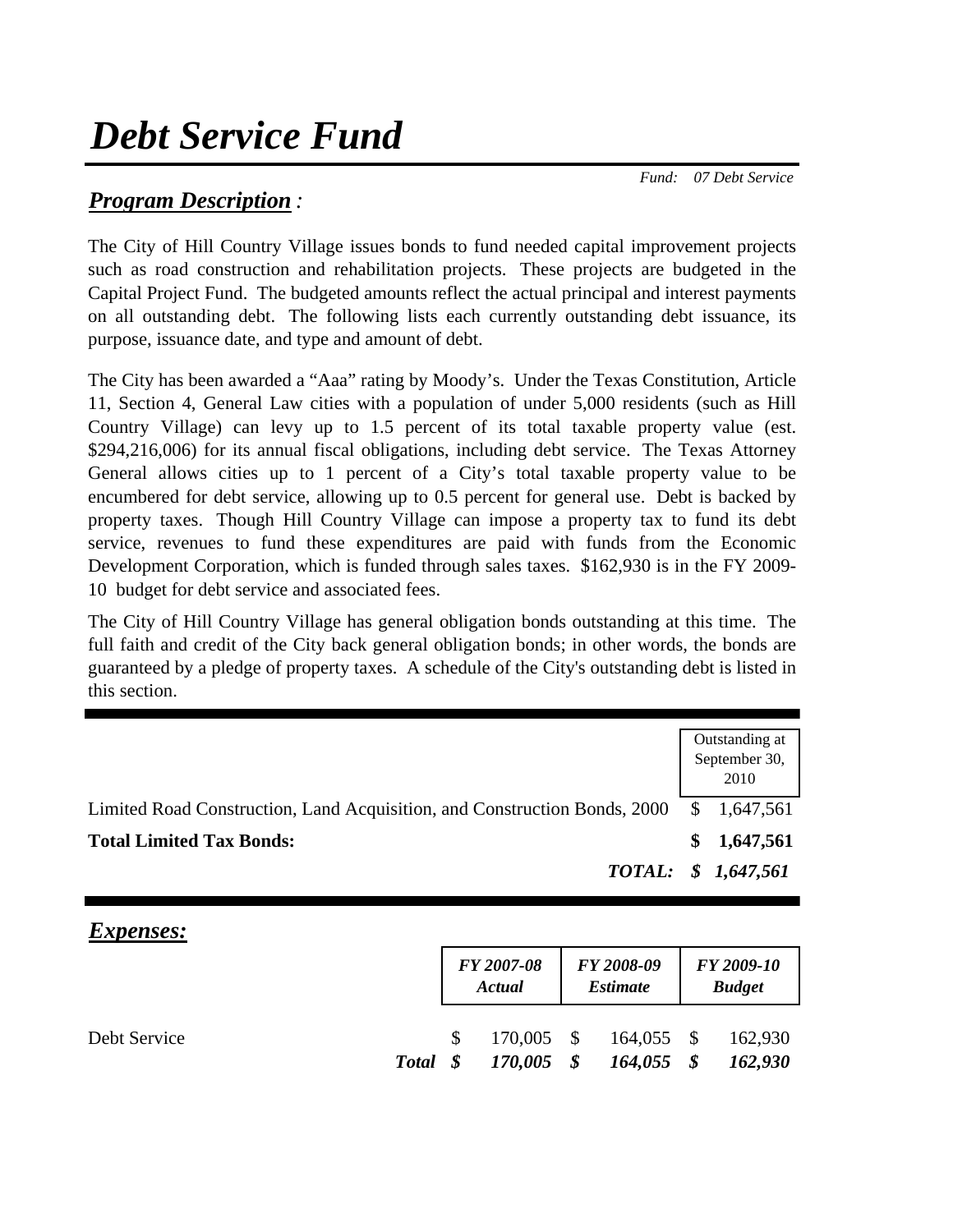# *Debt Service Fund*

 *Fund: 07 Debt Service*

## *Program Description :*

The City of Hill Country Village issues bonds to fund needed capital improvement projects such as road construction and rehabilitation projects. These projects are budgeted in the Capital Project Fund. The budgeted amounts reflect the actual principal and interest payments on all outstanding debt. The following lists each currently outstanding debt issuance, its purpose, issuance date, and type and amount of debt.

The City has been awarded a "Aaa" rating by Moody's. Under the Texas Constitution, Article 11, Section 4, General Law cities with a population of under 5,000 residents (such as Hill Country Village) can levy up to 1.5 percent of its total taxable property value (est. \$294,216,006) for its annual fiscal obligations, including debt service. The Texas Attorney General allows cities up to 1 percent of a City's total taxable property value to be encumbered for debt service, allowing up to 0.5 percent for general use. Debt is backed by property taxes. Though Hill Country Village can impose a property tax to fund its debt service, revenues to fund these expenditures are paid with funds from the Economic Development Corporation, which is funded through sales taxes. \$162,930 is in the FY 2009- 10 budget for debt service and associated fees.

The City of Hill Country Village has general obligation bonds outstanding at this time. The full faith and credit of the City back general obligation bonds; in other words, the bonds are guaranteed by a pledge of property taxes. A schedule of the City's outstanding debt is listed in this section.

|                                                                           | Outstanding at<br>September 30,<br>2010 |
|---------------------------------------------------------------------------|-----------------------------------------|
| Limited Road Construction, Land Acquisition, and Construction Bonds, 2000 | \$1,647,561                             |
| <b>Total Limited Tax Bonds:</b>                                           | \$1,647,561                             |
|                                                                           | TOTAL: \$ 1,647,561                     |

## *Expenses:*

|              |          |              | FY 2007-08<br>Actual  |               | FY 2008-09<br><b>Estimate</b> | FY 2009-10<br><b>Budget</b> |
|--------------|----------|--------------|-----------------------|---------------|-------------------------------|-----------------------------|
| Debt Service | Total \$ | <sup>S</sup> | 170,005 \$<br>170,005 | $\mathcal{S}$ | $164,055$ \$<br>$164,055$ \$  | 162,930<br>162,930          |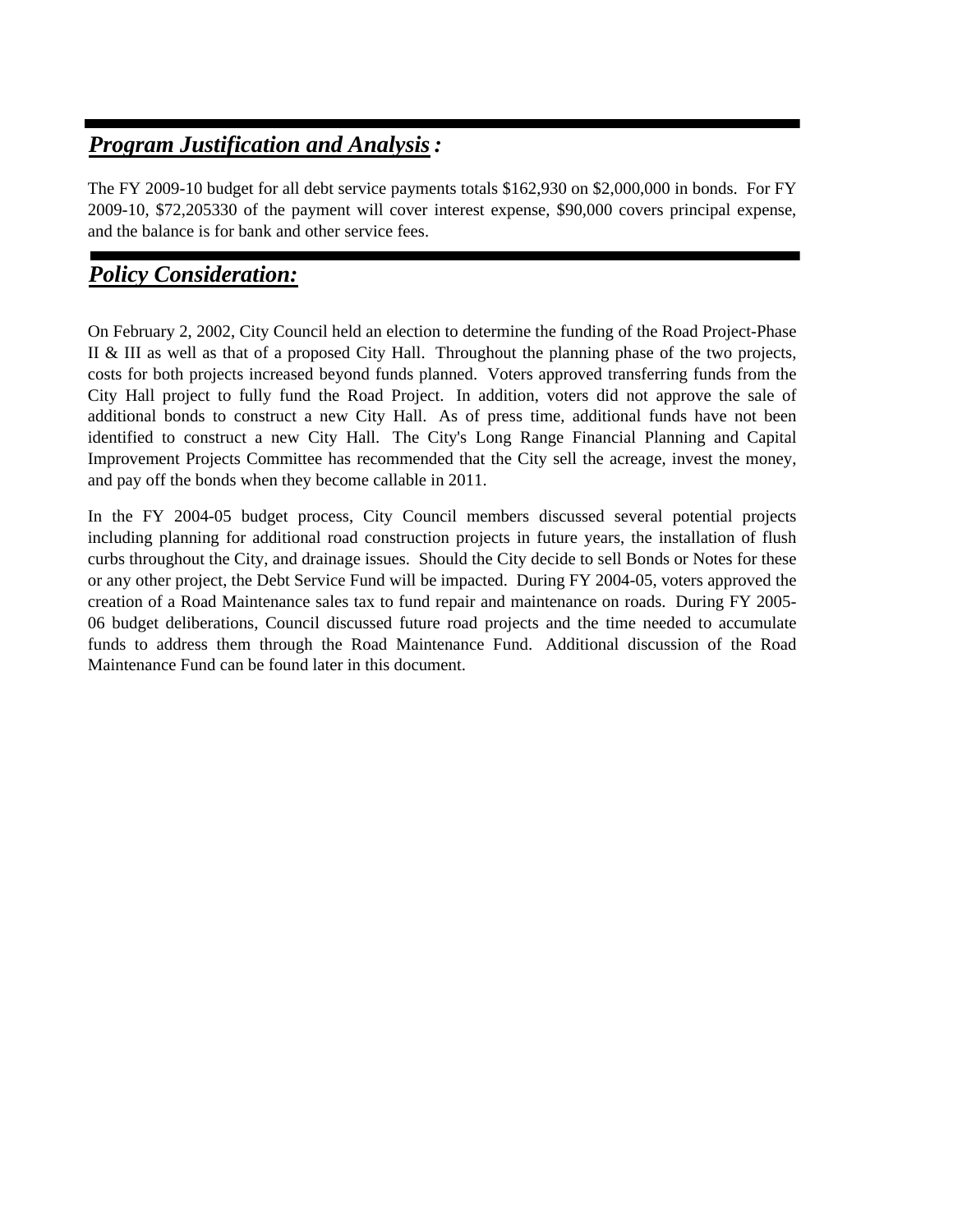# *Program Justification and Analysis:*

The FY 2009-10 budget for all debt service payments totals \$162,930 on \$2,000,000 in bonds. For FY 2009-10, \$72,205330 of the payment will cover interest expense, \$90,000 covers principal expense, and the balance is for bank and other service fees.

## *Policy Consideration:*

On February 2, 2002, City Council held an election to determine the funding of the Road Project-Phase II & III as well as that of a proposed City Hall. Throughout the planning phase of the two projects, costs for both projects increased beyond funds planned. Voters approved transferring funds from the City Hall project to fully fund the Road Project. In addition, voters did not approve the sale of additional bonds to construct a new City Hall. As of press time, additional funds have not been identified to construct a new City Hall. The City's Long Range Financial Planning and Capital Improvement Projects Committee has recommended that the City sell the acreage, invest the money, and pay off the bonds when they become callable in 2011.

In the FY 2004-05 budget process, City Council members discussed several potential projects including planning for additional road construction projects in future years, the installation of flush curbs throughout the City, and drainage issues. Should the City decide to sell Bonds or Notes for these or any other project, the Debt Service Fund will be impacted. During FY 2004-05, voters approved the creation of a Road Maintenance sales tax to fund repair and maintenance on roads. During FY 2005- 06 budget deliberations, Council discussed future road projects and the time needed to accumulate funds to address them through the Road Maintenance Fund. Additional discussion of the Road Maintenance Fund can be found later in this document.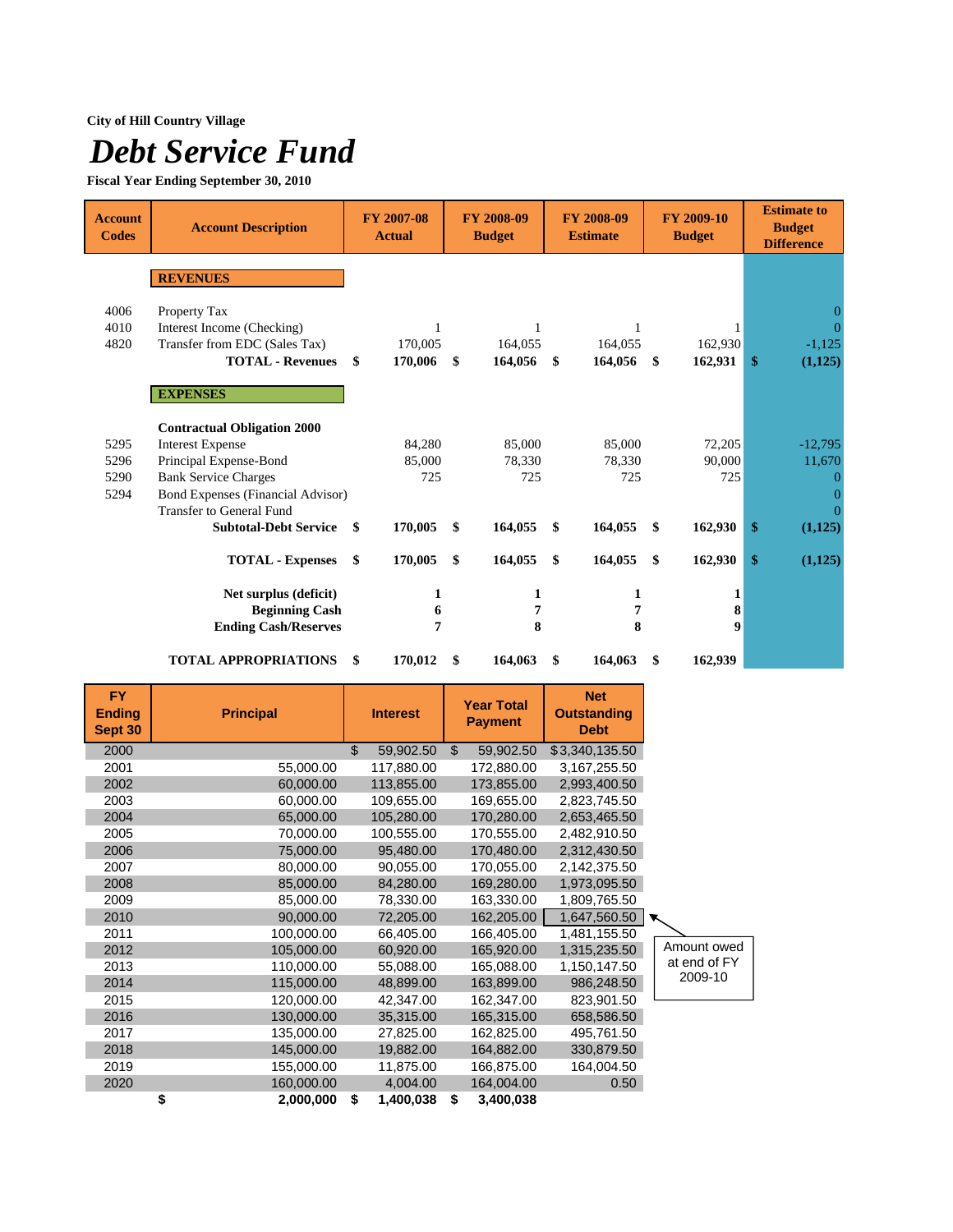## **City of Hill Country Village**

# *Debt Service Fund*

**Fiscal Year Ending September 30, 2010**

| <b>Account</b><br><b>Codes</b> | <b>Account Description</b>               |     | FY 2007-08<br><b>Actual</b> | <b>FY 2008-09</b><br><b>Budget</b> |         |    | FY 2008-09<br><b>Estimate</b> | FY 2009-10<br><b>Budget</b> |         |    | <b>Estimate to</b><br><b>Budget</b><br><b>Difference</b> |  |
|--------------------------------|------------------------------------------|-----|-----------------------------|------------------------------------|---------|----|-------------------------------|-----------------------------|---------|----|----------------------------------------------------------|--|
|                                | <b>REVENUES</b>                          |     |                             |                                    |         |    |                               |                             |         |    |                                                          |  |
|                                |                                          |     |                             |                                    |         |    |                               |                             |         |    |                                                          |  |
| 4006                           | Property Tax                             |     |                             |                                    |         |    |                               |                             |         |    |                                                          |  |
| 4010                           | Interest Income (Checking)               |     |                             |                                    |         |    |                               |                             |         |    |                                                          |  |
| 4820                           | Transfer from EDC (Sales Tax)            |     | 170,005                     |                                    | 164,055 |    | 164,055                       |                             | 162,930 |    | $-1,125$                                                 |  |
|                                | <b>TOTAL - Revenues</b>                  | \$  | 170,006                     | \$                                 | 164,056 | \$ | 164,056                       | \$                          | 162,931 | \$ | (1,125)                                                  |  |
|                                | <b>EXPENSES</b>                          |     |                             |                                    |         |    |                               |                             |         |    |                                                          |  |
|                                |                                          |     |                             |                                    |         |    |                               |                             |         |    |                                                          |  |
|                                | <b>Contractual Obligation 2000</b>       |     |                             |                                    |         |    |                               |                             |         |    |                                                          |  |
| 5295                           | <b>Interest Expense</b>                  |     | 84,280                      |                                    | 85,000  |    | 85,000                        |                             | 72,205  |    | $-12,795$                                                |  |
| 5296                           | Principal Expense-Bond                   |     | 85,000                      |                                    | 78,330  |    | 78,330                        |                             | 90,000  |    | 11,670                                                   |  |
| 5290                           | <b>Bank Service Charges</b>              |     | 725                         |                                    | 725     |    | 725                           |                             | 725     |    |                                                          |  |
| 5294                           | <b>Bond Expenses (Financial Advisor)</b> |     |                             |                                    |         |    |                               |                             |         |    |                                                          |  |
|                                | <b>Transfer to General Fund</b>          |     |                             |                                    |         |    |                               |                             |         |    |                                                          |  |
|                                | <b>Subtotal-Debt Service</b>             | -\$ | 170,005                     | \$                                 | 164,055 | \$ | 164,055                       | \$                          | 162,930 | \$ | (1,125)                                                  |  |
|                                | <b>TOTAL - Expenses</b>                  | \$  | 170,005                     | \$                                 | 164,055 | \$ | 164,055                       | \$                          | 162,930 | \$ | (1,125)                                                  |  |
|                                | Net surplus (deficit)                    |     | 1                           |                                    | 1       |    | 1                             |                             | 1       |    |                                                          |  |
|                                | <b>Beginning Cash</b>                    |     | 6                           |                                    | 7       |    | 7                             |                             | 8       |    |                                                          |  |
|                                | <b>Ending Cash/Reserves</b>              |     | 7                           |                                    | 8       |    | 8                             |                             | 9       |    |                                                          |  |
|                                | <b>TOTAL APPROPRIATIONS</b>              | \$  | 170,012                     | \$                                 | 164,063 | \$ | 164,063                       | \$                          | 162,939 |    |                                                          |  |

| <b>FY</b><br><b>Ending</b><br>Sept 30 | <b>Principal</b> | <b>Interest</b> |                | <b>Year Total</b><br><b>Payment</b> | <b>Net</b><br><b>Outstanding</b><br><b>Debt</b> |              |
|---------------------------------------|------------------|-----------------|----------------|-------------------------------------|-------------------------------------------------|--------------|
| 2000                                  |                  | \$<br>59,902.50 | $\mathfrak{S}$ | 59,902.50                           | \$3,340,135.50                                  |              |
| 2001                                  | 55,000.00        | 117,880.00      |                | 172,880.00                          | 3,167,255.50                                    |              |
| 2002                                  | 60,000.00        | 113,855.00      |                | 173,855.00                          | 2,993,400.50                                    |              |
| 2003                                  | 60,000.00        | 109,655.00      |                | 169,655.00                          | 2,823,745.50                                    |              |
| 2004                                  | 65,000.00        | 105,280.00      |                | 170,280.00                          | 2,653,465.50                                    |              |
| 2005                                  | 70,000.00        | 100,555.00      |                | 170,555.00                          | 2,482,910.50                                    |              |
| 2006                                  | 75,000.00        | 95,480.00       |                | 170,480.00                          | 2,312,430.50                                    |              |
| 2007                                  | 80,000.00        | 90,055.00       |                | 170,055.00                          | 2,142,375.50                                    |              |
| 2008                                  | 85,000.00        | 84,280.00       |                | 169,280.00                          | 1,973,095.50                                    |              |
| 2009                                  | 85,000.00        | 78,330.00       |                | 163,330.00                          | 1,809,765.50                                    |              |
| 2010                                  | 90,000.00        | 72,205.00       |                | 162,205.00                          | 1,647,560.50                                    |              |
| 2011                                  | 100,000.00       | 66,405.00       |                | 166,405.00                          | 1,481,155.50                                    |              |
| 2012                                  | 105,000.00       | 60,920.00       |                | 165,920.00                          | 1,315,235.50                                    | Amount owed  |
| 2013                                  | 110,000.00       | 55,088.00       |                | 165,088.00                          | 1,150,147.50                                    | at end of FY |
| 2014                                  | 115,000.00       | 48,899.00       |                | 163,899.00                          | 986,248.50                                      | 2009-10      |
| 2015                                  | 120,000.00       | 42,347.00       |                | 162,347.00                          | 823,901.50                                      |              |
| 2016                                  | 130,000.00       | 35,315.00       |                | 165,315.00                          | 658,586.50                                      |              |
| 2017                                  | 135,000.00       | 27,825.00       |                | 162,825.00                          | 495,761.50                                      |              |
| 2018                                  | 145,000.00       | 19,882.00       |                | 164,882.00                          | 330,879.50                                      |              |
| 2019                                  | 155,000.00       | 11,875.00       |                | 166,875.00                          | 164,004.50                                      |              |
| 2020                                  | 160,000.00       | 4,004.00        |                | 164,004.00                          | 0.50                                            |              |
|                                       | \$<br>2,000,000  | \$<br>1,400,038 | \$             | 3,400,038                           |                                                 |              |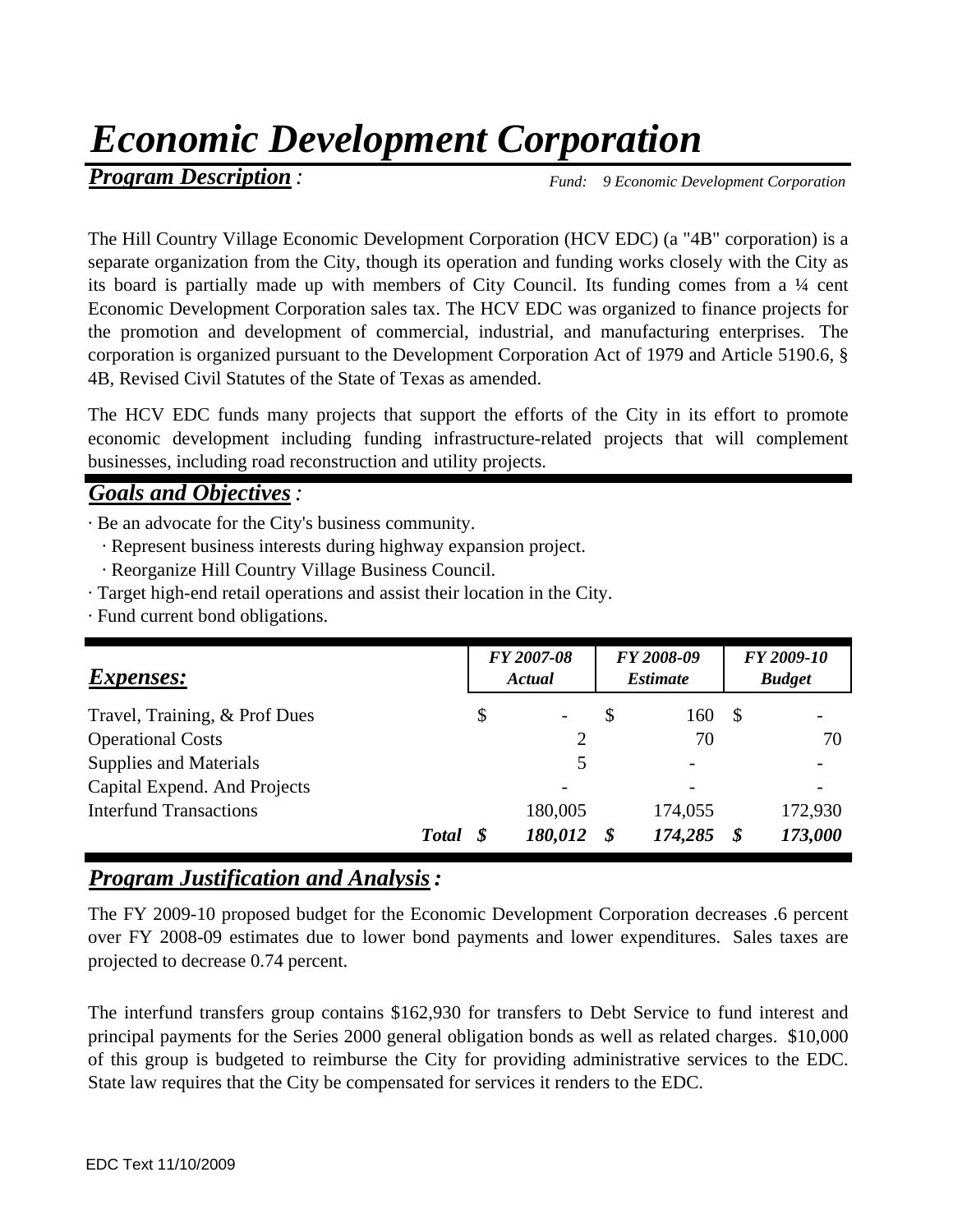# *Economic Development Corporation*

# **Program Description** *: Fund: 9 Economic Development Corporation*

The Hill Country Village Economic Development Corporation (HCV EDC) (a "4B" corporation) is a separate organization from the City, though its operation and funding works closely with the City as its board is partially made up with members of City Council. Its funding comes from a ¼ cent Economic Development Corporation sales tax. The HCV EDC was organized to finance projects for the promotion and development of commercial, industrial, and manufacturing enterprises. The corporation is organized pursuant to the Development Corporation Act of 1979 and Article 5190.6, § 4B, Revised Civil Statutes of the State of Texas as amended.

The HCV EDC funds many projects that support the efforts of the City in its effort to promote economic development including funding infrastructure-related projects that will complement businesses, including road reconstruction and utility projects.

## *Goals and Objectives:*

· Be an advocate for the City's business community.

- · Represent business interests during highway expansion project.
- · Reorganize Hill Country Village Business Council.
- · Target high-end retail operations and assist their location in the City.
- · Fund current bond obligations.

| <i>Expenses:</i>              | FY 2007-08<br>Actual           |   | FY 2008-09<br><b>Estimate</b> |    | FY 2009-10<br><b>Budget</b> |
|-------------------------------|--------------------------------|---|-------------------------------|----|-----------------------------|
| Travel, Training, & Prof Dues | \$<br>$\overline{\phantom{a}}$ | S | 160                           | -S |                             |
| <b>Operational Costs</b>      | $\overline{2}$                 |   | 70                            |    | 70                          |
| <b>Supplies and Materials</b> | 5                              |   |                               |    |                             |
| Capital Expend. And Projects  |                                |   |                               |    |                             |
| <b>Interfund Transactions</b> | 180,005                        |   | 174,055                       |    | 172,930                     |
| <b>Total</b>                  | 180,012                        |   | 174,285                       | S  | 173,000                     |

## *Program Justification and Analysis:*

The FY 2009-10 proposed budget for the Economic Development Corporation decreases .6 percent over FY 2008-09 estimates due to lower bond payments and lower expenditures. Sales taxes are projected to decrease 0.74 percent.

The interfund transfers group contains \$162,930 for transfers to Debt Service to fund interest and principal payments for the Series 2000 general obligation bonds as well as related charges. \$10,000 of this group is budgeted to reimburse the City for providing administrative services to the EDC. State law requires that the City be compensated for services it renders to the EDC.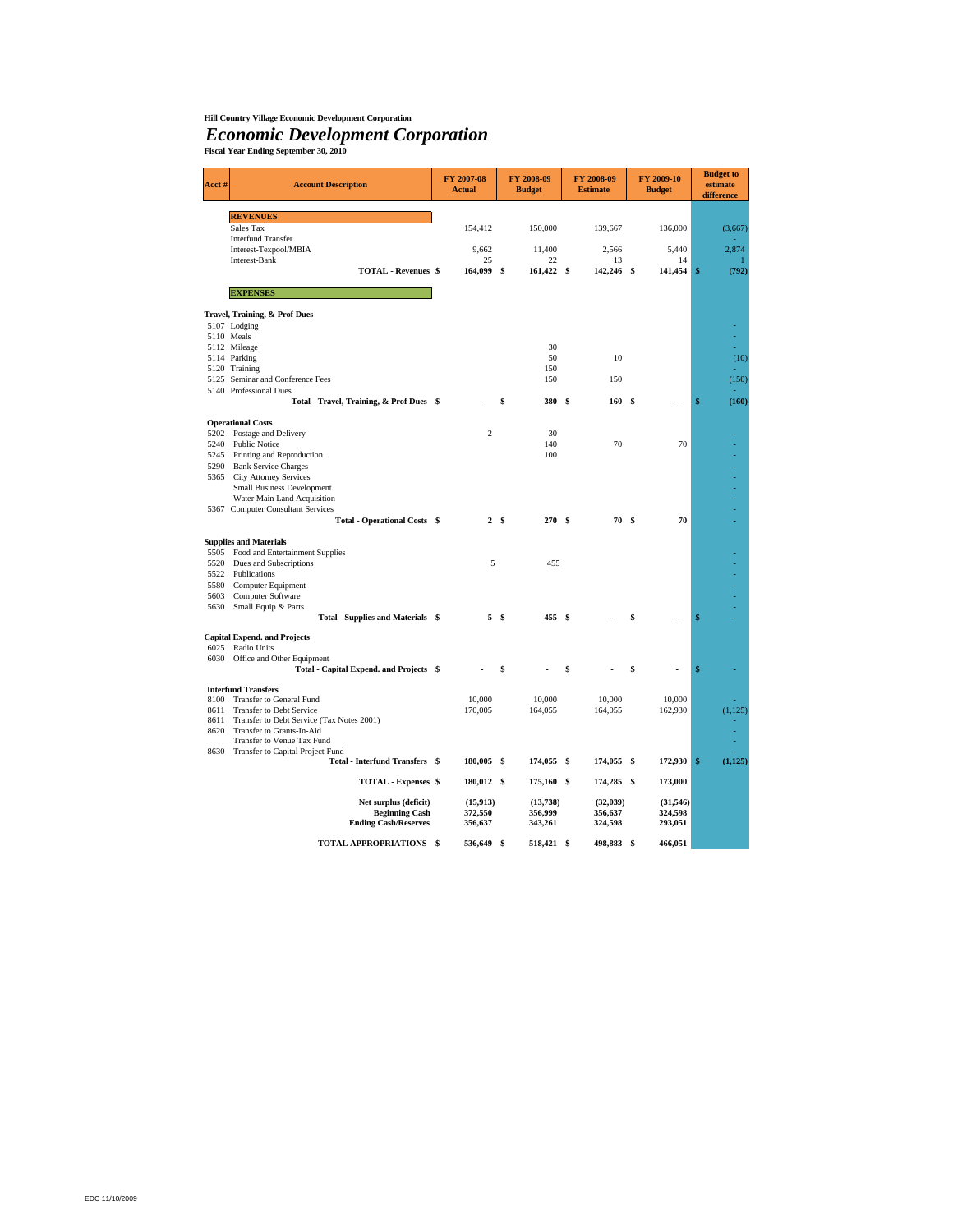### **Hill Country Village Economic Development Corporation**

# *Economic Development Corporation* **Fiscal Year Ending September 30, 2010**

| Acct#      | <b>Account Description</b>                                         | FY 2007-08<br><b>Actual</b> |      | FY 2008-09<br><b>Budget</b> |      | FY 2008-09<br><b>Estimate</b> |    | FY 2009-10<br><b>Budget</b> | <b>Budget</b> to<br>estimate<br>difference |
|------------|--------------------------------------------------------------------|-----------------------------|------|-----------------------------|------|-------------------------------|----|-----------------------------|--------------------------------------------|
|            | <b>REVENUES</b>                                                    |                             |      |                             |      |                               |    |                             |                                            |
|            | Sales Tax                                                          | 154,412                     |      | 150,000                     |      | 139,667                       |    | 136,000                     | (3,667)                                    |
|            | <b>Interfund Transfer</b>                                          |                             |      |                             |      |                               |    |                             |                                            |
|            | Interest-Texpool/MBIA                                              | 9,662                       |      | 11,400                      |      | 2,566                         |    | 5,440                       | 2,874                                      |
|            | Interest-Bank                                                      | 25                          |      | 22                          |      | 13                            |    | 14                          |                                            |
|            | <b>TOTAL - Revenues \$</b>                                         | 164,099                     | \$   | 161,422 \$                  |      | 142,246                       | \$ | 141,454                     | \$<br>(792)                                |
|            | <b>EXPENSES</b>                                                    |                             |      |                             |      |                               |    |                             |                                            |
|            | Travel, Training, & Prof Dues                                      |                             |      |                             |      |                               |    |                             |                                            |
|            | 5107 Lodging                                                       |                             |      |                             |      |                               |    |                             |                                            |
| 5110 Meals |                                                                    |                             |      |                             |      |                               |    |                             |                                            |
|            | 5112 Mileage                                                       |                             |      | 30                          |      |                               |    |                             |                                            |
|            | 5114 Parking                                                       |                             |      | 50                          |      | 10                            |    |                             | (10)                                       |
|            | 5120 Training                                                      |                             |      | 150                         |      |                               |    |                             |                                            |
|            | 5125 Seminar and Conference Fees                                   |                             |      | 150                         |      | 150                           |    |                             | (150)                                      |
|            | 5140 Professional Dues<br>Total - Travel, Training, & Prof Dues \$ |                             |      | 380                         | - \$ | 160                           | S  |                             | \$<br>(160)                                |
|            |                                                                    |                             |      |                             |      |                               |    |                             |                                            |
| 5202       | <b>Operational Costs</b><br>Postage and Delivery                   | $\overline{c}$              |      | 30                          |      |                               |    |                             |                                            |
| 5240       | Public Notice                                                      |                             |      | 140                         |      | 70                            |    | 70                          |                                            |
| 5245       | Printing and Reproduction                                          |                             |      | 100                         |      |                               |    |                             |                                            |
| 5290       | <b>Bank Service Charges</b>                                        |                             |      |                             |      |                               |    |                             |                                            |
| 5365       | <b>City Attorney Services</b>                                      |                             |      |                             |      |                               |    |                             |                                            |
|            | Small Business Development                                         |                             |      |                             |      |                               |    |                             |                                            |
|            | Water Main Land Acquisition                                        |                             |      |                             |      |                               |    |                             |                                            |
|            | 5367 Computer Consultant Services                                  |                             |      |                             |      |                               |    |                             |                                            |
|            | <b>Total - Operational Costs \$</b>                                |                             | 2 \$ | 270 \$                      |      | 70S                           |    | 70                          |                                            |
|            | <b>Supplies and Materials</b>                                      |                             |      |                             |      |                               |    |                             |                                            |
| 5505       | Food and Entertainment Supplies                                    |                             |      |                             |      |                               |    |                             |                                            |
| 5520       | Dues and Subscriptions                                             | 5                           |      | 455                         |      |                               |    |                             |                                            |
| 5522       | Publications                                                       |                             |      |                             |      |                               |    |                             |                                            |
| 5580       | Computer Equipment                                                 |                             |      |                             |      |                               |    |                             |                                            |
| 5603       | Computer Software                                                  |                             |      |                             |      |                               |    |                             |                                            |
| 5630       | Small Equip & Parts                                                |                             | 5S   | 455                         |      |                               | \$ |                             | \$                                         |
|            | Total - Supplies and Materials \$                                  |                             |      |                             | - \$ |                               |    |                             |                                            |
| 6025       | <b>Capital Expend. and Projects</b><br>Radio Units                 |                             |      |                             |      |                               |    |                             |                                            |
| 6030       | Office and Other Equipment                                         |                             |      |                             |      |                               |    |                             |                                            |
|            | Total - Capital Expend. and Projects \$                            |                             | \$   |                             | \$   |                               | Ŝ  |                             | \$                                         |
|            | <b>Interfund Transfers</b>                                         |                             |      |                             |      |                               |    |                             |                                            |
| 8100       | Transfer to General Fund                                           | 10,000                      |      | 10,000                      |      | 10,000                        |    | 10,000                      |                                            |
| 8611       | Transfer to Debt Service                                           | 170,005                     |      | 164,055                     |      | 164,055                       |    | 162,930                     | (1, 125)                                   |
| 8611       | Transfer to Debt Service (Tax Notes 2001)                          |                             |      |                             |      |                               |    |                             |                                            |
| 8620       | Transfer to Grants-In-Aid                                          |                             |      |                             |      |                               |    |                             |                                            |
| 8630       | Transfer to Venue Tax Fund<br>Transfer to Capital Project Fund     |                             |      |                             |      |                               |    |                             |                                            |
|            | <b>Total - Interfund Transfers \$</b>                              | 180,005 \$                  |      | 174,055 \$                  |      | 174,055 \$                    |    | 172,930                     | \$<br>(1, 125)                             |
|            | TOTAL - Expenses \$                                                | 180,012 \$                  |      | 175,160 \$                  |      | 174,285 \$                    |    | 173,000                     |                                            |
|            | Net surplus (deficit)                                              | (15, 913)                   |      | (13,738)                    |      | (32, 039)                     |    | (31, 546)                   |                                            |
|            | <b>Beginning Cash</b>                                              | 372,550                     |      | 356,999                     |      | 356,637                       |    | 324,598                     |                                            |
|            | <b>Ending Cash/Reserves</b>                                        | 356,637                     |      | 343,261                     |      | 324,598                       |    | 293,051                     |                                            |
|            | TOTAL APPROPRIATIONS                                               | 536,649                     | \$   | 518,421 \$                  |      | 498,883                       | \$ | 466,051                     |                                            |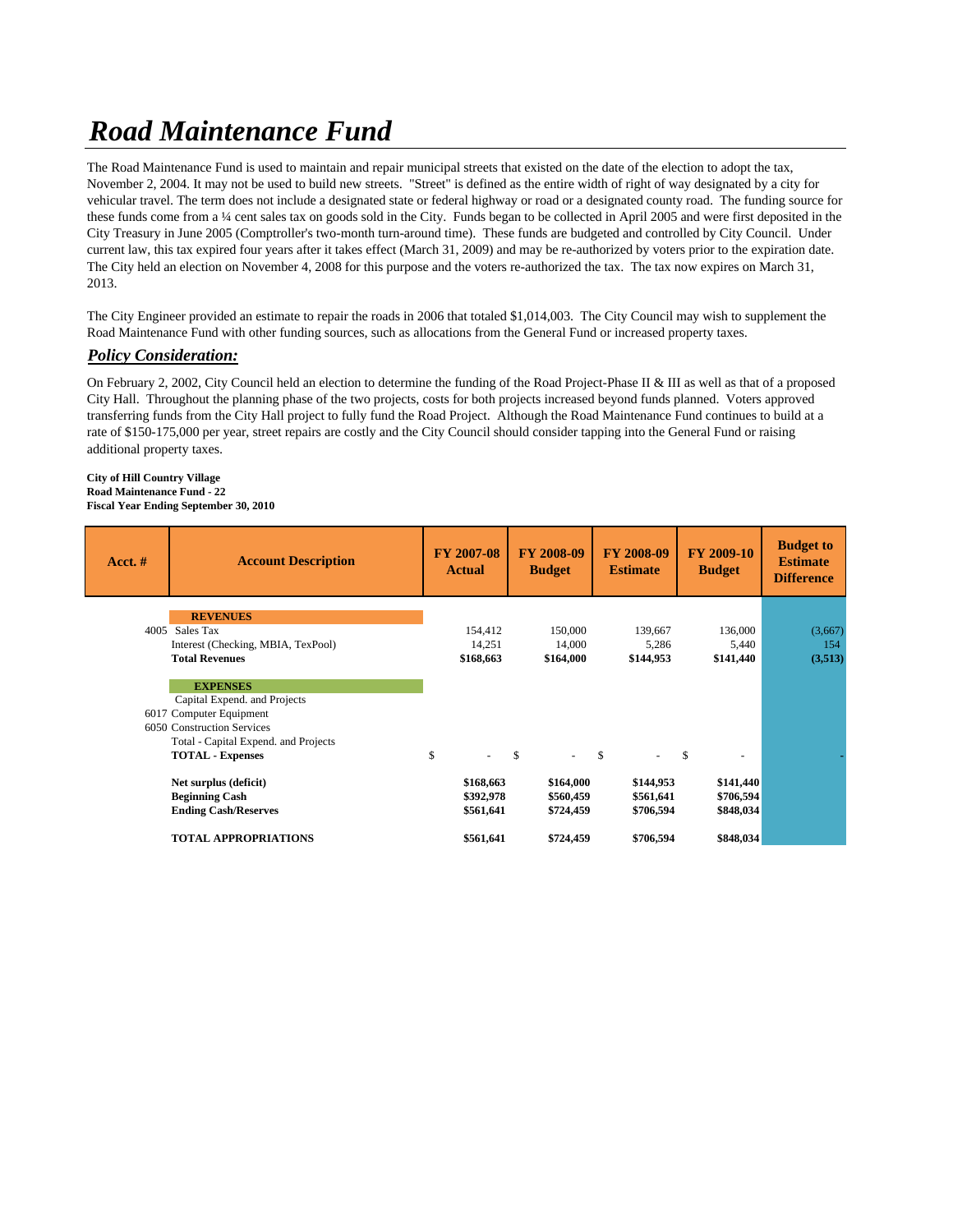# *Road Maintenance Fund*

The Road Maintenance Fund is used to maintain and repair municipal streets that existed on the date of the election to adopt the tax, November 2, 2004. It may not be used to build new streets. "Street" is defined as the entire width of right of way designated by a city for vehicular travel. The term does not include a designated state or federal highway or road or a designated county road. The funding source for these funds come from a ¼ cent sales tax on goods sold in the City. Funds began to be collected in April 2005 and were first deposited in the City Treasury in June 2005 (Comptroller's two-month turn-around time). These funds are budgeted and controlled by City Council. Under current law, this tax expired four years after it takes effect (March 31, 2009) and may be re-authorized by voters prior to the expiration date. The City held an election on November 4, 2008 for this purpose and the voters re-authorized the tax. The tax now expires on March 31, 2013.

The City Engineer provided an estimate to repair the roads in 2006 that totaled \$1,014,003. The City Council may wish to supplement the Road Maintenance Fund with other funding sources, such as allocations from the General Fund or increased property taxes.

## *Policy Consideration:*

On February 2, 2002, City Council held an election to determine the funding of the Road Project-Phase II & III as well as that of a proposed City Hall. Throughout the planning phase of the two projects, costs for both projects increased beyond funds planned. Voters approved transferring funds from the City Hall project to fully fund the Road Project. Although the Road Maintenance Fund continues to build at a rate of \$150-175,000 per year, street repairs are costly and the City Council should consider tapping into the General Fund or raising additional property taxes.

#### **City of Hill Country Village Road Maintenance Fund - 22 Fiscal Year Ending September 30, 2010**

| Acct.# | <b>Account Description</b>           | <b>FY 2007-08</b><br><b>Actual</b> | <b>FY 2008-09</b><br><b>Budget</b> | FY 2008-09<br><b>Estimate</b> | <b>FY 2009-10</b><br><b>Budget</b>        | <b>Budget to</b><br><b>Estimate</b><br><b>Difference</b> |
|--------|--------------------------------------|------------------------------------|------------------------------------|-------------------------------|-------------------------------------------|----------------------------------------------------------|
|        | <b>REVENUES</b>                      |                                    |                                    |                               |                                           |                                                          |
|        | 4005 Sales Tax                       | 154,412                            | 150,000                            | 139,667                       | 136,000                                   | (3,667)                                                  |
|        | Interest (Checking, MBIA, TexPool)   | 14,251                             | 14,000                             | 5,286                         | 5,440                                     | 154                                                      |
|        | <b>Total Revenues</b>                | \$168,663                          | \$164,000                          | \$144,953                     | \$141,440                                 | (3,513)                                                  |
|        | <b>EXPENSES</b>                      |                                    |                                    |                               |                                           |                                                          |
|        | Capital Expend. and Projects         |                                    |                                    |                               |                                           |                                                          |
|        | 6017 Computer Equipment              |                                    |                                    |                               |                                           |                                                          |
|        | 6050 Construction Services           |                                    |                                    |                               |                                           |                                                          |
|        | Total - Capital Expend. and Projects |                                    |                                    |                               |                                           |                                                          |
|        | <b>TOTAL - Expenses</b>              | \$<br>$\sim$                       | <b>S</b><br>$\sim$                 | $\mathcal{S}$                 | <sup>\$</sup><br>$\overline{\phantom{a}}$ |                                                          |
|        | Net surplus (deficit)                | \$168,663                          | \$164,000                          | \$144,953                     | \$141,440                                 |                                                          |
|        | <b>Beginning Cash</b>                | \$392,978                          | \$560,459                          | \$561,641                     | \$706,594                                 |                                                          |
|        | <b>Ending Cash/Reserves</b>          | \$561,641                          | \$724,459                          | \$706,594                     | \$848,034                                 |                                                          |
|        | <b>TOTAL APPROPRIATIONS</b>          | \$561,641                          | \$724,459                          | \$706,594                     | \$848,034                                 |                                                          |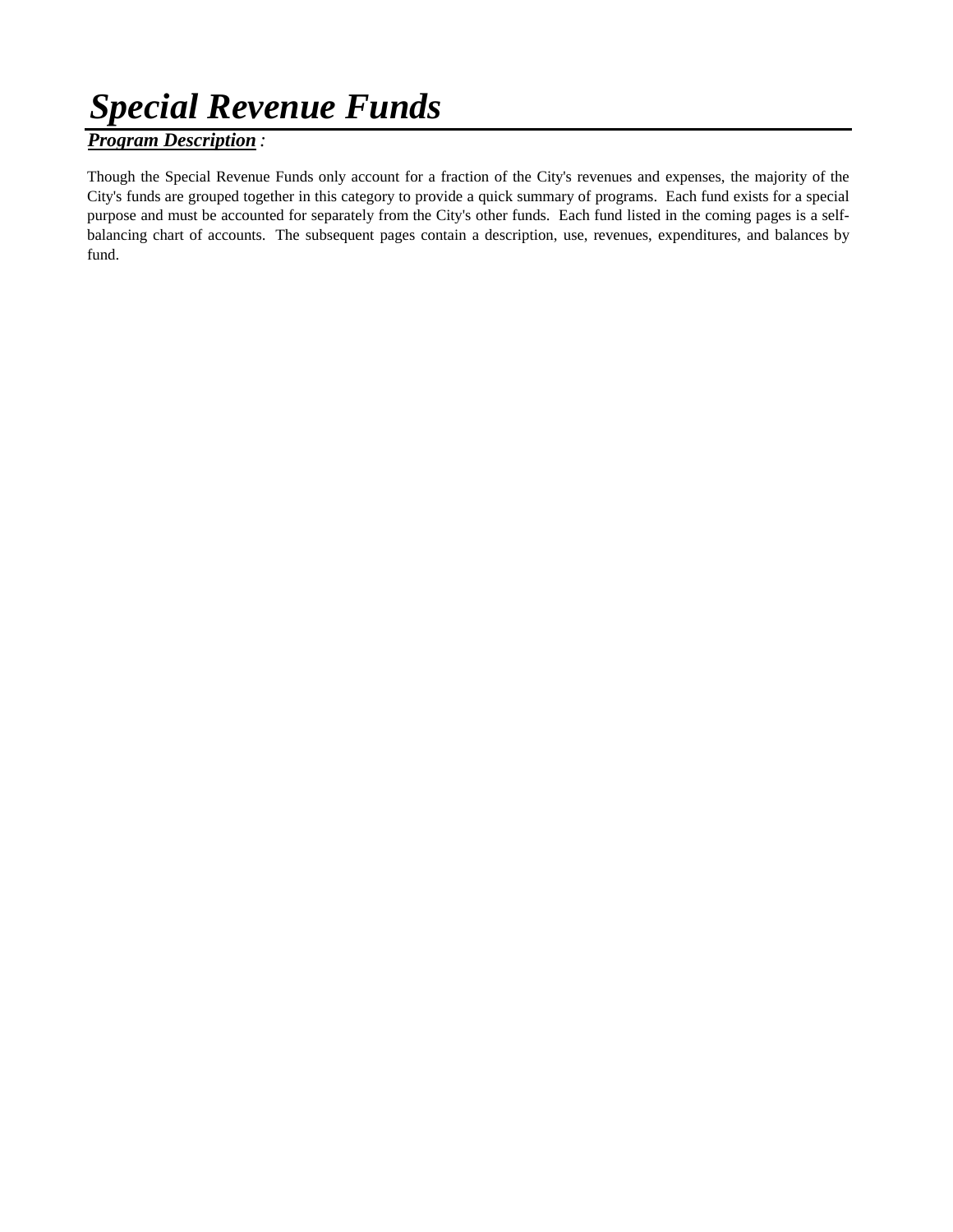# *Special Revenue Funds*

## *Program Description :*

Though the Special Revenue Funds only account for a fraction of the City's revenues and expenses, the majority of the City's funds are grouped together in this category to provide a quick summary of programs. Each fund exists for a special purpose and must be accounted for separately from the City's other funds. Each fund listed in the coming pages is a selfbalancing chart of accounts. The subsequent pages contain a description, use, revenues, expenditures, and balances by fund.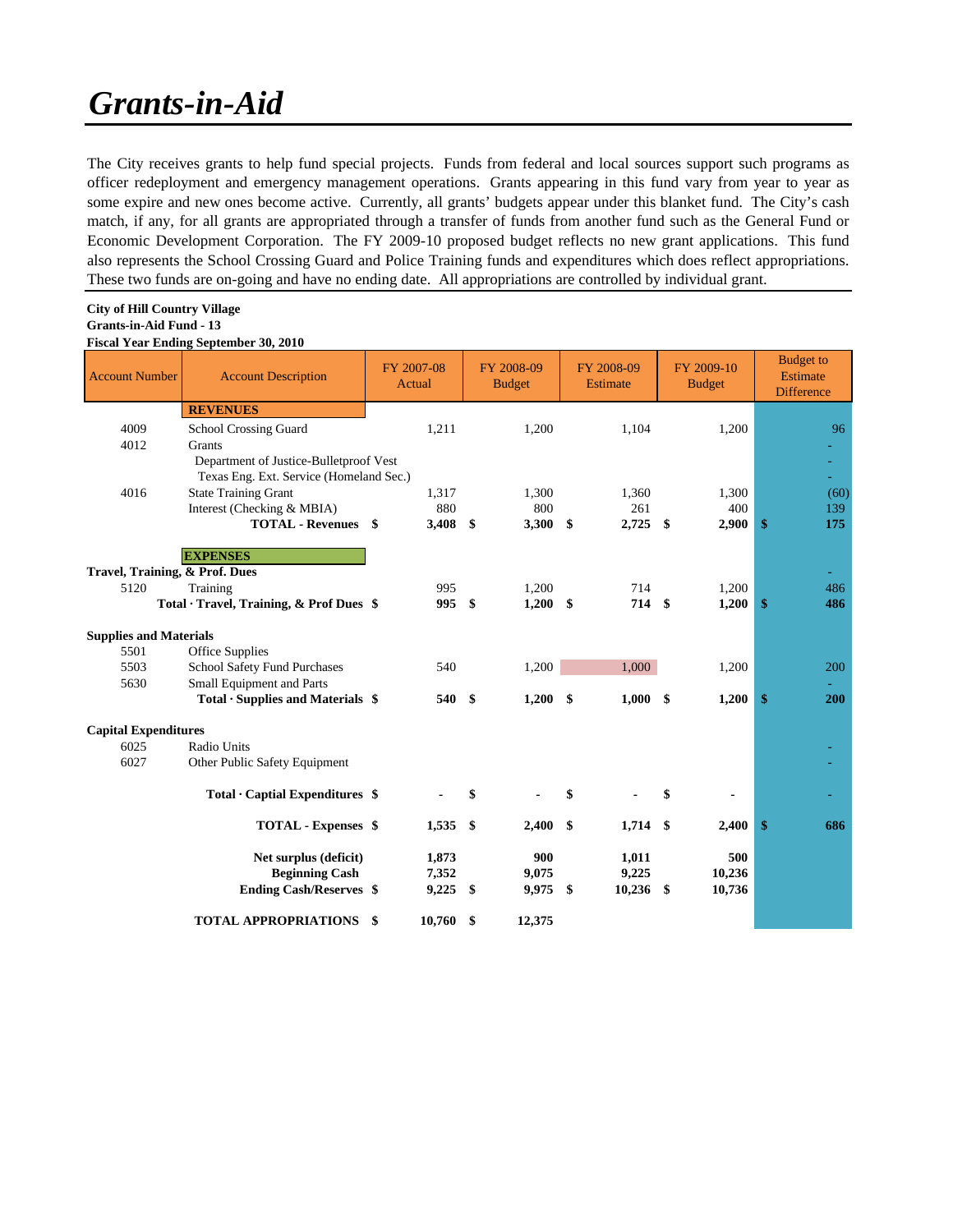# *Grants-in-Aid*

The City receives grants to help fund special projects. Funds from federal and local sources support such programs as officer redeployment and emergency management operations. Grants appearing in this fund vary from year to year as some expire and new ones become active. Currently, all grants' budgets appear under this blanket fund. The City's cash match, if any, for all grants are appropriated through a transfer of funds from another fund such as the General Fund or Economic Development Corporation. The FY 2009-10 proposed budget reflects no new grant applications. This fund also represents the School Crossing Guard and Police Training funds and expenditures which does reflect appropriations. These two funds are on-going and have no ending date. All appropriations are controlled by individual grant.

### **City of Hill Country Village Grants-in-Aid Fund - 13 Fiscal Year Ending September 30, 2010**

| <b>Account Number</b>          | <b>Account Description</b>                     | FY 2007-08<br>Actual |          | FY 2008-09<br><b>Budget</b> |            | FY 2008-09<br>Estimate |                | FY 2009-10<br><b>Budget</b> |        | <b>Budget</b> to<br>Estimate<br><b>Difference</b> |
|--------------------------------|------------------------------------------------|----------------------|----------|-----------------------------|------------|------------------------|----------------|-----------------------------|--------|---------------------------------------------------|
|                                | <b>REVENUES</b>                                |                      |          |                             |            |                        |                |                             |        |                                                   |
| 4009                           | School Crossing Guard                          |                      | 1,211    |                             | 1,200      |                        | 1,104          |                             | 1,200  | 96                                                |
| 4012                           | Grants                                         |                      |          |                             |            |                        |                |                             |        |                                                   |
|                                | Department of Justice-Bulletproof Vest         |                      |          |                             |            |                        |                |                             |        |                                                   |
|                                | Texas Eng. Ext. Service (Homeland Sec.)        |                      |          |                             |            |                        |                |                             |        | ÷.                                                |
| 4016                           | <b>State Training Grant</b>                    |                      | 1,317    |                             | 1,300      |                        | 1,360          |                             | 1,300  | (60)                                              |
|                                | Interest (Checking & MBIA)                     |                      | 880      |                             | 800        |                        | 261            |                             | 400    | 139                                               |
|                                | <b>TOTAL - Revenues</b> \$                     |                      | 3,408 \$ |                             | 3,300      | \$                     | $2,725$ \$     |                             | 2,900  | \$<br>175                                         |
|                                | <b>EXPENSES</b>                                |                      |          |                             |            |                        |                |                             |        |                                                   |
| Travel, Training, & Prof. Dues |                                                |                      |          |                             |            |                        |                |                             |        |                                                   |
| 5120                           | Training                                       |                      | 995      |                             | 1,200      |                        | 714            |                             | 1,200  | 486                                               |
|                                | Total · Travel, Training, & Prof Dues \$       |                      | 995      | \$                          | $1,200$ \$ |                        | 714 \$         |                             | 1,200  | \$<br>486                                         |
|                                |                                                |                      |          |                             |            |                        |                |                             |        |                                                   |
| <b>Supplies and Materials</b>  |                                                |                      |          |                             |            |                        |                |                             |        |                                                   |
| 5501                           | Office Supplies                                |                      |          |                             |            |                        |                |                             |        |                                                   |
| 5503                           | <b>School Safety Fund Purchases</b>            |                      | 540      |                             | 1,200      |                        | 1,000          |                             | 1,200  | 200                                               |
| 5630                           | Small Equipment and Parts                      |                      |          |                             |            |                        |                |                             |        |                                                   |
|                                | Total $\cdot$ Supplies and Materials $\$       |                      | 540      | - \$                        | $1,200$ \$ |                        | $1,000$ \$     |                             | 1,200  | \$<br>200                                         |
| <b>Capital Expenditures</b>    |                                                |                      |          |                             |            |                        |                |                             |        |                                                   |
| 6025                           | Radio Units                                    |                      |          |                             |            |                        |                |                             |        |                                                   |
| 6027                           | Other Public Safety Equipment                  |                      |          |                             |            |                        |                |                             |        |                                                   |
|                                |                                                |                      |          |                             |            |                        |                |                             |        |                                                   |
|                                | Total $\cdot$ Captial Expenditures $\$         |                      |          | \$                          |            | \$                     |                | \$                          |        |                                                   |
|                                |                                                |                      |          |                             |            |                        |                |                             |        |                                                   |
|                                | TOTAL - Expenses \$                            |                      | 1,535    | - \$                        | 2,400      | \$                     | $1,714$ \$     |                             | 2,400  | \$<br>686                                         |
|                                |                                                |                      | 1,873    |                             | 900        |                        |                |                             | 500    |                                                   |
|                                | Net surplus (deficit)<br><b>Beginning Cash</b> |                      | 7,352    |                             | 9,075      |                        | 1,011<br>9,225 |                             | 10,236 |                                                   |
|                                | <b>Ending Cash/Reserves \$</b>                 |                      | 9,225    | -\$                         | 9,975      | \$                     | 10,236         | - \$                        | 10,736 |                                                   |
|                                |                                                |                      |          |                             |            |                        |                |                             |        |                                                   |
|                                | <b>TOTAL APPROPRIATIONS</b>                    | \$                   | 10,760   | \$                          | 12,375     |                        |                |                             |        |                                                   |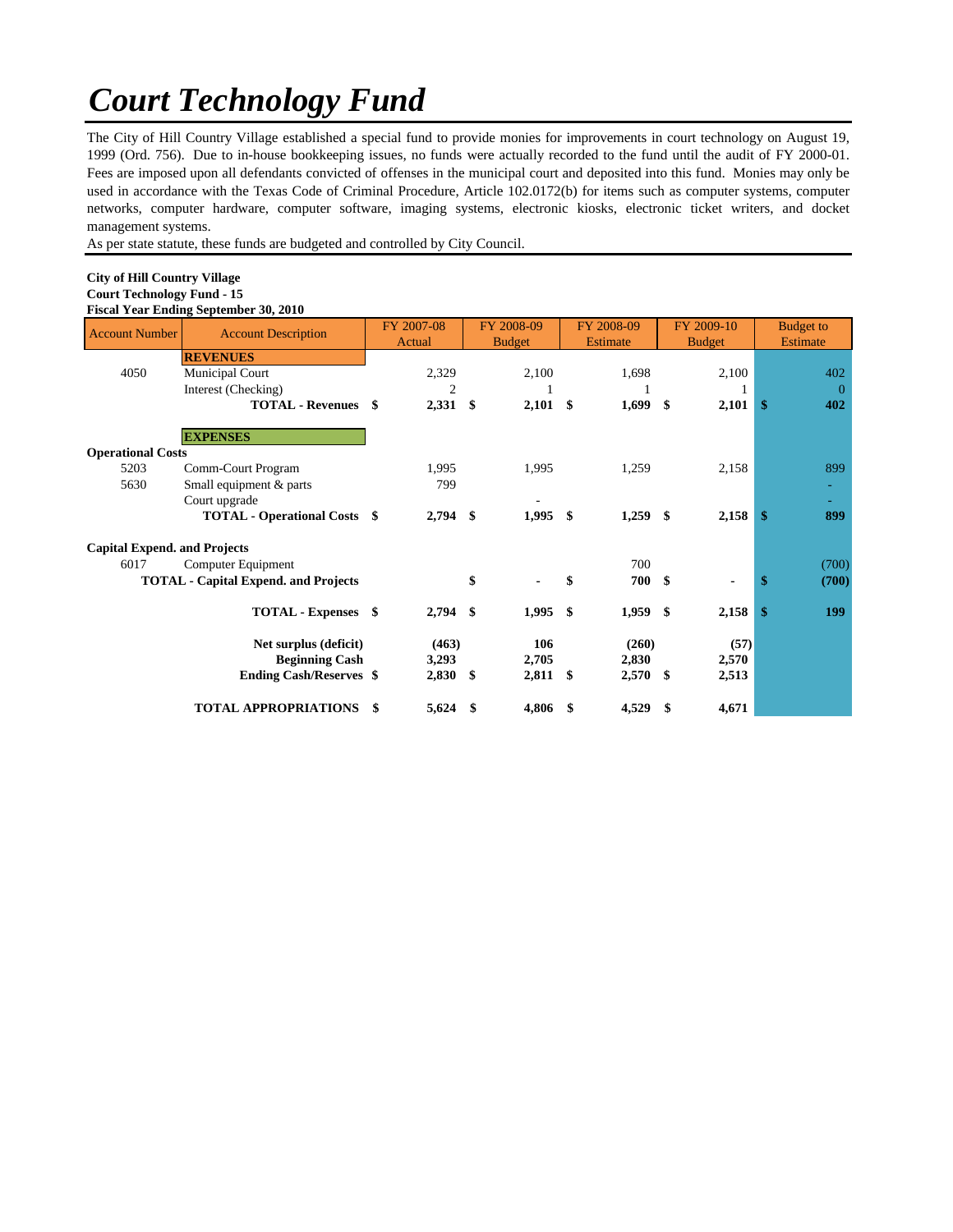# *Court Technology Fund*

The City of Hill Country Village established a special fund to provide monies for improvements in court technology on August 19, 1999 (Ord. 756). Due to in-house bookkeeping issues, no funds were actually recorded to the fund until the audit of FY 2000-01. Fees are imposed upon all defendants convicted of offenses in the municipal court and deposited into this fund. Monies may only be used in accordance with the Texas Code of Criminal Procedure, Article 102.0172(b) for items such as computer systems, computer networks, computer hardware, computer software, imaging systems, electronic kiosks, electronic ticket writers, and docket management systems.

As per state statute, these funds are budgeted and controlled by City Council.

#### **City of Hill Country Village Court Technology Fund - 15 Fiscal Year Ending September 30, 2010**

| <b>Account Number</b>               | $100$ and $100$ and $100$ and $100$ and $100$<br><b>Account Description</b> |    | FY 2007-08<br>Actual |     | FY 2008-09<br><b>Budget</b> |      | FY 2008-09<br><b>Estimate</b> | FY 2009-10<br><b>Budget</b> |       | <b>Budget to</b><br>Estimate |
|-------------------------------------|-----------------------------------------------------------------------------|----|----------------------|-----|-----------------------------|------|-------------------------------|-----------------------------|-------|------------------------------|
|                                     | <b>REVENUES</b>                                                             |    |                      |     |                             |      |                               |                             |       |                              |
| 4050                                | Municipal Court                                                             |    | 2,329                |     | 2,100                       |      | 1,698                         |                             | 2,100 | 402                          |
|                                     | Interest (Checking)                                                         |    | 2                    |     |                             |      |                               |                             |       | $\Omega$                     |
|                                     | <b>TOTAL - Revenues</b>                                                     | S. | $2,331$ \$           |     | 2,101                       | - \$ | 1,699                         | -\$                         | 2,101 | \$<br>402                    |
|                                     | <b>EXPENSES</b>                                                             |    |                      |     |                             |      |                               |                             |       |                              |
| <b>Operational Costs</b>            |                                                                             |    |                      |     |                             |      |                               |                             |       |                              |
| 5203                                | Comm-Court Program                                                          |    | 1,995                |     | 1,995                       |      | 1,259                         |                             | 2,158 | 899                          |
| 5630                                | Small equipment & parts                                                     |    | 799                  |     |                             |      |                               |                             |       |                              |
|                                     | Court upgrade                                                               |    |                      |     |                             |      |                               |                             |       |                              |
|                                     | <b>TOTAL - Operational Costs \$</b>                                         |    | $2,794$ \$           |     | 1,995                       | \$   | $1,259$ \$                    |                             | 2,158 | \$<br>899                    |
| <b>Capital Expend. and Projects</b> |                                                                             |    |                      |     |                             |      |                               |                             |       |                              |
| 6017                                | Computer Equipment                                                          |    |                      |     |                             |      | 700                           |                             |       | (700)                        |
|                                     | <b>TOTAL - Capital Expend. and Projects</b>                                 |    |                      | \$  |                             | \$   | 700 \$                        |                             |       | \$<br>(700)                  |
|                                     | TOTAL - Expenses \$                                                         |    | $2,794$ \$           |     | 1,995                       | -\$  | 1,959 \$                      |                             | 2,158 | \$<br>199                    |
|                                     | Net surplus (deficit)                                                       |    | (463)                |     | 106                         |      | (260)                         |                             | (57)  |                              |
|                                     | <b>Beginning Cash</b>                                                       |    | 3,293                |     | 2,705                       |      | 2,830                         |                             | 2,570 |                              |
|                                     | <b>Ending Cash/Reserves \$</b>                                              |    | $2,830$ \$           |     | 2,811                       | \$   | $2,570$ \$                    |                             | 2,513 |                              |
|                                     | <b>TOTAL APPROPRIATIONS</b>                                                 | \$ | 5,624                | -\$ | 4,806                       | \$   | 4,529                         | - \$                        | 4,671 |                              |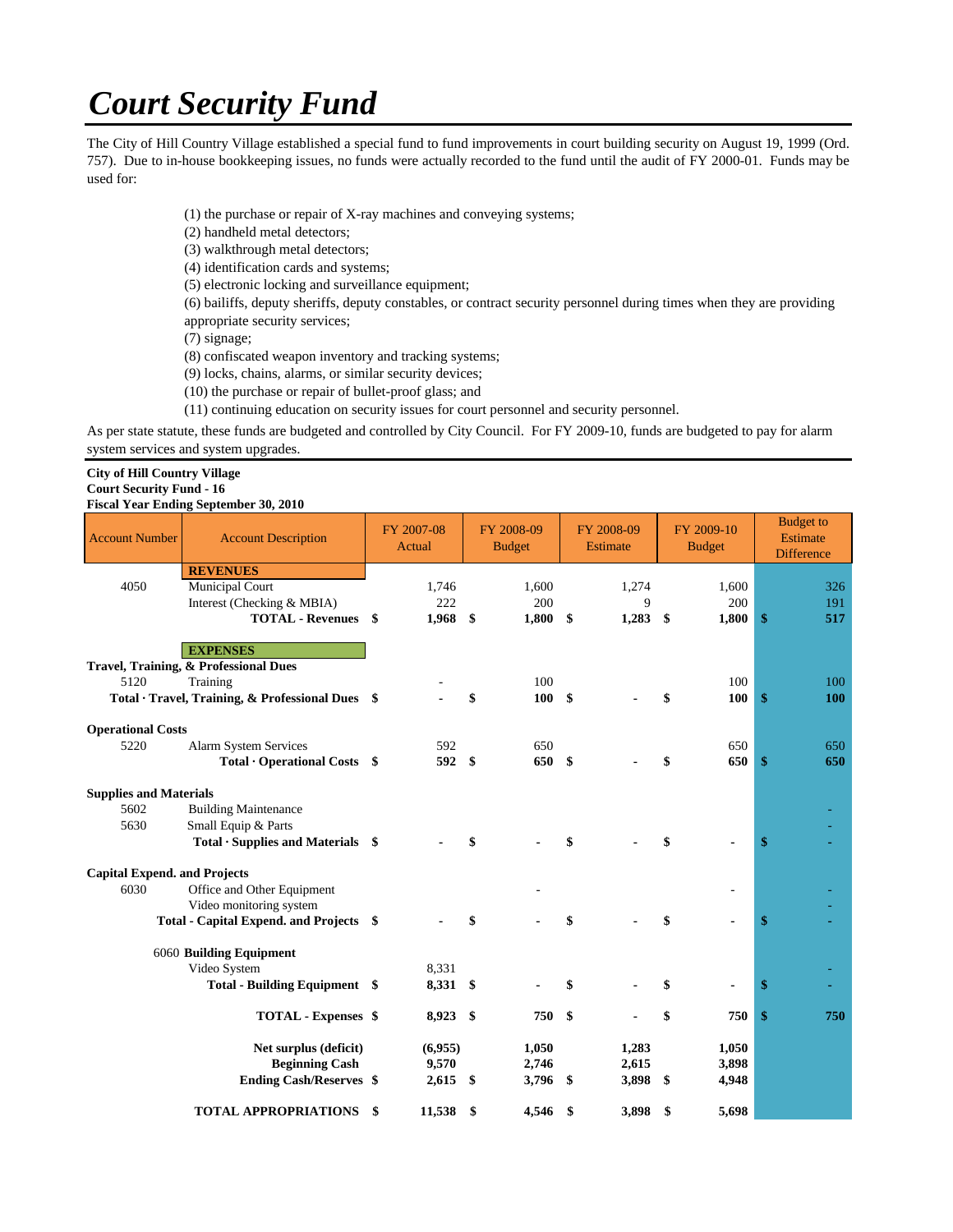# *Court Security Fund*

The City of Hill Country Village established a special fund to fund improvements in court building security on August 19, 1999 (Ord. 757). Due to in-house bookkeeping issues, no funds were actually recorded to the fund until the audit of FY 2000-01. Funds may be used for:

- (1) the purchase or repair of X-ray machines and conveying systems;
- (2) handheld metal detectors;
- (3) walkthrough metal detectors;
- (4) identification cards and systems;
- (5) electronic locking and surveillance equipment;

(6) bailiffs, deputy sheriffs, deputy constables, or contract security personnel during times when they are providing appropriate security services;

(7) signage;

- (8) confiscated weapon inventory and tracking systems;
- (9) locks, chains, alarms, or similar security devices;
- (10) the purchase or repair of bullet-proof glass; and
- (11) continuing education on security issues for court personnel and security personnel.

As per state statute, these funds are budgeted and controlled by City Council. For FY 2009-10, funds are budgeted to pay for alarm system services and system upgrades.

### **City of Hill Country Village Court Security Fund - 16**

### **Fiscal Year Ending September 30, 2010**

| <b>Account Number</b>               | <b>Account Description</b>                               | FY 2007-08<br>Actual | FY 2008-09<br><b>Budget</b> |                   | FY 2008-09<br>Estimate |               | FY 2009-10<br><b>Budget</b> |              | <b>Budget</b> to<br>Estimate<br><b>Difference</b> |            |
|-------------------------------------|----------------------------------------------------------|----------------------|-----------------------------|-------------------|------------------------|---------------|-----------------------------|--------------|---------------------------------------------------|------------|
|                                     | <b>REVENUES</b>                                          |                      |                             |                   |                        |               |                             |              |                                                   |            |
| 4050                                | Municipal Court                                          | 1,746                |                             | 1,600             |                        | 1,274         |                             | 1,600        |                                                   | 326        |
|                                     | Interest (Checking & MBIA)<br><b>TOTAL - Revenues</b> \$ | 222<br>1,968 \$      |                             | 200<br>$1,800$ \$ |                        | 9<br>1,283 \$ |                             | 200<br>1,800 | \$                                                | 191<br>517 |
|                                     |                                                          |                      |                             |                   |                        |               |                             |              |                                                   |            |
|                                     | <b>EXPENSES</b>                                          |                      |                             |                   |                        |               |                             |              |                                                   |            |
|                                     | Travel, Training, & Professional Dues                    |                      |                             |                   |                        |               |                             |              |                                                   |            |
| 5120                                | Training                                                 |                      |                             | 100               |                        |               |                             | 100          |                                                   | 100        |
|                                     | Total · Travel, Training, & Professional Dues \$         |                      | \$                          | 100S              |                        |               |                             | 100          | $\mathbf{\$}$                                     | <b>100</b> |
| <b>Operational Costs</b>            |                                                          |                      |                             |                   |                        |               |                             |              |                                                   |            |
| 5220                                | Alarm System Services                                    | 592                  |                             | 650               |                        |               |                             | 650          |                                                   | 650        |
|                                     | $Total \cdot Operational \text{ Costs }$ \$              | 592                  | \$                          | 650 \$            |                        |               |                             | 650          | \$                                                | 650        |
| <b>Supplies and Materials</b>       |                                                          |                      |                             |                   |                        |               |                             |              |                                                   |            |
| 5602                                | <b>Building Maintenance</b>                              |                      |                             |                   |                        |               |                             |              |                                                   |            |
| 5630                                | Small Equip & Parts                                      |                      |                             |                   |                        |               |                             |              |                                                   |            |
|                                     | $Total ·$ Supplies and Materials $$$                     |                      | \$                          |                   | \$                     |               |                             |              | \$                                                |            |
| <b>Capital Expend. and Projects</b> |                                                          |                      |                             |                   |                        |               |                             |              |                                                   |            |
| 6030                                | Office and Other Equipment                               |                      |                             |                   |                        |               |                             |              |                                                   |            |
|                                     | Video monitoring system                                  |                      |                             |                   |                        |               |                             |              |                                                   |            |
|                                     | Total - Capital Expend. and Projects \$                  |                      |                             |                   | \$                     |               |                             |              | \$                                                |            |
|                                     | 6060 Building Equipment                                  |                      |                             |                   |                        |               |                             |              |                                                   |            |
|                                     | Video System                                             | 8,331                |                             |                   |                        |               |                             |              |                                                   |            |
|                                     | Total - Building Equipment \$                            | 8,331 \$             |                             |                   | \$                     |               |                             |              | S                                                 |            |
|                                     | TOTAL - Expenses \$                                      | 8,923 \$             |                             | 750               | -\$                    |               | \$                          | 750          | \$                                                | 750        |
|                                     | Net surplus (deficit)                                    | (6,955)              |                             | 1,050             |                        | 1,283         |                             | 1,050        |                                                   |            |
|                                     | <b>Beginning Cash</b>                                    | 9,570                |                             | 2,746             |                        | 2,615         |                             | 3,898        |                                                   |            |
|                                     | <b>Ending Cash/Reserves \$</b>                           | 2,615                | - \$                        | 3,796             | \$                     | 3,898 \$      |                             | 4,948        |                                                   |            |
|                                     | <b>TOTAL APPROPRIATIONS</b>                              | \$<br>11,538         | \$                          | 4,546             | \$                     | 3,898         | \$                          | 5,698        |                                                   |            |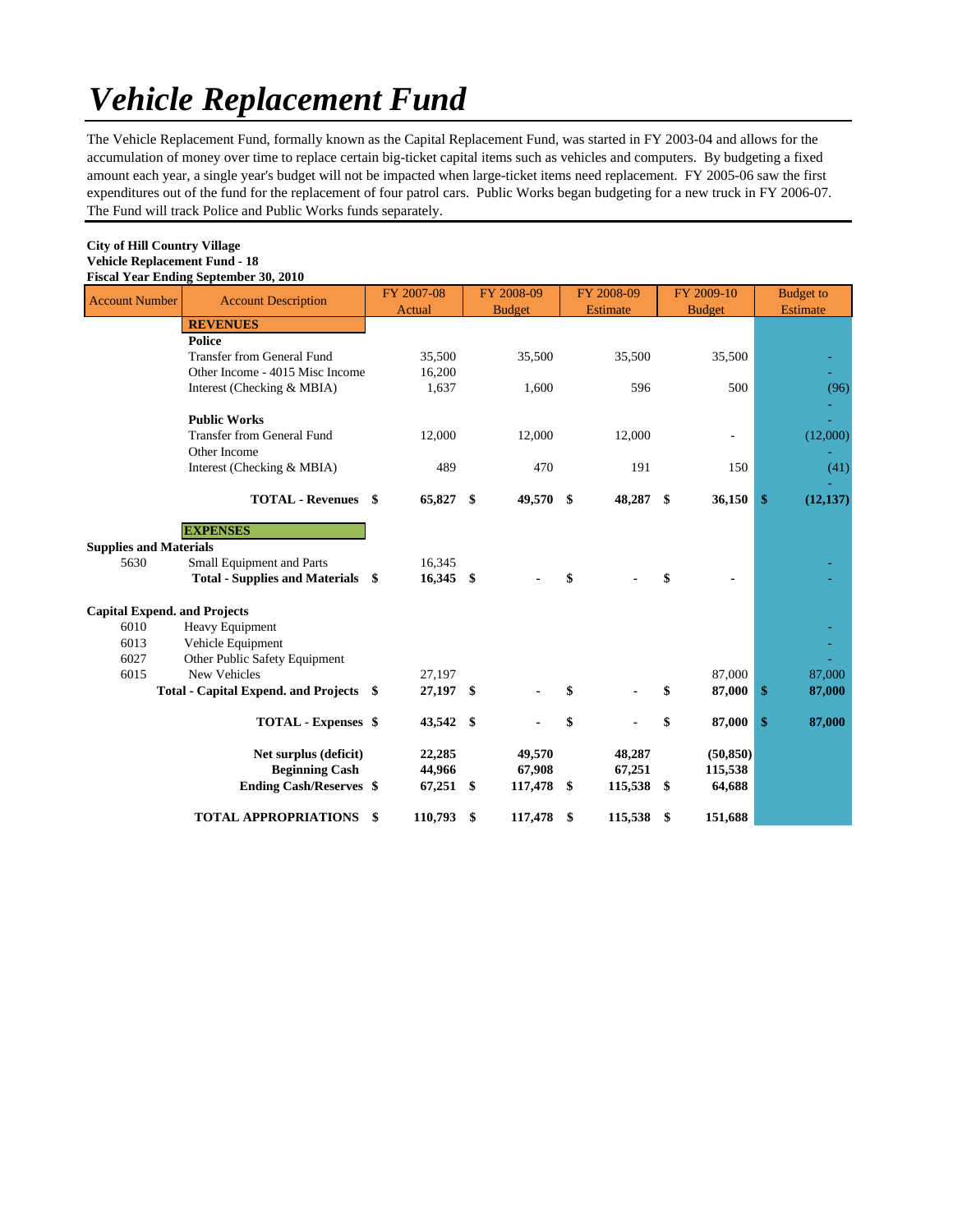# *Vehicle Replacement Fund*

The Vehicle Replacement Fund, formally known as the Capital Replacement Fund, was started in FY 2003-04 and allows for the accumulation of money over time to replace certain big-ticket capital items such as vehicles and computers. By budgeting a fixed amount each year, a single year's budget will not be impacted when large-ticket items need replacement. FY 2005-06 saw the first expenditures out of the fund for the replacement of four patrol cars. Public Works began budgeting for a new truck in FY 2006-07. The Fund will track Police and Public Works funds separately.

| <b>City of Hill Country Village</b>          |
|----------------------------------------------|
| <b>Vehicle Replacement Fund - 18</b>         |
| <b>Fiscal Year Ending September 30, 2010</b> |
|                                              |

| <b>Account Number</b>               | <b>Account Description</b>              |    | FY 2007-08  |      | FY 2008-09    | FY 2008-09       | FY 2009-10    | <b>Budget</b> to |
|-------------------------------------|-----------------------------------------|----|-------------|------|---------------|------------------|---------------|------------------|
|                                     |                                         |    | Actual      |      | <b>Budget</b> | <b>Estimate</b>  | <b>Budget</b> | <b>Estimate</b>  |
|                                     | <b>REVENUES</b>                         |    |             |      |               |                  |               |                  |
|                                     | <b>Police</b>                           |    |             |      |               |                  |               |                  |
|                                     | <b>Transfer from General Fund</b>       |    | 35,500      |      | 35,500        | 35,500           | 35,500        |                  |
|                                     | Other Income - 4015 Misc Income         |    | 16,200      |      |               |                  |               |                  |
|                                     | Interest (Checking & MBIA)              |    | 1,637       |      | 1,600         | 596              | 500           | (96)             |
|                                     |                                         |    |             |      |               |                  |               |                  |
|                                     | <b>Public Works</b>                     |    |             |      |               |                  |               |                  |
|                                     | <b>Transfer from General Fund</b>       |    | 12,000      |      | 12,000        | 12,000           | ä,            | (12,000)         |
|                                     | Other Income                            |    |             |      |               |                  |               |                  |
|                                     | Interest (Checking & MBIA)              |    | 489         |      | 470           | 191              | 150           | (41)             |
|                                     | <b>TOTAL - Revenues</b> \$              |    | 65,827      | - \$ | 49,570        | \$<br>48,287 \$  | 36,150        | \$<br>(12, 137)  |
|                                     |                                         |    |             |      |               |                  |               |                  |
|                                     | <b>EXPENSES</b>                         |    |             |      |               |                  |               |                  |
| <b>Supplies and Materials</b>       |                                         |    |             |      |               |                  |               |                  |
| 5630                                | Small Equipment and Parts               |    | 16,345      |      |               |                  |               |                  |
|                                     | Total - Supplies and Materials \$       |    | $16,345$ \$ |      |               | \$               | \$            |                  |
| <b>Capital Expend. and Projects</b> |                                         |    |             |      |               |                  |               |                  |
| 6010                                | Heavy Equipment                         |    |             |      |               |                  |               |                  |
| 6013                                | Vehicle Equipment                       |    |             |      |               |                  |               |                  |
| 6027                                | Other Public Safety Equipment           |    |             |      |               |                  |               |                  |
| 6015                                | New Vehicles                            |    | 27,197      |      |               |                  | 87,000        | 87,000           |
|                                     | Total - Capital Expend. and Projects \$ |    | 27,197 \$   |      |               | \$               | \$<br>87,000  | \$<br>87,000     |
|                                     |                                         |    |             |      |               |                  |               |                  |
|                                     | <b>TOTAL - Expenses \$</b>              |    | 43,542 \$   |      |               | \$               | \$<br>87,000  | \$<br>87,000     |
|                                     | Net surplus (deficit)                   |    | 22,285      |      | 49,570        | 48,287           | (50, 850)     |                  |
|                                     | <b>Beginning Cash</b>                   |    | 44,966      |      | 67,908        | 67,251           | 115,538       |                  |
|                                     | <b>Ending Cash/Reserves \$</b>          |    | $67,251$ \$ |      | 117,478       | \$<br>115,538 \$ | 64,688        |                  |
|                                     | <b>TOTAL APPROPRIATIONS</b>             | \$ | 110,793     | \$   | 117,478       | \$<br>115,538    | \$<br>151,688 |                  |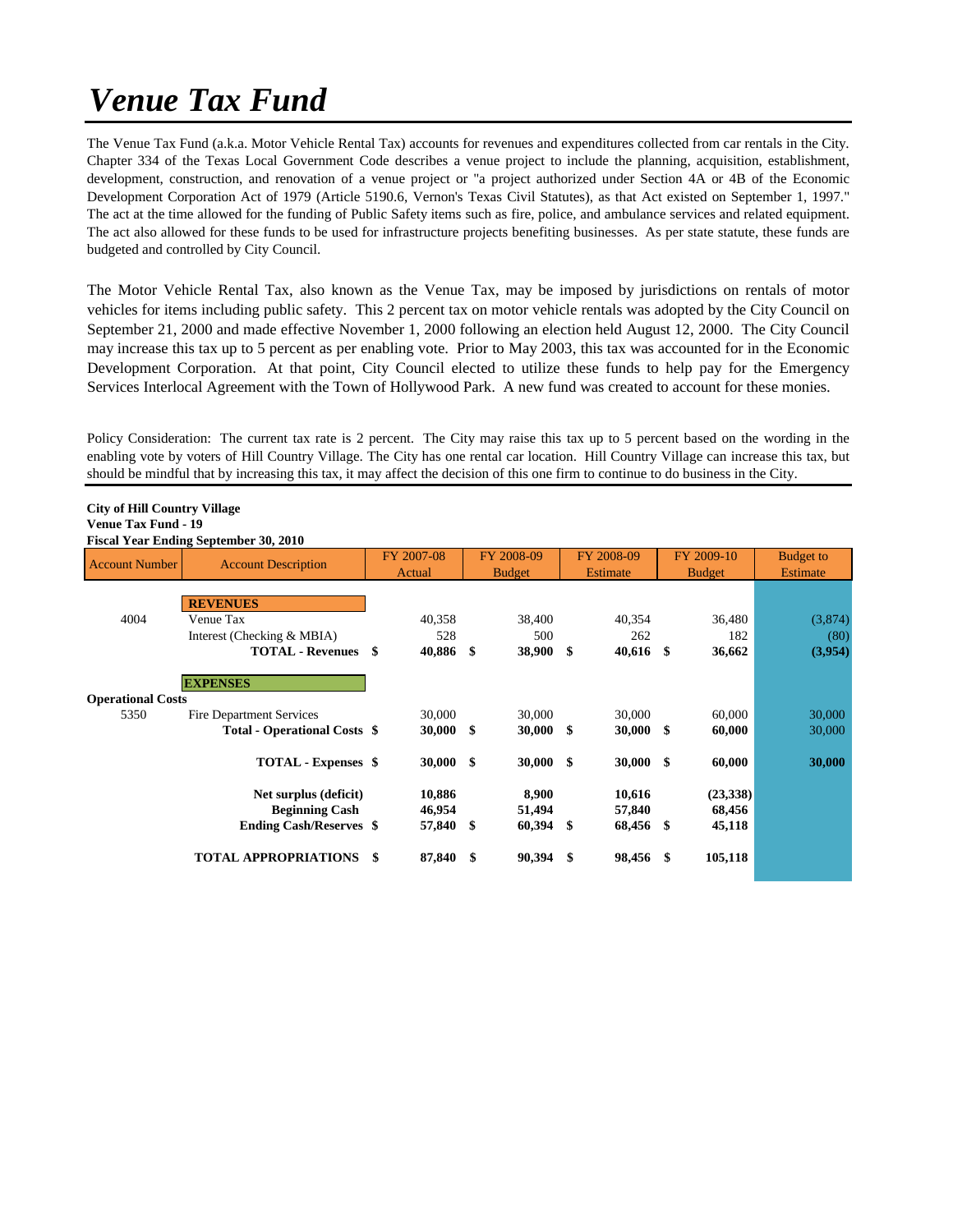# *Venue Tax Fund*

The Venue Tax Fund (a.k.a. Motor Vehicle Rental Tax) accounts for revenues and expenditures collected from car rentals in the City. Chapter 334 of the Texas Local Government Code describes a venue project to include the planning, acquisition, establishment, development, construction, and renovation of a venue project or "a project authorized under Section 4A or 4B of the Economic Development Corporation Act of 1979 (Article 5190.6, Vernon's Texas Civil Statutes), as that Act existed on September 1, 1997." The act at the time allowed for the funding of Public Safety items such as fire, police, and ambulance services and related equipment. The act also allowed for these funds to be used for infrastructure projects benefiting businesses. As per state statute, these funds are budgeted and controlled by City Council.

The Motor Vehicle Rental Tax, also known as the Venue Tax, may be imposed by jurisdictions on rentals of motor vehicles for items including public safety. This 2 percent tax on motor vehicle rentals was adopted by the City Council on September 21, 2000 and made effective November 1, 2000 following an election held August 12, 2000. The City Council may increase this tax up to 5 percent as per enabling vote. Prior to May 2003, this tax was accounted for in the Economic Development Corporation. At that point, City Council elected to utilize these funds to help pay for the Emergency Services Interlocal Agreement with the Town of Hollywood Park. A new fund was created to account for these monies.

Policy Consideration: The current tax rate is 2 percent. The City may raise this tax up to 5 percent based on the wording in the enabling vote by voters of Hill Country Village. The City has one rental car location. Hill Country Village can increase this tax, but should be mindful that by increasing this tax, it may affect the decision of this one firm to continue to do business in the City.

#### **City of Hill Country Village Venue Tax Fund - 19**

#### **Fiscal Year Ending September 30, 2010**

| <b>Account Number</b>            | <b>Account Description</b>                                                       |    | FY 2007-08<br>Actual       |           | FY 2008-09<br><b>Budget</b> |     | FY 2008-09<br>Estimate        | FY 2009-10<br><b>Budget</b>  | <b>Budget to</b><br><b>Estimate</b> |
|----------------------------------|----------------------------------------------------------------------------------|----|----------------------------|-----------|-----------------------------|-----|-------------------------------|------------------------------|-------------------------------------|
| 4004                             | <b>REVENUES</b><br>Venue Tax                                                     |    | 40,358                     |           | 38,400                      |     | 40,354                        | 36,480                       | (3,874)                             |
|                                  | Interest (Checking & MBIA)<br><b>TOTAL - Revenues</b>                            | \$ | 528<br>40,886              | $\bullet$ | 500<br>38,900               | \$  | 262<br>$40,616$ \$            | 182<br>36,662                | (80)<br>(3,954)                     |
| <b>Operational Costs</b><br>5350 | <b>EXPENSES</b><br><b>Fire Department Services</b>                               |    | 30,000                     |           | 30,000                      |     | 30,000                        | 60,000                       | 30,000                              |
|                                  | <b>Total - Operational Costs \$</b>                                              |    | 30,000                     | - \$      | 30,000                      | \$  | $30,000$ \$                   | 60,000                       | 30,000                              |
|                                  | <b>TOTAL - Expenses</b> \$                                                       |    | $30,000$ \$                |           | <b>30,000</b>               | -\$ | $30,000$ \$                   | 60,000                       | 30,000                              |
|                                  | Net surplus (deficit)<br><b>Beginning Cash</b><br><b>Ending Cash/Reserves \$</b> |    | 10,886<br>46,954<br>57,840 | - \$      | 8,900<br>51,494<br>60,394   | \$  | 10,616<br>57,840<br>68,456 \$ | (23,338)<br>68,456<br>45,118 |                                     |
|                                  | <b>TOTAL APPROPRIATIONS</b>                                                      | -S | 87,840 \$                  |           | 90,394                      | \$  | 98,456 \$                     | 105,118                      |                                     |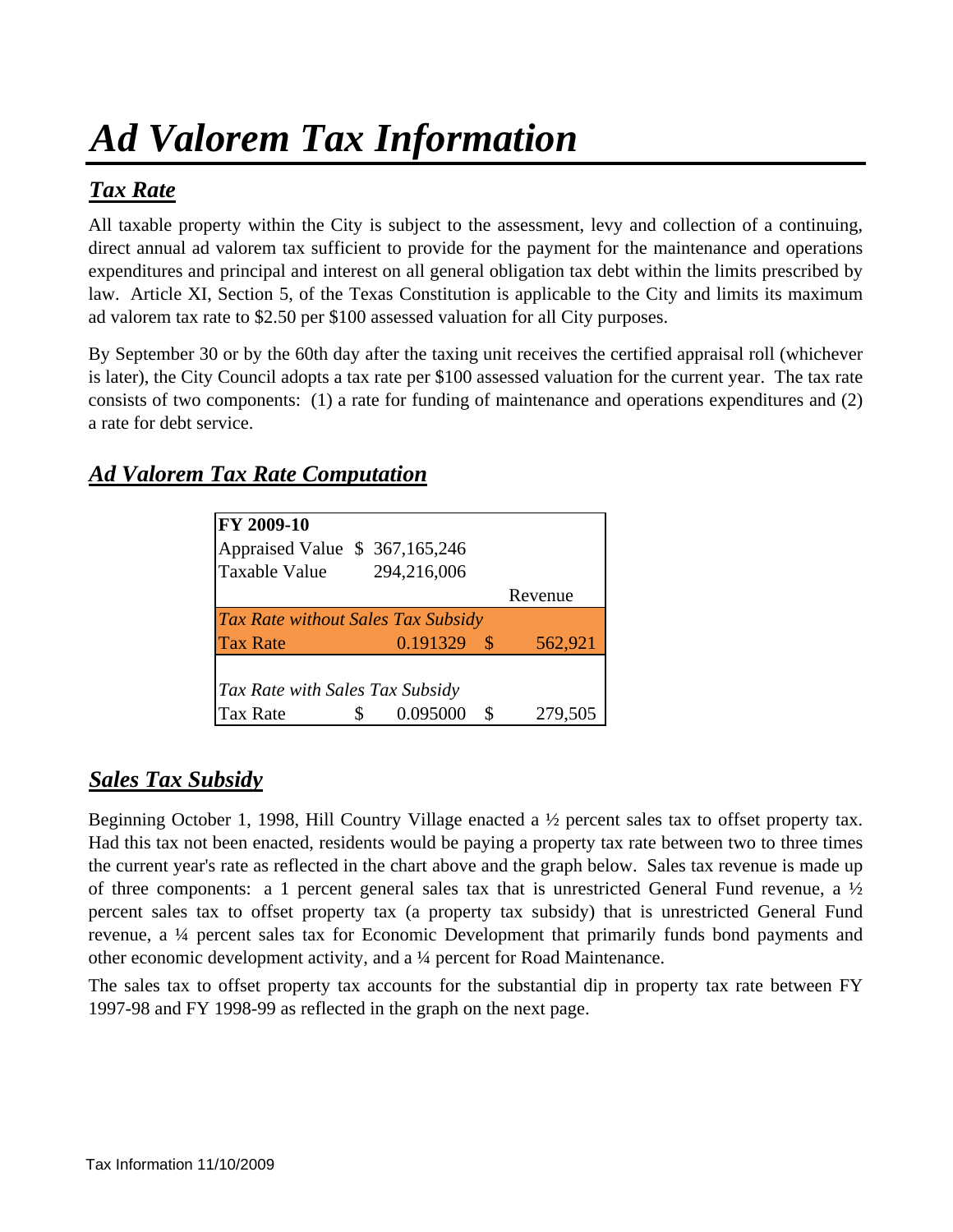# *Ad Valorem Tax Information*

# *Tax Rate*

All taxable property within the City is subject to the assessment, levy and collection of a continuing, direct annual ad valorem tax sufficient to provide for the payment for the maintenance and operations expenditures and principal and interest on all general obligation tax debt within the limits prescribed by law. Article XI, Section 5, of the Texas Constitution is applicable to the City and limits its maximum ad valorem tax rate to \$2.50 per \$100 assessed valuation for all City purposes.

By September 30 or by the 60th day after the taxing unit receives the certified appraisal roll (whichever is later), the City Council adopts a tax rate per \$100 assessed valuation for the current year. The tax rate consists of two components: (1) a rate for funding of maintenance and operations expenditures and (2) a rate for debt service.

## *Ad Valorem Tax Rate Computation*

| FY 2009-10                                |               |               |
|-------------------------------------------|---------------|---------------|
| Appraised Value \$ 367,165,246            |               |               |
| <b>Taxable Value</b>                      | 294,216,006   |               |
|                                           |               | Revenue       |
| <b>Tax Rate without Sales Tax Subsidy</b> |               |               |
| <b>Tax Rate</b>                           | $0.191329$ \$ | 562,921       |
|                                           |               |               |
| Tax Rate with Sales Tax Subsidy           |               |               |
| <b>Tax Rate</b>                           | 0.095000      | \$<br>279,505 |

## *Sales Tax Subsidy*

Beginning October 1, 1998, Hill Country Village enacted a ½ percent sales tax to offset property tax. Had this tax not been enacted, residents would be paying a property tax rate between two to three times the current year's rate as reflected in the chart above and the graph below. Sales tax revenue is made up of three components: a 1 percent general sales tax that is unrestricted General Fund revenue, a  $\frac{1}{2}$ percent sales tax to offset property tax (a property tax subsidy) that is unrestricted General Fund revenue, a ¼ percent sales tax for Economic Development that primarily funds bond payments and other economic development activity, and a ¼ percent for Road Maintenance.

The sales tax to offset property tax accounts for the substantial dip in property tax rate between FY 1997-98 and FY 1998-99 as reflected in the graph on the next page.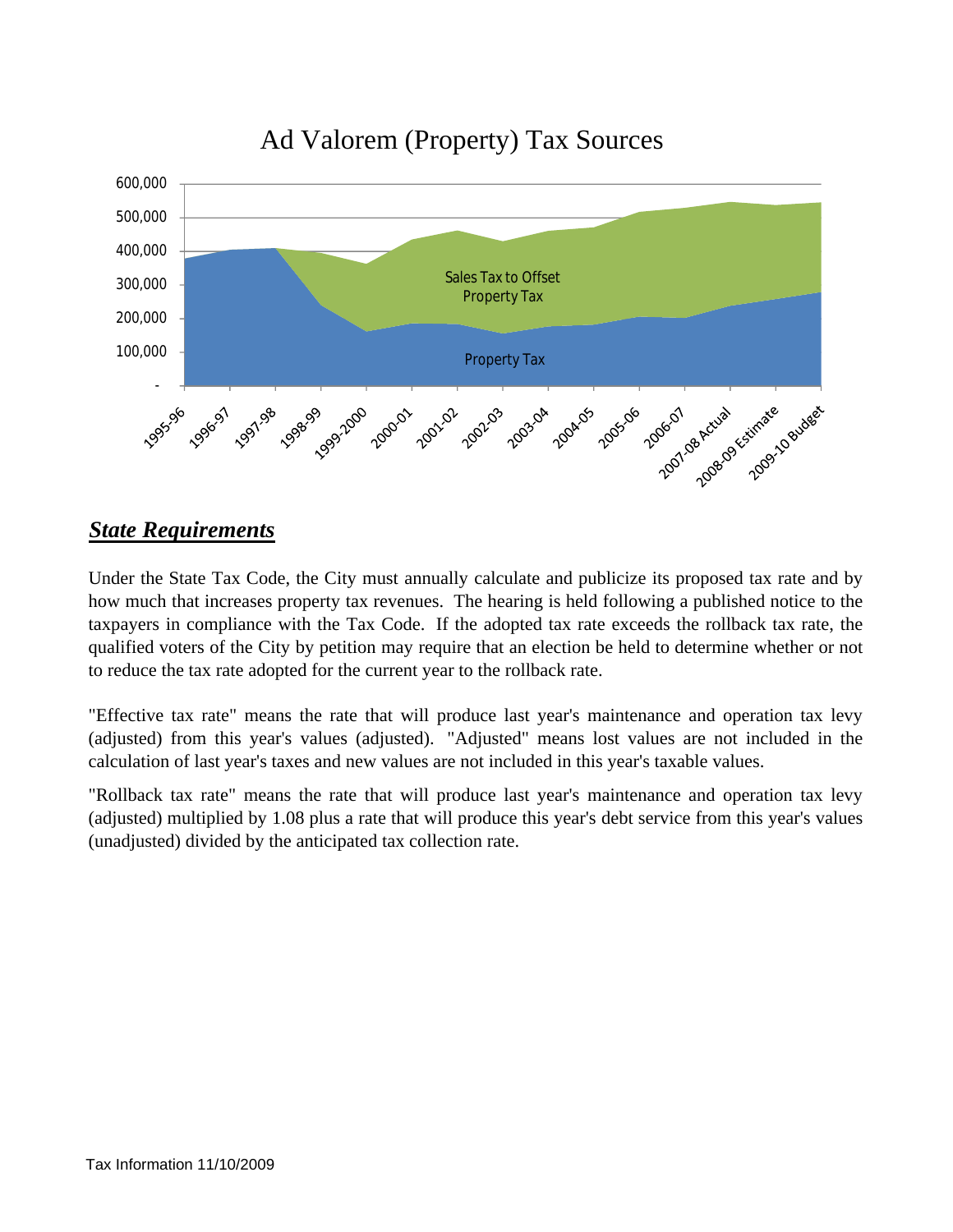

# Ad Valorem (Property) Tax Sources

## *State Requirements*

Under the State Tax Code, the City must annually calculate and publicize its proposed tax rate and by how much that increases property tax revenues. The hearing is held following a published notice to the taxpayers in compliance with the Tax Code. If the adopted tax rate exceeds the rollback tax rate, the qualified voters of the City by petition may require that an election be held to determine whether or not to reduce the tax rate adopted for the current year to the rollback rate.

"Effective tax rate" means the rate that will produce last year's maintenance and operation tax levy (adjusted) from this year's values (adjusted). "Adjusted" means lost values are not included in the calculation of last year's taxes and new values are not included in this year's taxable values.

"Rollback tax rate" means the rate that will produce last year's maintenance and operation tax levy (adjusted) multiplied by 1.08 plus a rate that will produce this year's debt service from this year's values (unadjusted) divided by the anticipated tax collection rate.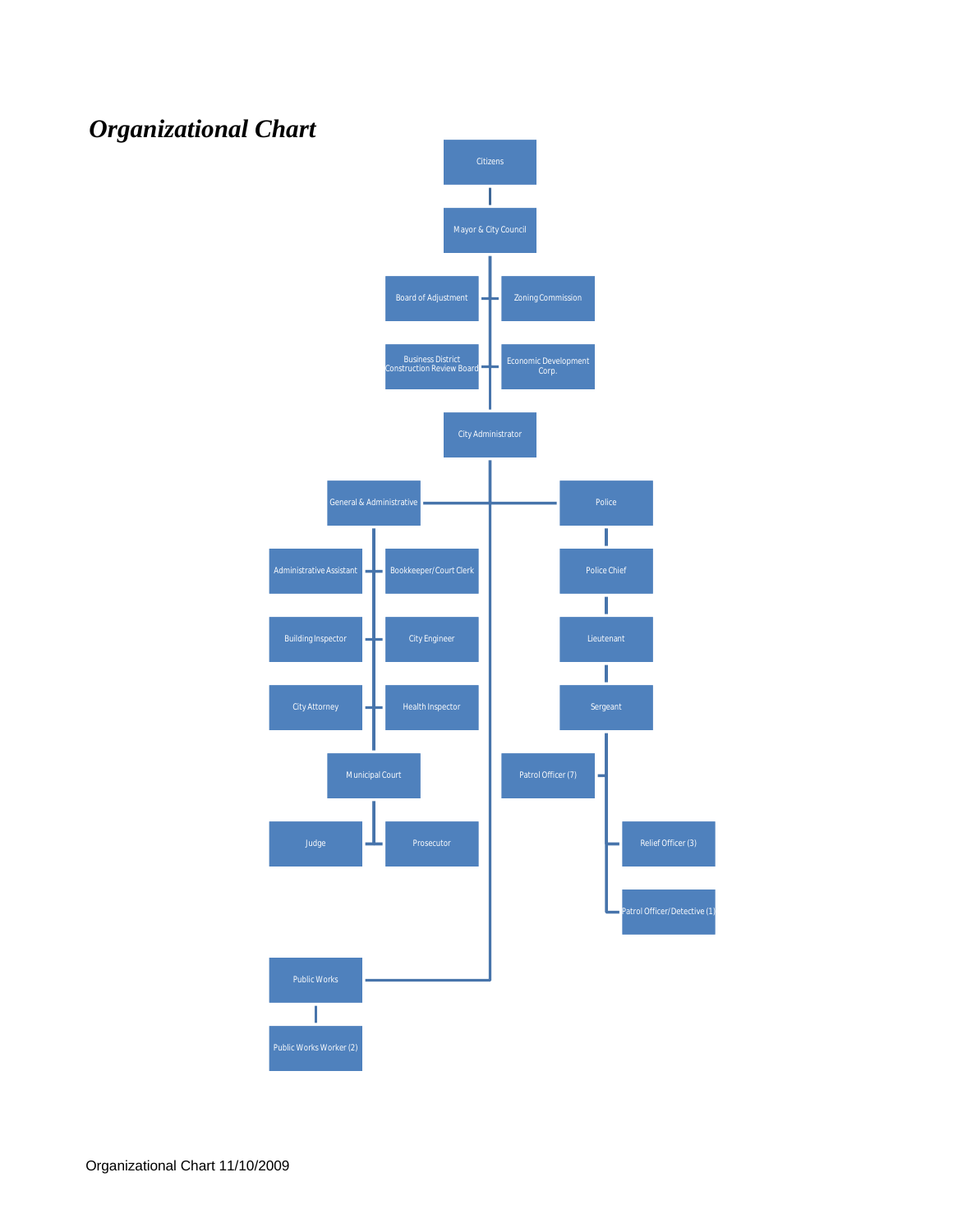

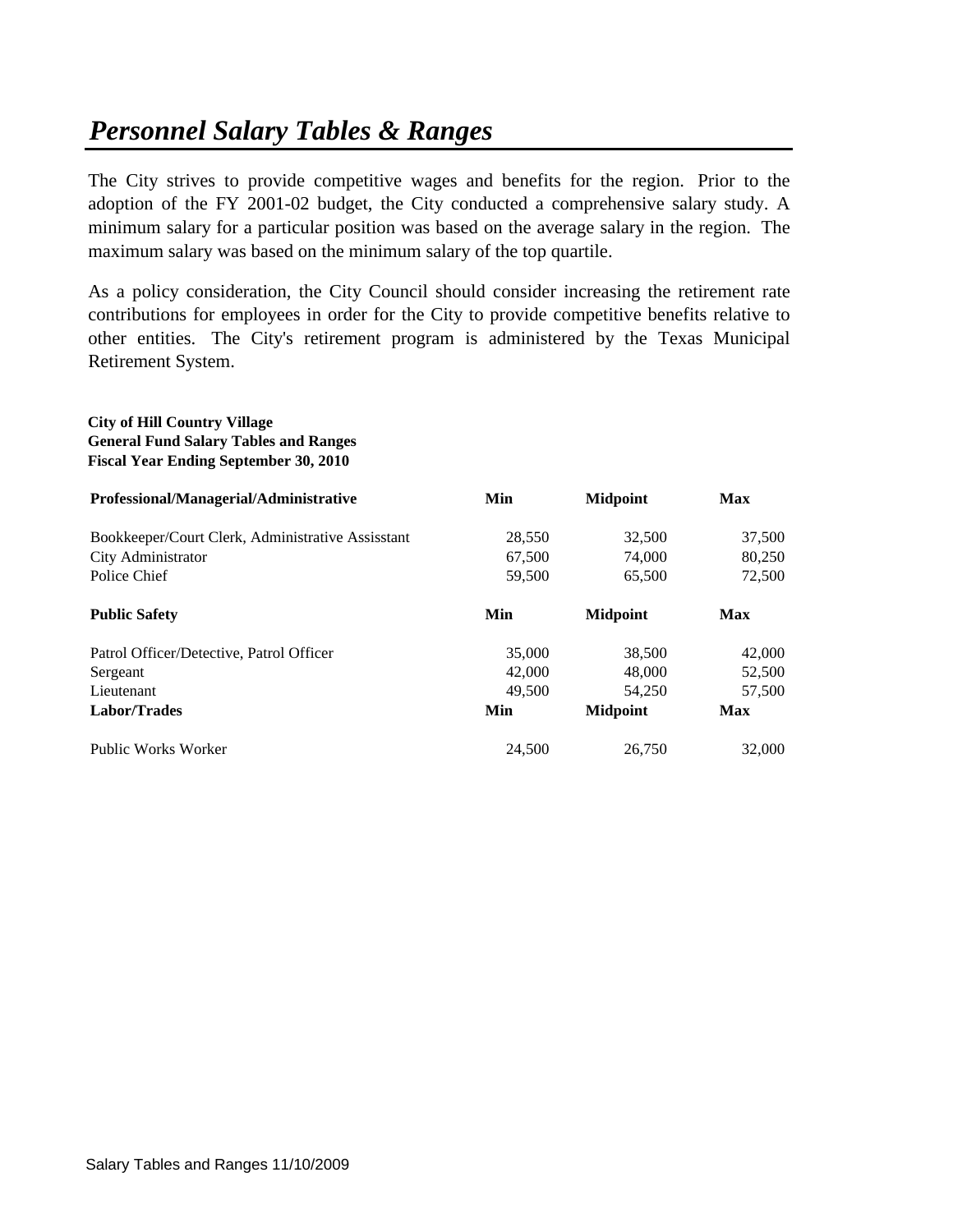# *Personnel Salary Tables & Ranges*

The City strives to provide competitive wages and benefits for the region. Prior to the adoption of the FY 2001-02 budget, the City conducted a comprehensive salary study. A minimum salary for a particular position was based on the average salary in the region. The maximum salary was based on the minimum salary of the top quartile.

As a policy consideration, the City Council should consider increasing the retirement rate contributions for employees in order for the City to provide competitive benefits relative to other entities. The City's retirement program is administered by the Texas Municipal Retirement System.

## **City of Hill Country Village General Fund Salary Tables and Ranges Fiscal Year Ending September 30, 2010 Professional/Managerial/Administrative Min Midpoint Max** Bookkeeper/Court Clerk, Administrative Assisstant 28,550 32,500 37,500 City Administrator 67,500 74,000 80,250 Police Chief 65,500 65,500 65,500 72,500 **Public Safety Min Midpoint Max** Patrol Officer/Detective, Patrol Officer 35,000 38,500 42,000 Sergeant 42,000 48,000 52,500 Lieutenant 57,500 57,500 57,500 57,500 **Labor/Trades Min Midpoint Max** Public Works Worker 24,500 26,750 32,000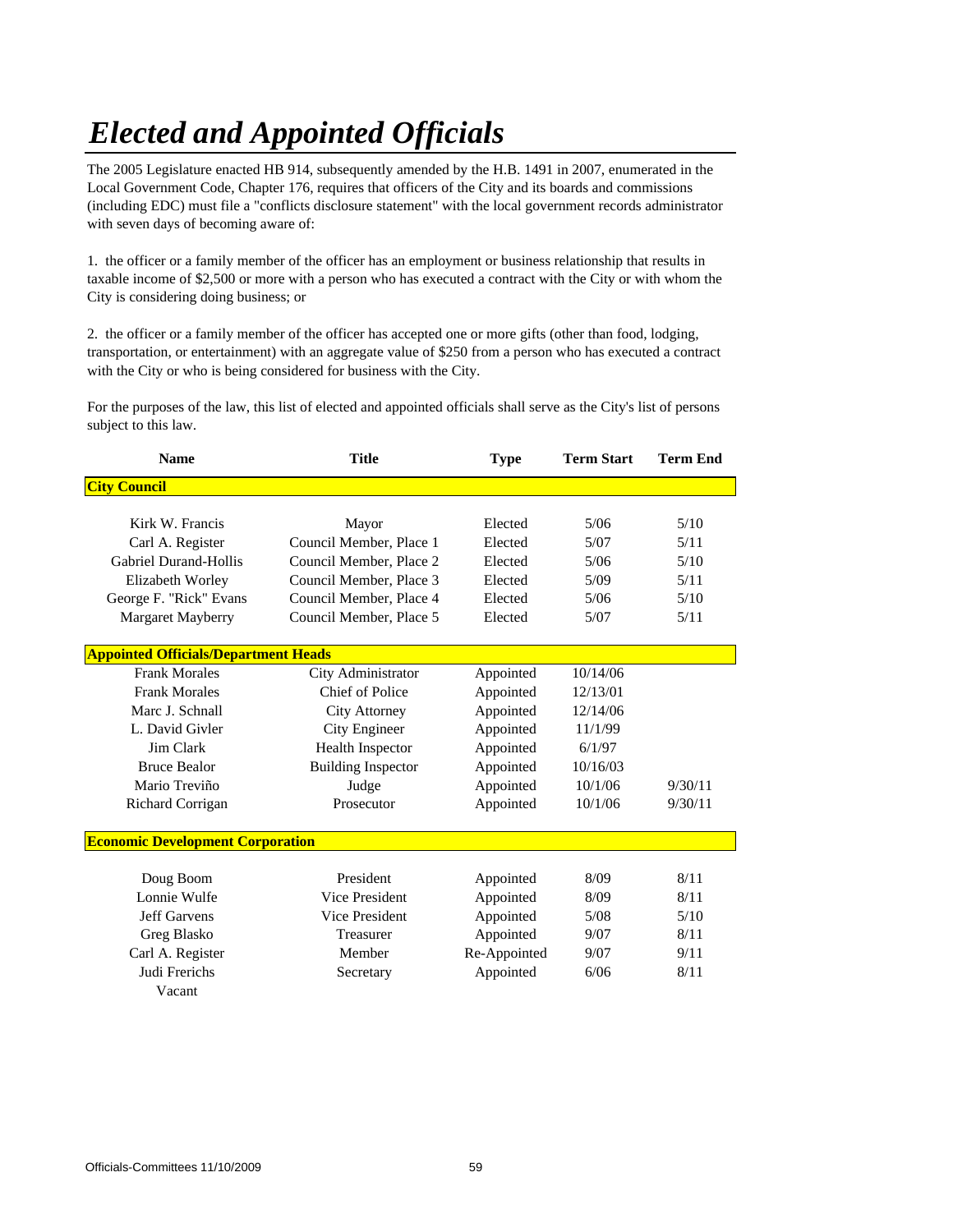# *Elected and Appointed Officials*

The 2005 Legislature enacted HB 914, subsequently amended by the H.B. 1491 in 2007, enumerated in the Local Government Code, Chapter 176, requires that officers of the City and its boards and commissions (including EDC) must file a "conflicts disclosure statement" with the local government records administrator with seven days of becoming aware of:

1. the officer or a family member of the officer has an employment or business relationship that results in taxable income of \$2,500 or more with a person who has executed a contract with the City or with whom the City is considering doing business; or

2. the officer or a family member of the officer has accepted one or more gifts (other than food, lodging, transportation, or entertainment) with an aggregate value of \$250 from a person who has executed a contract with the City or who is being considered for business with the City.

For the purposes of the law, this list of elected and appointed officials shall serve as the City's list of persons subject to this law.

| <b>Name</b>                                 | <b>Title</b>              |                           | <b>Term Start</b> | <b>Term End</b> |
|---------------------------------------------|---------------------------|---------------------------|-------------------|-----------------|
| <b>City Council</b>                         |                           |                           |                   |                 |
|                                             |                           |                           |                   |                 |
| Kirk W. Francis                             | Mayor                     | Elected                   | 5/06              | 5/10            |
| Carl A. Register                            | Council Member, Place 1   | Elected                   | 5/07              | 5/11            |
| <b>Gabriel Durand-Hollis</b>                | Council Member, Place 2   | Elected                   | 5/06              | 5/10            |
| Elizabeth Worley                            | Council Member, Place 3   | Elected                   | 5/09              | 5/11            |
| George F. "Rick" Evans                      | Council Member, Place 4   | Elected                   | 5/06              | 5/10            |
| Margaret Mayberry                           | Council Member, Place 5   | Elected                   | 5/07              | 5/11            |
| <b>Appointed Officials/Department Heads</b> |                           |                           |                   |                 |
| <b>Frank Morales</b>                        | City Administrator        | Appointed                 | 10/14/06          |                 |
| <b>Frank Morales</b>                        | Chief of Police           | Appointed                 | 12/13/01          |                 |
| Marc J. Schnall                             | <b>City Attorney</b>      | Appointed                 | 12/14/06          |                 |
| L. David Givler                             | <b>City Engineer</b>      | Appointed                 | 11/1/99           |                 |
| Jim Clark                                   | <b>Health Inspector</b>   | Appointed                 | 6/1/97            |                 |
| <b>Bruce Bealor</b>                         | <b>Building Inspector</b> | Appointed                 | 10/16/03          |                 |
| Mario Treviño                               | Judge                     | Appointed                 | 10/1/06           | 9/30/11         |
| Richard Corrigan                            | Prosecutor                |                           | 10/1/06           | 9/30/11         |
|                                             |                           |                           |                   |                 |
| <b>Economic Development Corporation</b>     |                           |                           |                   |                 |
|                                             |                           |                           |                   |                 |
| Doug Boom                                   | President                 | Appointed                 | 8/09              | 8/11            |
| Lonnie Wulfe                                | <b>Vice President</b>     | Appointed                 | 8/09              | 8/11            |
| <b>Jeff Garvens</b>                         | <b>Vice President</b>     | Appointed                 | 5/08              | 5/10            |
| Greg Blasko                                 | Treasurer                 | Appointed                 | 9/07              | 8/11            |
| Carl A. Register                            | Member                    | Re-Appointed<br>Appointed | 9/07              | 9/11            |
| Judi Frerichs                               | Secretary                 |                           | 6/06              | 8/11            |
| Vacant                                      |                           |                           |                   |                 |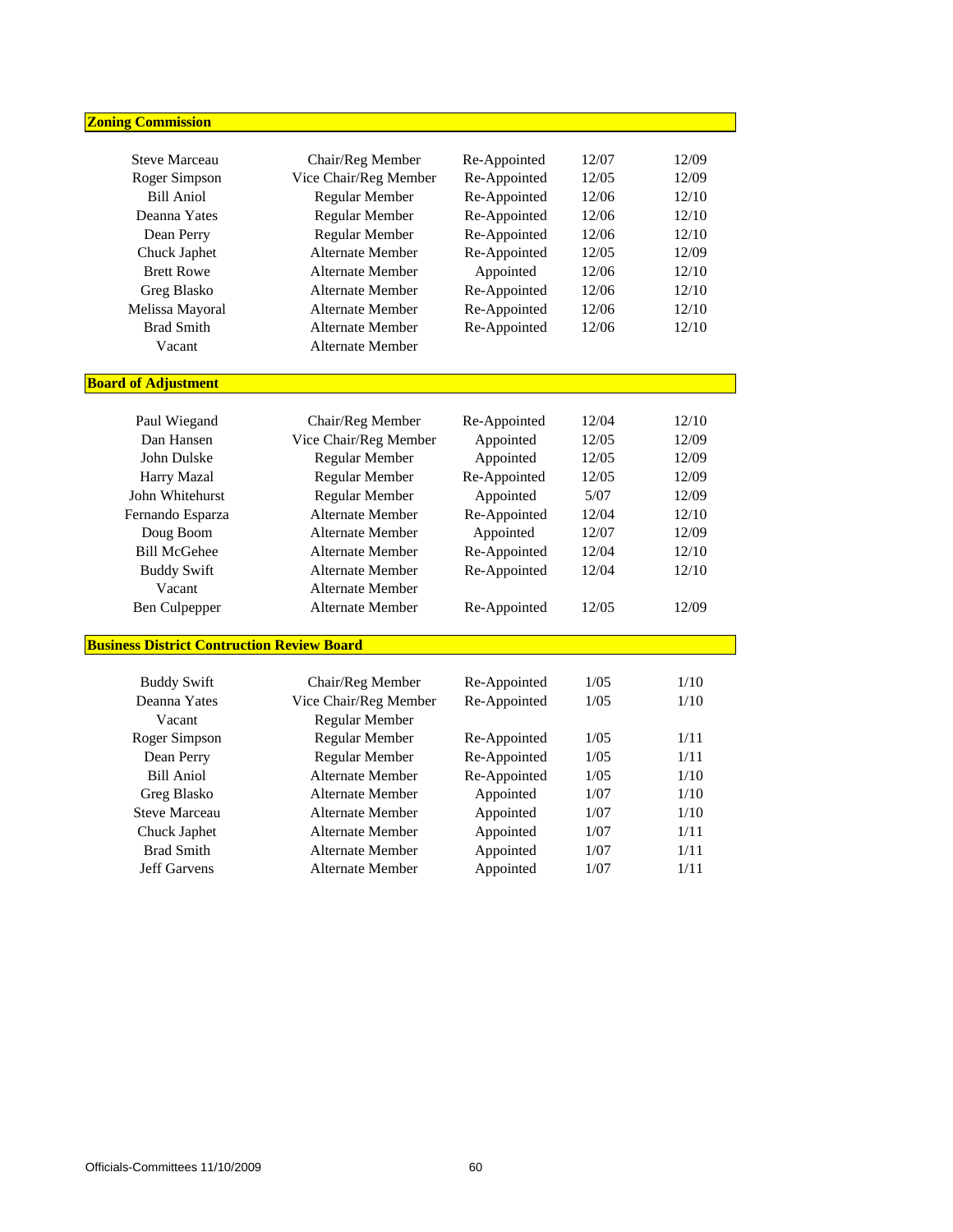| <b>Zoning Commission</b>                          |                         |                           |        |       |
|---------------------------------------------------|-------------------------|---------------------------|--------|-------|
|                                                   |                         |                           |        |       |
| <b>Steve Marceau</b>                              | Chair/Reg Member        | Re-Appointed              | 12/07  | 12/09 |
| Roger Simpson                                     | Vice Chair/Reg Member   | Re-Appointed              | 12/05  | 12/09 |
| <b>Bill Aniol</b>                                 | Regular Member          | Re-Appointed              | 12/06  | 12/10 |
| Deanna Yates                                      | Regular Member          | Re-Appointed              | 12/06  | 12/10 |
| Dean Perry                                        | Regular Member          | Re-Appointed              | 12/06  | 12/10 |
| Chuck Japhet                                      | Alternate Member        | Re-Appointed              | 12/05  | 12/09 |
| <b>Brett Rowe</b>                                 | <b>Alternate Member</b> | Appointed                 | 12/06  | 12/10 |
| Greg Blasko                                       | Alternate Member        | Re-Appointed              | 12/06  | 12/10 |
| Melissa Mayoral                                   | <b>Alternate Member</b> | Re-Appointed              | 12/06  | 12/10 |
| <b>Brad Smith</b>                                 | <b>Alternate Member</b> | Re-Appointed              | 12/06  | 12/10 |
| Vacant                                            | <b>Alternate Member</b> |                           |        |       |
| <b>Board of Adjustment</b>                        |                         |                           |        |       |
|                                                   |                         |                           | 12/04  | 12/10 |
| Paul Wiegand<br>Dan Hansen                        | Chair/Reg Member        | Re-Appointed<br>Appointed | 12/05  |       |
| John Dulske                                       | Vice Chair/Reg Member   |                           |        | 12/09 |
|                                                   | Regular Member          | Appointed                 | 12/05  | 12/09 |
| Harry Mazal                                       | Regular Member          | Re-Appointed              | 12/05  | 12/09 |
| John Whitehurst                                   | Regular Member          | Appointed                 | $5/07$ | 12/09 |
| Fernando Esparza                                  | <b>Alternate Member</b> | Re-Appointed              | 12/04  | 12/10 |
| Doug Boom                                         | Alternate Member        | Appointed                 | 12/07  | 12/09 |
| <b>Bill McGehee</b>                               | <b>Alternate Member</b> | Re-Appointed              | 12/04  | 12/10 |
| <b>Buddy Swift</b>                                | Alternate Member        | Re-Appointed              | 12/04  | 12/10 |
| Vacant                                            | <b>Alternate Member</b> |                           |        |       |
| <b>Ben Culpepper</b>                              | <b>Alternate Member</b> | Re-Appointed              | 12/05  | 12/09 |
| <b>Business District Contruction Review Board</b> |                         |                           |        |       |
| <b>Buddy Swift</b>                                | Chair/Reg Member        | Re-Appointed              | 1/05   | 1/10  |
| Deanna Yates                                      | Vice Chair/Reg Member   | Re-Appointed              | 1/05   | 1/10  |
| Vacant                                            | Regular Member          |                           |        |       |
| Roger Simpson                                     | Regular Member          | Re-Appointed              | 1/05   | 1/11  |
| Dean Perry                                        | Regular Member          | Re-Appointed              | 1/05   | 1/11  |
| <b>Bill Aniol</b>                                 | Alternate Member        | Re-Appointed              | $1/05$ | 1/10  |
| Greg Blasko                                       | Alternate Member        | Appointed                 | 1/07   | 1/10  |
| <b>Steve Marceau</b>                              | <b>Alternate Member</b> | Appointed                 | 1/07   | 1/10  |
| Chuck Japhet                                      | <b>Alternate Member</b> | Appointed                 | 1/07   | 1/11  |
| <b>Brad Smith</b>                                 | <b>Alternate Member</b> | Appointed                 | 1/07   | 1/11  |
| <b>Jeff Garvens</b>                               | Alternate Member        | Appointed                 | $1/07$ | 1/11  |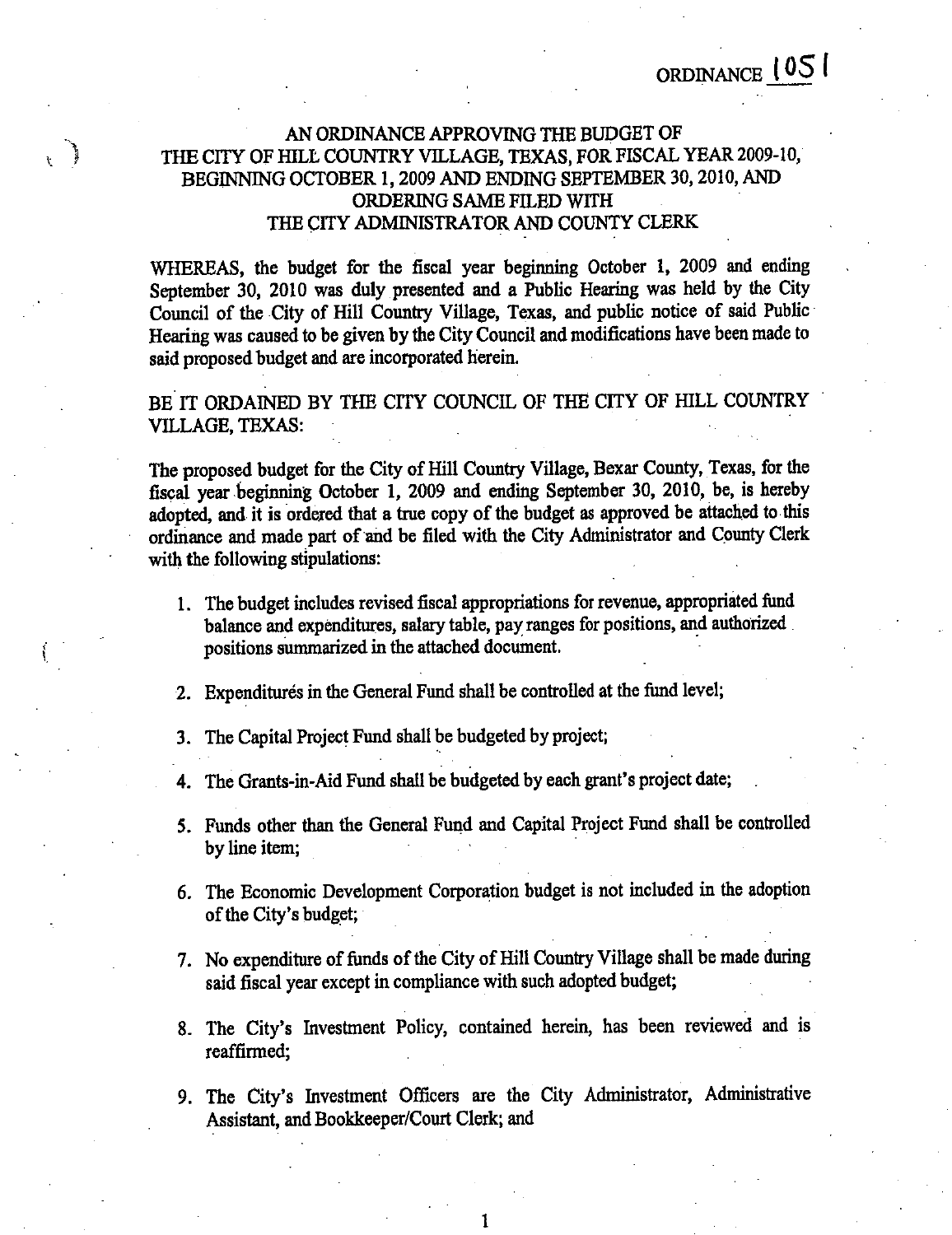ORDINANCE 1051

## AN ORDINANCE APPROVING THE BUDGET OF THE CITY OF HILL COUNTRY VILLAGE, TEXAS, FOR FISCAL YEAR 2009-10, BEGINNING OCTOBER 1, 2009 AND ENDING SEPTEMBER 30, 2010, AND ORDERING SAME FILED WITH THE CITY ADMINISTRATOR AND COUNTY CLERK

ر<br>وفي

 $\mathbf{r}$ 

WHEREAS, the budget for the fiscal year beginning October 1, 2009 and ending September 30, 2010 was duly presented and a Public Hearing was held by the City Council of the City of Hill Country Village, Texas, and public notice of said Public Hearing was caused to be given by the City Council and modifications have been made to said proposed budget and are incorporated herein.

BE IT ORDAINED BY THE CITY COUNCIL OF THE CITY OF HILL COUNTRY **VILLAGE, TEXAS:** 

The proposed budget for the City of Hill Country Village, Bexar County, Texas, for the fiscal year beginning October 1, 2009 and ending September 30, 2010, be, is hereby adopted, and it is ordered that a true copy of the budget as approved be attached to this ordinance and made part of and be filed with the City Administrator and County Clerk with the following stipulations:

- 1. The budget includes revised fiscal appropriations for revenue, appropriated fund balance and expenditures, salary table, pay ranges for positions, and authorized positions summarized in the attached document.
- 2. Expenditures in the General Fund shall be controlled at the fund level;

3. The Capital Project Fund shall be budgeted by project;

4. The Grants-in-Aid Fund shall be budgeted by each grant's project date;

- 5. Funds other than the General Fund and Capital Project Fund shall be controlled by line item;
- 6. The Economic Development Corporation budget is not included in the adoption of the City's budget;
- 7. No expenditure of funds of the City of Hill Country Village shall be made during said fiscal year except in compliance with such adopted budget;
- 8. The City's Investment Policy, contained herein, has been reviewed and is reaffirmed:
- 9. The City's Investment Officers are the City Administrator, Administrative Assistant, and Bookkeeper/Court Clerk; and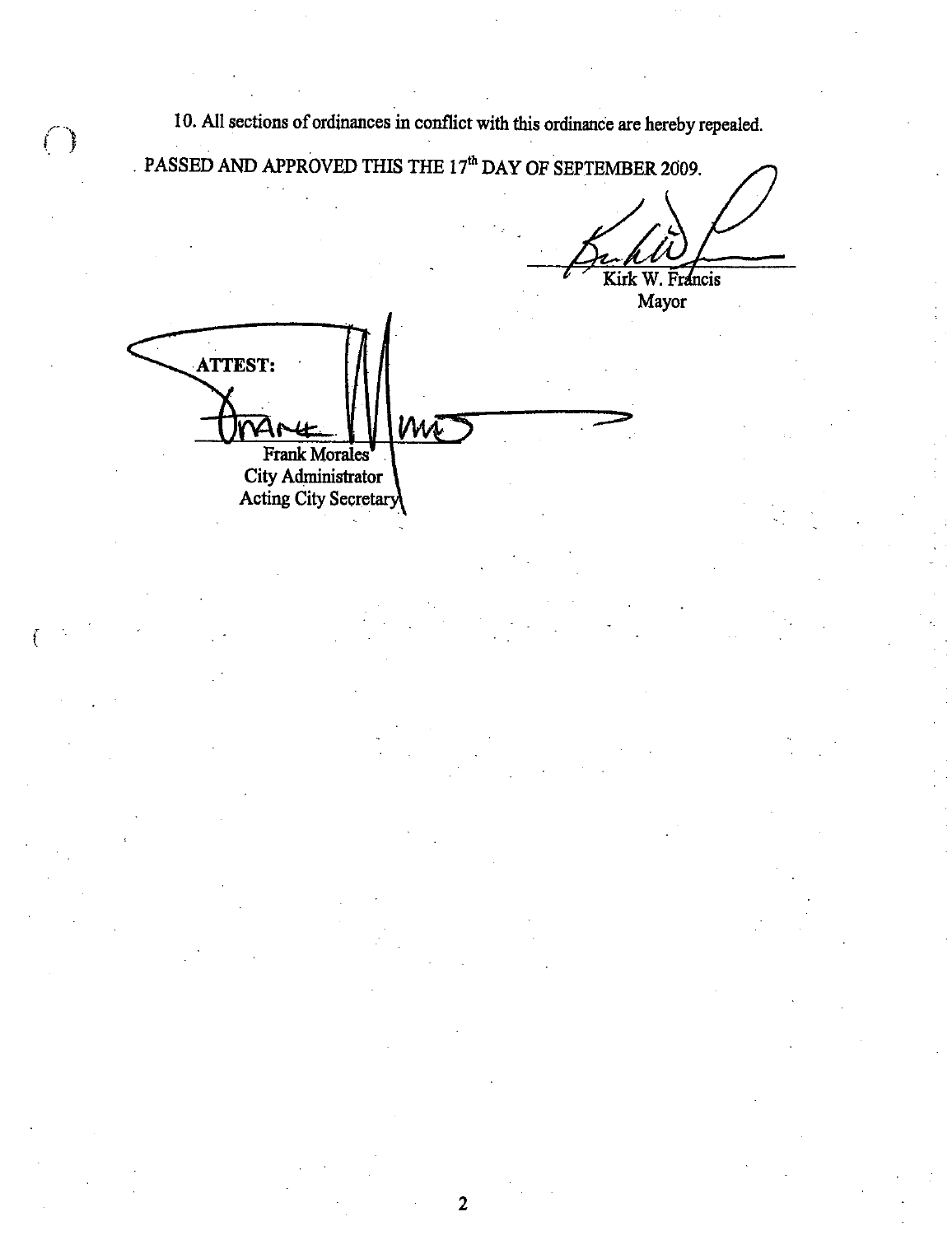10. All sections of ordinances in conflict with this ordinance are hereby repealed.

PASSED AND APPROVED THIS THE  $17^{\rm th}$  DAY OF SEPTEMBER 2009. Kirk W. Francis

Mayor

| <b>ATTEST:</b>        |  |  |
|-----------------------|--|--|
|                       |  |  |
| <b>Frank Morales</b>  |  |  |
| City Administrator    |  |  |
| Acting City Secretary |  |  |

 $\begin{pmatrix} 1 & 1 \\ 1 & 1 \end{pmatrix}$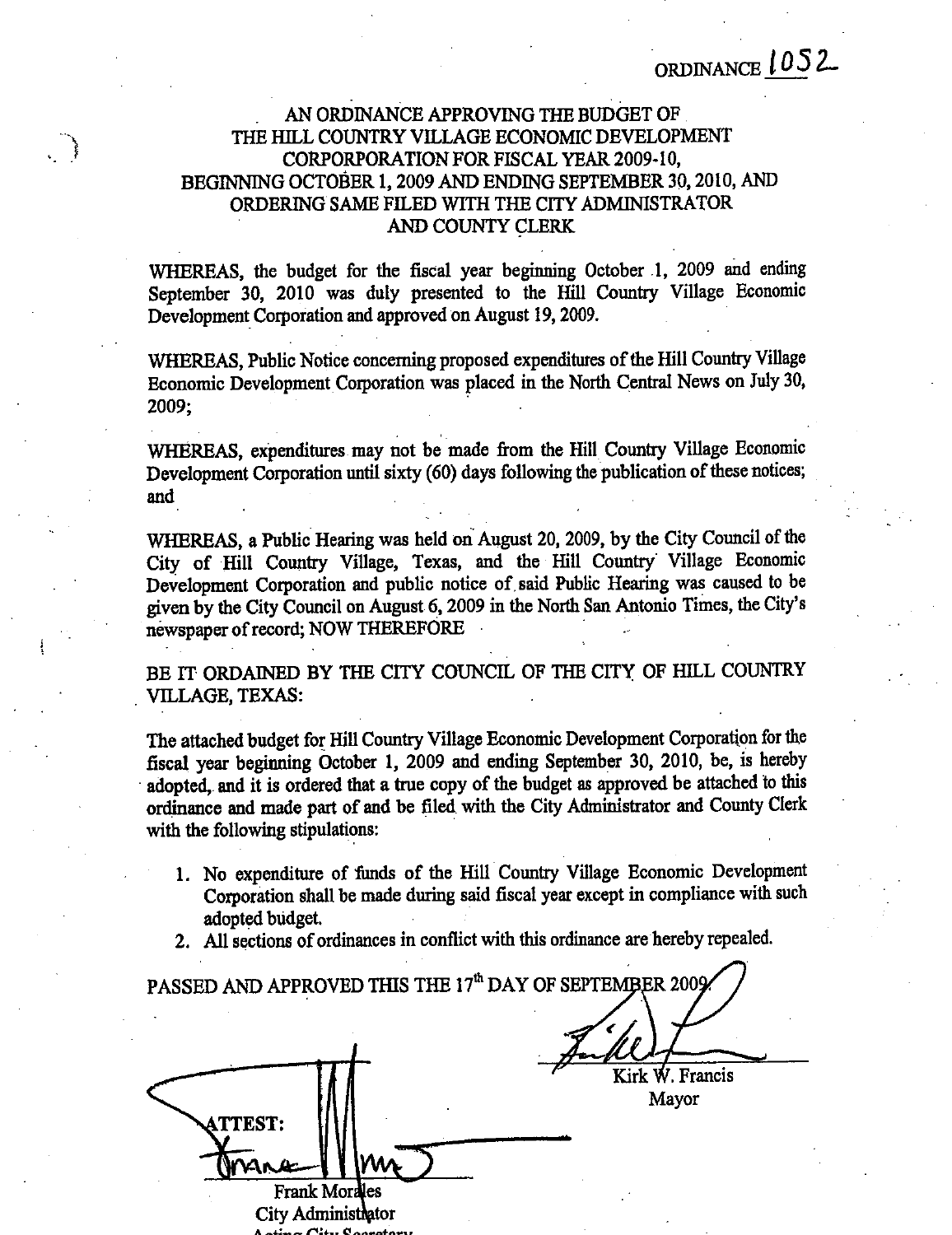## AN ORDINANCE APPROVING THE BUDGET OF THE HILL COUNTRY VILLAGE ECONOMIC DEVELOPMENT CORPORPORATION FOR FISCAL YEAR 2009-10, BEGINNING OCTOBER 1, 2009 AND ENDING SEPTEMBER 30, 2010, AND ORDERING SAME FILED WITH THE CITY ADMINISTRATOR AND COUNTY CLERK

 $\cdot$  ,  $\cdot$ 

WHEREAS, the budget for the fiscal year beginning October 1, 2009 and ending September 30, 2010 was duly presented to the Hill Country Village Economic Development Corporation and approved on August 19, 2009.

WHEREAS, Public Notice concerning proposed expenditures of the Hill Country Village Economic Development Corporation was placed in the North Central News on July 30, 2009;

WHEREAS, expenditures may not be made from the Hill Country Village Economic Development Corporation until sixty (60) days following the publication of these notices; and

WHEREAS, a Public Hearing was held on August 20, 2009, by the City Council of the City of Hill Country Village, Texas, and the Hill Country Village Economic Development Corporation and public notice of said Public Hearing was caused to be given by the City Council on August 6, 2009 in the North San Antonio Times, the City's newspaper of record; NOW THEREFORE

BE IT ORDAINED BY THE CITY COUNCIL OF THE CITY OF HILL COUNTRY **VILLAGE, TEXAS:** 

The attached budget for Hill Country Village Economic Development Corporation for the fiscal year beginning October 1, 2009 and ending September 30, 2010, be, is hereby adopted, and it is ordered that a true copy of the budget as approved be attached to this ordinance and made part of and be filed with the City Administrator and County Clerk with the following stipulations:

- 1. No expenditure of funds of the Hill Country Village Economic Development Corporation shall be made during said fiscal year except in compliance with such adopted budget.
- 2. All sections of ordinances in conflict with this ordinance are hereby repealed.

| PASSED AND APPROVED THIS THE 17 <sup>th</sup> DAY OF SEPTEMBER 2009. |                          |
|----------------------------------------------------------------------|--------------------------|
| <b>ATTEST:</b>                                                       | Kirk W. Francis<br>Mayor |
| <b>Frank Morales</b>                                                 |                          |
| City Administrator                                                   |                          |

лгу ж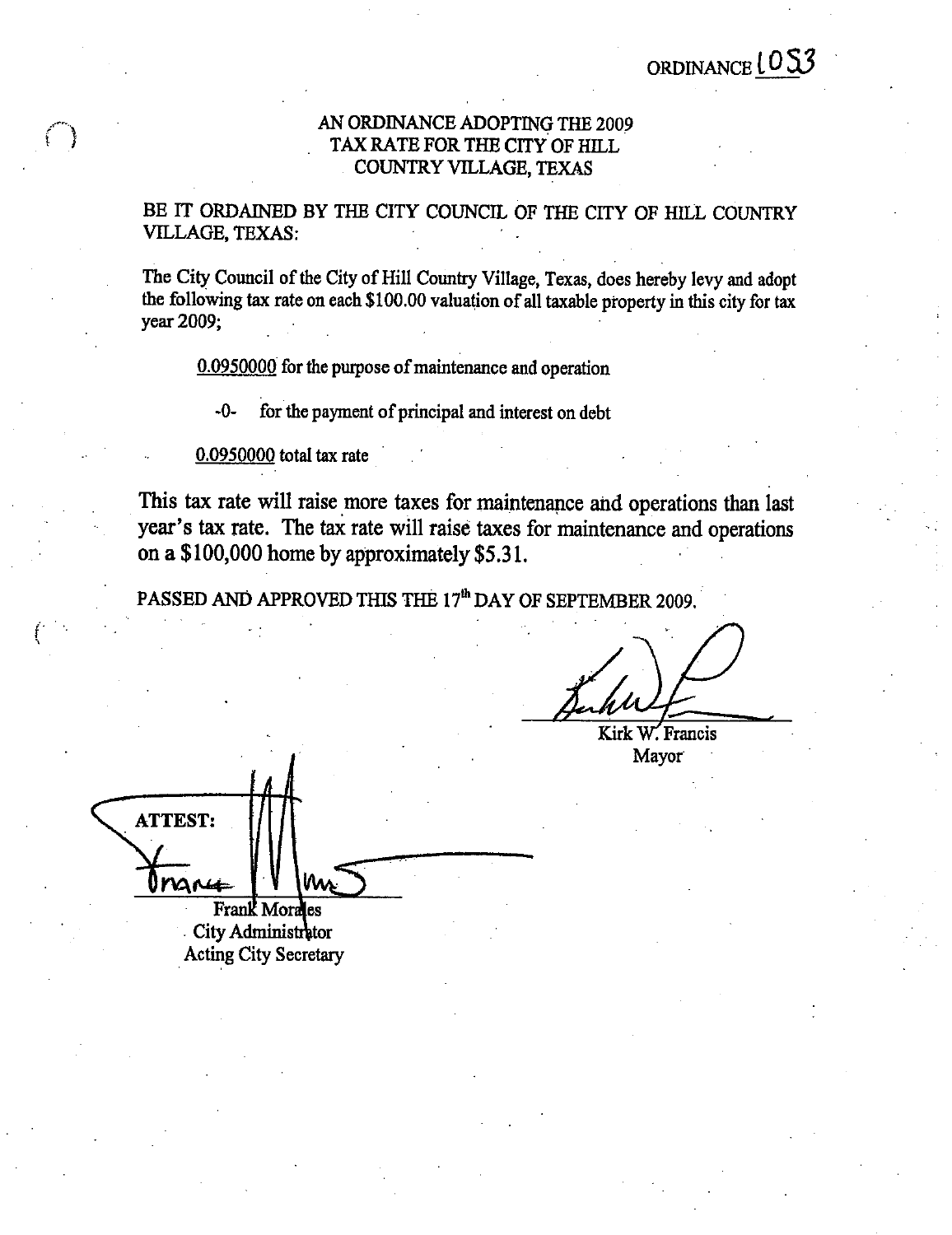## AN ORDINANCE ADOPTING THE 2009 TAX RATE FOR THE CITY OF HILL COUNTRY VILLAGE, TEXAS

BE IT ORDAINED BY THE CITY COUNCIL OF THE CITY OF HILL COUNTRY VILLAGE, TEXAS:

The City Council of the City of Hill Country Village, Texas, does hereby levy and adopt the following tax rate on each \$100.00 valuation of all taxable property in this city for tax year 2009;

0.0950000 for the purpose of maintenance and operation

 $-0$ for the payment of principal and interest on debt

0.0950000 total tax rate

This tax rate will raise more taxes for maintenance and operations than last year's tax rate. The tax rate will raise taxes for maintenance and operations on a \$100,000 home by approximately \$5.31.

PASSED AND APPROVED THIS THE 17<sup>th</sup> DAY OF SEPTEMBER 2009.

Kirk W. Francis Mayor

**ATTEST:** nare Frank Morales

City Administrator **Acting City Secretary**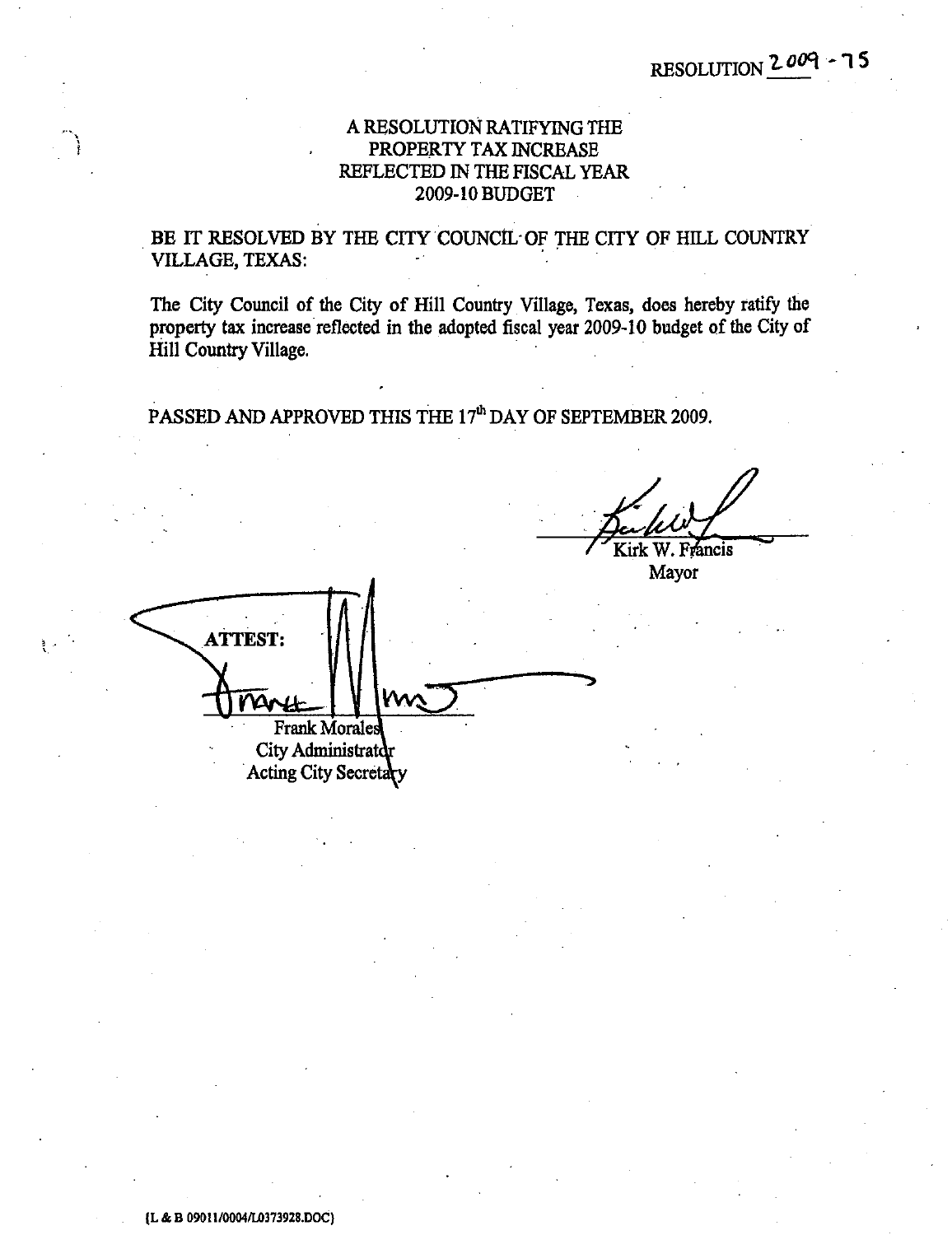## A RESOLUTION RATIFYING THE PROPERTY TAX INCREASE REFLECTED IN THE FISCAL YEAR 2009-10 BUDGET

BE IT RESOLVED BY THE CITY COUNCIL OF THE CITY OF HILL COUNTRY VILLAGE, TEXAS:

The City Council of the City of Hill Country Village, Texas, does hereby ratify the property tax increase reflected in the adopted fiscal year 2009-10 budget of the City of Hill Country Village.

PASSED AND APPROVED THIS THE 17<sup>th</sup> DAY OF SEPTEMBER 2009.

Kirk W. Francis

Mayor

**ATTEST: Frank Morales** City Administrator Acting City Secretary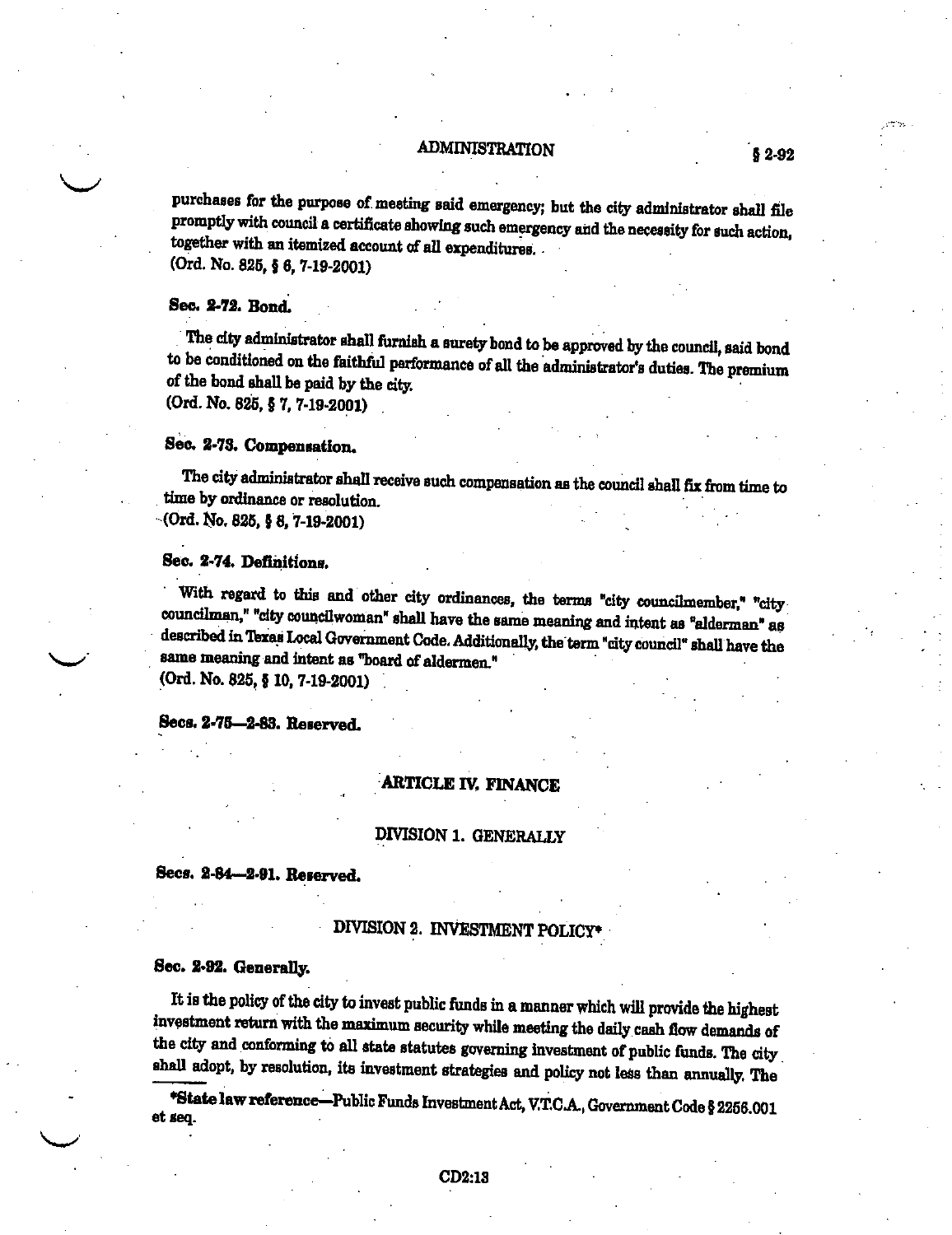### ADMINISTRATION

purchases for the purpose of meeting said emergency; but the city administrator shall file promptly with council a certificate showing such emergency and the necessity for such action, together with an itemized account of all expenditures. (Ord. No. 825, § 6, 7-19-2001)

### Sec. 2-72. Bond.

The city administrator shall furnish a surety bond to be approved by the council, said bond to be conditioned on the faithful performance of all the administrator's duties. The premium of the bond shall be paid by the city.  $(Ord. No. 825, § 7, 7-19-2001)$ 

Sec. 2-73. Compensation.

The city administrator shall receive such compensation as the council shall fix from time to time by ordinance or resolution.  $\cdot$  (Ord. No. 825, § 8, 7-19-2001)

#### Sec. 2-74. Definitions.

With regard to this and other city ordinances, the terms "city councilmember," "citycouncilman," "city councilwoman" shall have the same meaning and intent as "alderman" as described in Texas Local Government Code. Additionally, the term "city council" shall have the same meaning and intent as "board of aldermen." (Ord. No. 825, § 10, 7-19-2001)

Secs. 2-75-2-83. Reserved.

## **ARTICLE IV. FINANCE**

## DIVISION 1. GENERALLY

## Secs. 2-84-2-91. Reserved.

## DIVISION 2. INVESTMENT POLICY\*

#### Sec. 2-92. Generally.

It is the policy of the city to invest public funds in a manner which will provide the highest investment return with the maximum security while meeting the daily cash flow demands of the city and conforming to all state statutes governing investment of public funds. The city shall adopt, by resolution, its investment strategies and policy not less than annually. The

\*State law reference-Public Funds Investment Act, V.T.C.A., Government Code § 2256.001 et seq.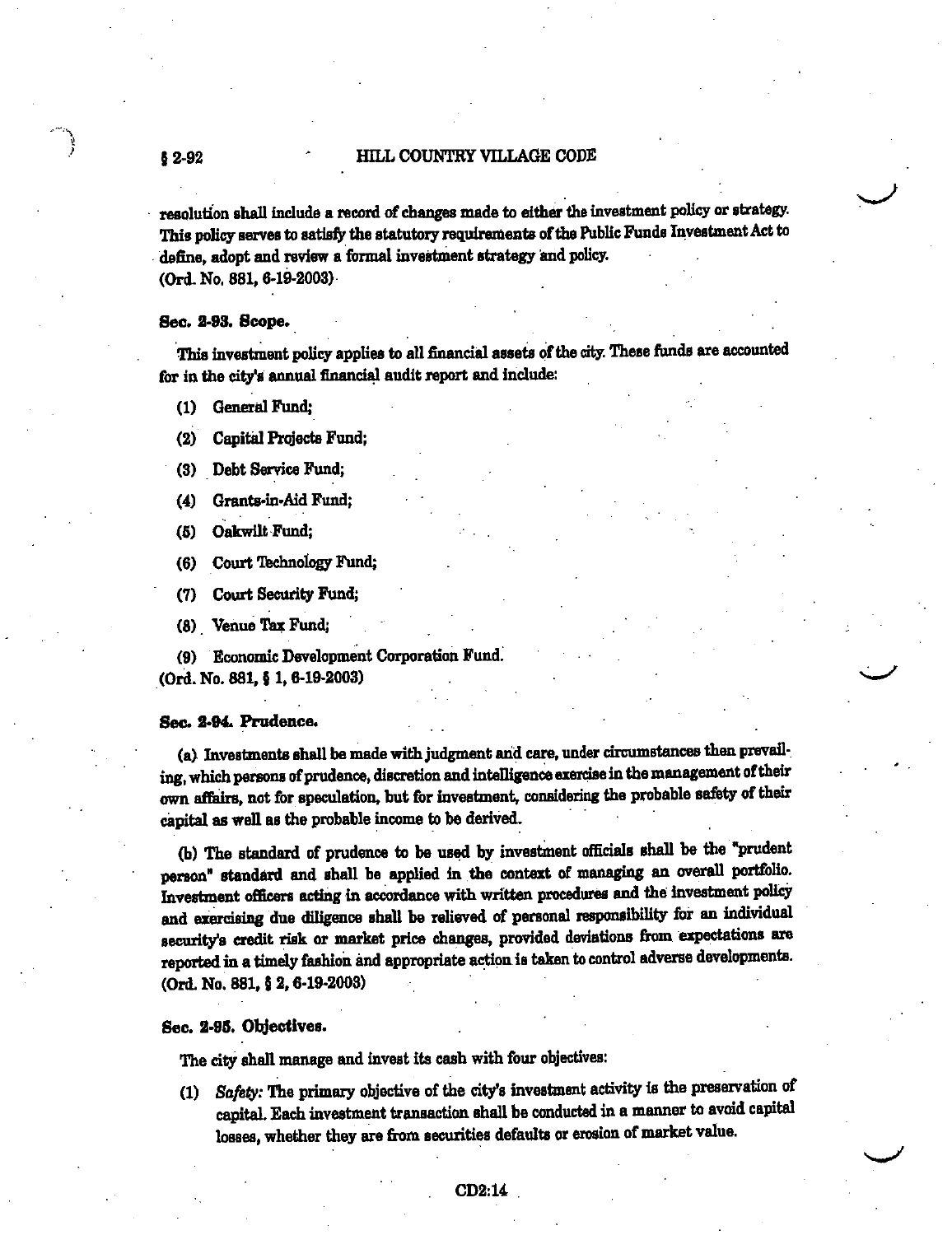### HILL COUNTRY VILLAGE CODE

resolution shall include a record of changes made to either the investment policy or strategy. This policy serves to satisfy the statutory requirements of the Public Funds Investment Act to define, adopt and review a formal investment strategy and policy. (Ord. No. 881, 6-19-2003)

#### Sec. 2-93. Scope.

 $$2-92$ 

This investment policy applies to all financial assets of the city. These funds are accounted for in the city's annual financial audit report and include:

**General Fund;**  $\Omega$ 

**Capital Projects Fund:**  $(2)$ 

(3) Debt Service Fund;

Grants-in-Aid Fund;  $(4)$ 

Oakwilt Fund:  $(5)$ 

Court Technology Fund;  $(6)$ 

Court Security Fund;  $(7)$ 

(8) Venue Tax Fund;

(9) Economic Development Corporation Fund. (Ord. No. 881, § 1, 6-19-2003)

#### Sec. 2-94. Prudence.

(a) Investments shall be made with judgment and care, under circumstances then prevailing, which persons of prudence, discretion and intelligence exercise in the management of their own affairs, not for speculation, but for investment, considering the probable safety of their capital as well as the probable income to be derived.

(b) The standard of prudence to be used by investment officials shall be the "prudent person" standard and shall be applied in the context of managing an overall portfolio. Investment officers acting in accordance with written procedures and the investment policy and exercising due diligence shall be relieved of personal responsibility for an individual security's credit risk or market price changes, provided deviations from expectations are reported in a timely fashion and appropriate action is taken to control adverse developments. (Ord. No. 881, § 2, 6-19-2003)

#### Sec. 2-95. Objectives.

The city shall manage and invest its cash with four objectives:

(1) Safety: The primary objective of the city's investment activity is the preservation of capital. Each investment transaction shall be conducted in a manner to avoid capital losses, whether they are from securities defaults or erosion of market value.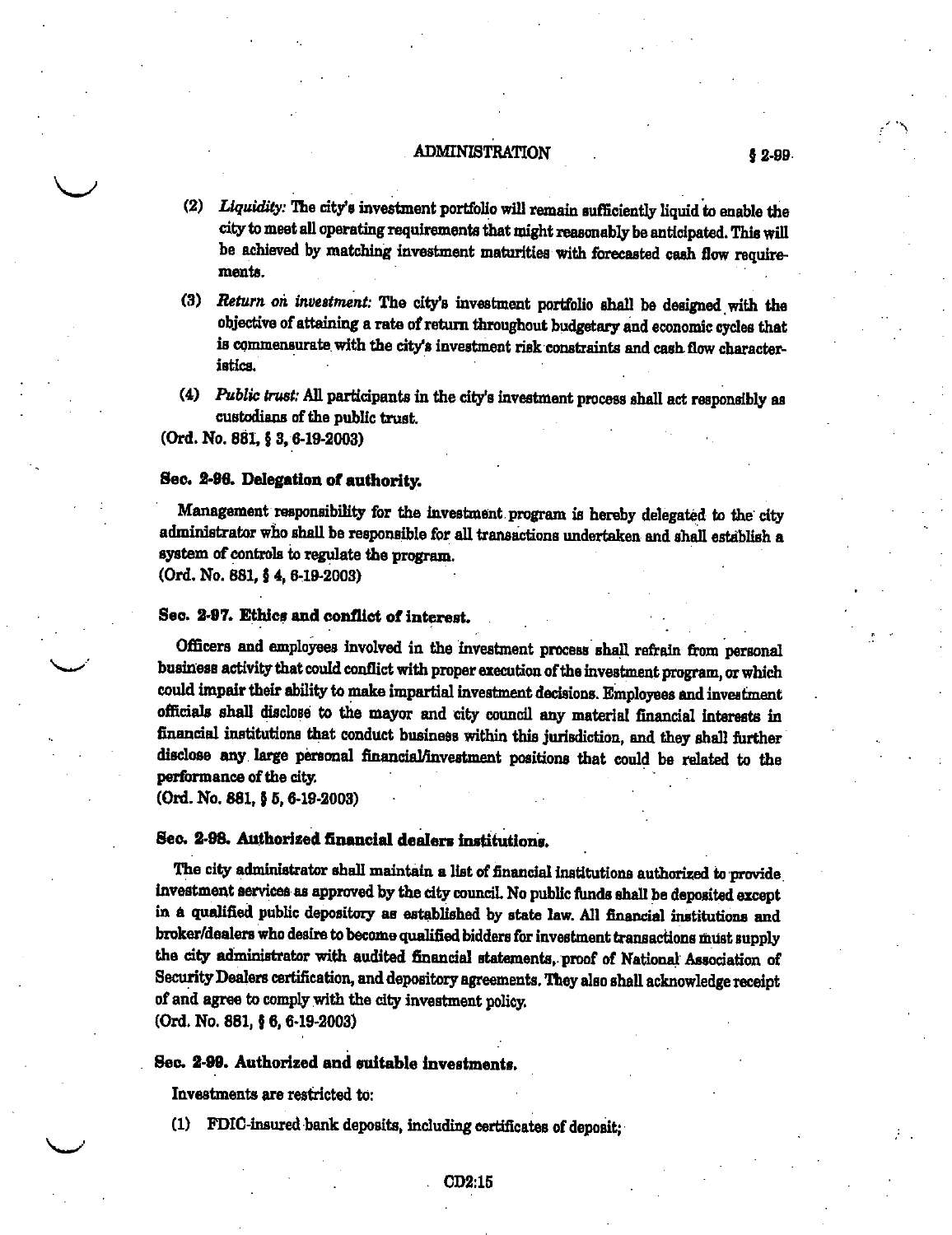### **ADMINISTRATION**

- (2) Liquidity: The city's investment portfolio will remain sufficiently liquid to enable the city to meet all operating requirements that might reasonably be anticipated. This will be achieved by matching investment maturities with forecasted cash flow requirements.
- (3) Return on investment: The city's investment portfolio shall be designed with the objective of attaining a rate of return throughout budgetary and economic cycles that is commensurate with the city's investment risk constraints and cash flow characteristics.
- (4) Public trust: All participants in the city's investment process shall act responsibly as custodians of the public trust.

(Ord. No. 881, § 3, 6-19-2003)

#### Sec. 2-96. Delegation of authority.

Management responsibility for the investment program is hereby delegated to the city administrator who shall be responsible for all transactions undertaken and shall establish a system of controls to regulate the program.

(Ord. No. 881, § 4, 6-19-2003)

## Sec. 2-97. Ethics and conflict of interest.

Officers and employees involved in the investment process shall refrain from personal business activity that could conflict with proper execution of the investment program, or which could impair their ability to make impartial investment decisions. Employees and investment officials shall disclose to the mayor and city council any material financial interests in financial institutions that conduct business within this jurisdiction, and they shall further disclose any large personal financial/investment positions that could be related to the performance of the city.

(Ord. No. 881, § 5, 6-19-2003)

## Sec. 2-98. Authorized financial dealers institutions.

The city administrator shall maintain a list of financial institutions authorized to provide investment services as approved by the city council. No public funds shall be deposited except in a qualified public depository as established by state law. All financial institutions and broker/dealers who desire to become qualified bidders for investment transactions must supply the city administrator with audited financial statements, proof of National Association of Security Dealers certification, and depository agreements. They also shall acknowledge receipt of and agree to comply with the city investment policy. (Ord. No. 881, § 6, 6-19-2003)

#### Sec. 2-99. Authorized and suitable investments.

Investments are restricted to:

(1) FDIC-insured bank deposits, including certificates of deposit;

 $$2-99$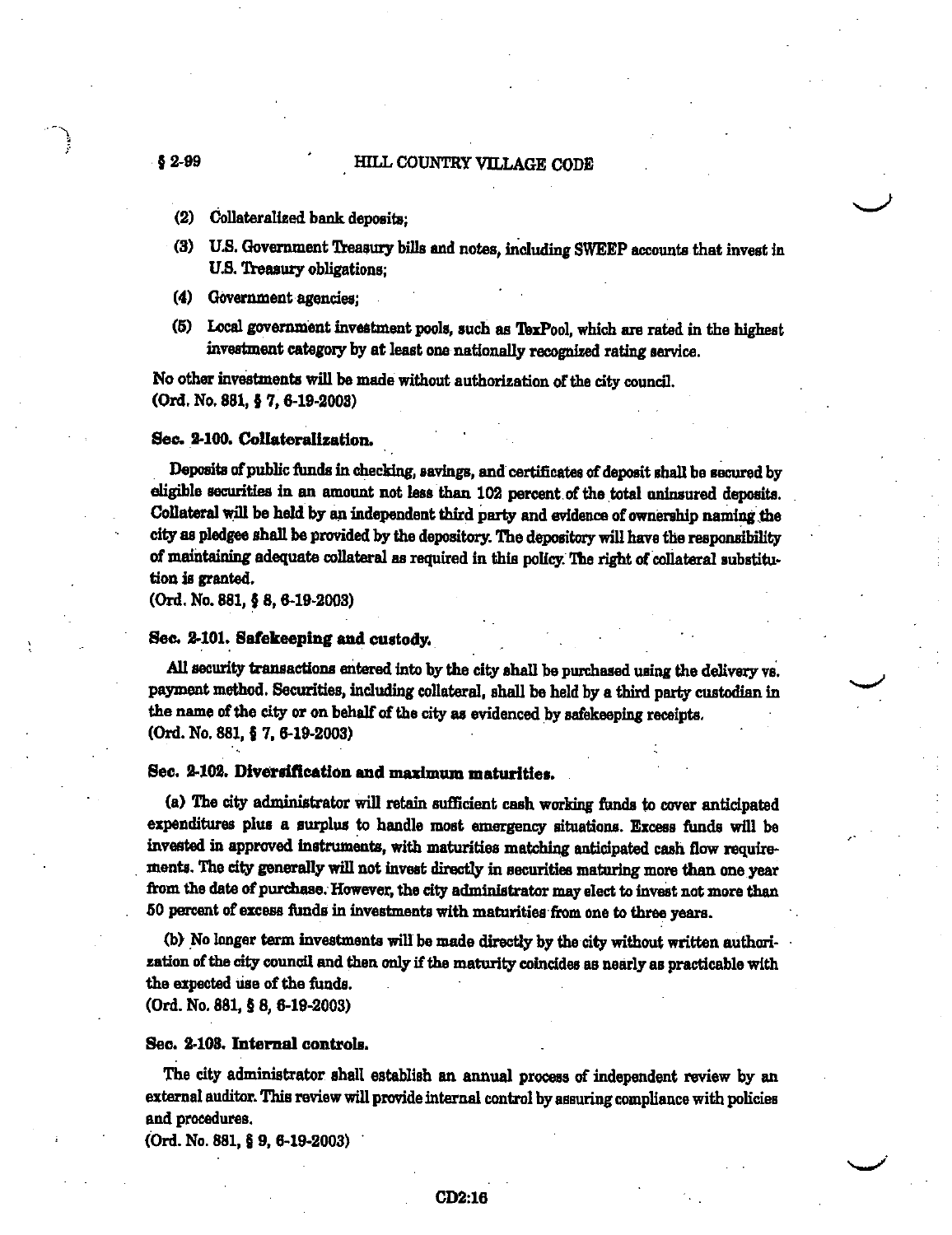#### HILL COUNTRY VILLAGE CODE

- $$2-99$ 
	- $(2)$ Collateralized bank deposits:
	- (3) U.S. Government Treasury bills and notes, including SWEEP accounts that invest in U.S. Treasury obligations:
	- (4) Government agencies;
	- (5) Local government investment pools, such as TexPool, which are rated in the highest investment category by at least one nationally recognized rating service.

No other investments will be made without authorization of the city council. (Ord. No. 881, § 7, 6-19-2003)

#### Sec. 2-100. Collateralization.

Deposits of public funds in checking, savings, and certificates of deposit shall be secured by eligible securities in an amount not less than 102 percent of the total uninsured deposits. Collateral will be held by an independent third party and evidence of ownership naming the city as pledgee shall be provided by the depository. The depository will have the responsibility of maintaining adequate collateral as required in this policy. The right of collateral substitution is granted.

(Ord. No. 881, § 8, 6-19-2003)

#### Sec. 2-101. Safekeeping and custody.

All security transactions entered into by the city shall be purchased using the delivery vs. payment method. Securities, including collateral, shall be held by a third party custodian in the name of the city or on behalf of the city as evidenced by safekeeping receipts. (Ord. No. 881, § 7, 6-19-2003)

Sec. 2-102. Diversification and maximum maturities.

(a) The city administrator will retain sufficient cash working funds to cover anticipated expenditures plus a surplus to handle most emergency situations. Excess funds will be invested in approved instruments, with maturities matching anticipated cash flow requirements. The city generally will not invest directly in securities maturing more than one year from the date of purchase. However, the city administrator may elect to invest not more than 50 percent of excess funds in investments with maturities from one to three years.

(b) No longer term investments will be made directly by the city without written authorization of the city council and then only if the maturity coincides as nearly as practicable with the expected use of the funds.

(Ord. No. 881, § 8, 6-19-2003)

#### Sec. 2-103. Internal controls.

The city administrator shall establish an annual process of independent review by an external auditor. This review will provide internal control by assuring compliance with policies and procedures.

(Ord. No. 881, § 9, 6-19-2003)